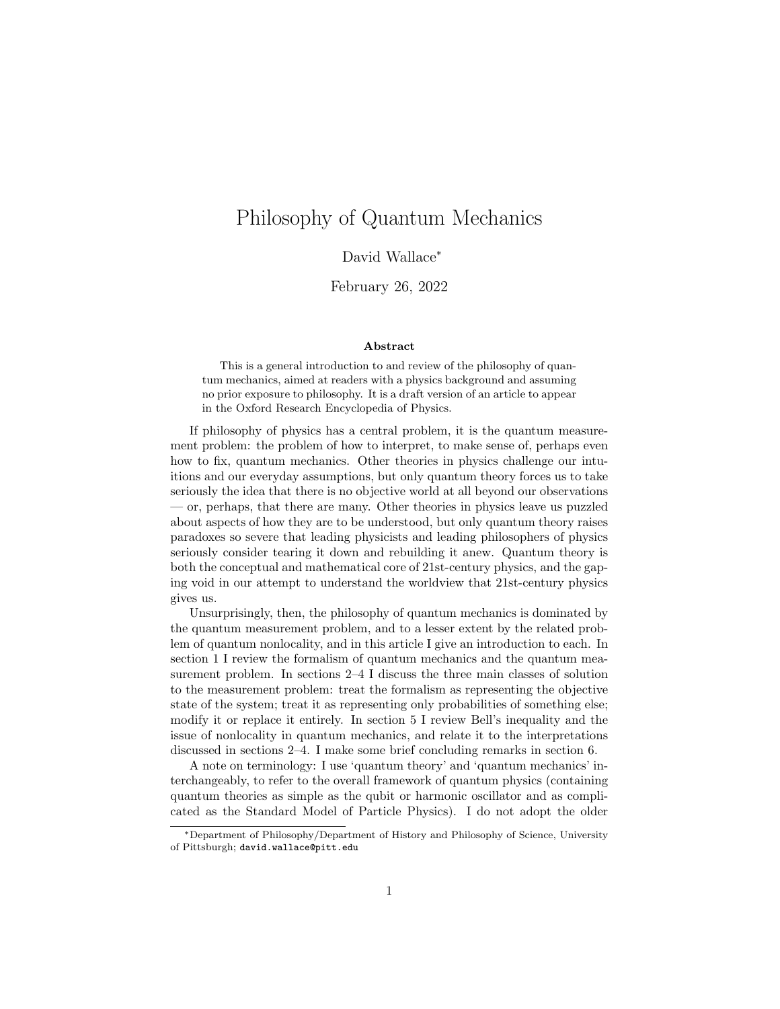# Philosophy of Quantum Mechanics

David Wallace<sup>∗</sup>

February 26, 2022

#### Abstract

This is a general introduction to and review of the philosophy of quantum mechanics, aimed at readers with a physics background and assuming no prior exposure to philosophy. It is a draft version of an article to appear in the Oxford Research Encyclopedia of Physics.

If philosophy of physics has a central problem, it is the quantum measurement problem: the problem of how to interpret, to make sense of, perhaps even how to fix, quantum mechanics. Other theories in physics challenge our intuitions and our everyday assumptions, but only quantum theory forces us to take seriously the idea that there is no objective world at all beyond our observations — or, perhaps, that there are many. Other theories in physics leave us puzzled about aspects of how they are to be understood, but only quantum theory raises paradoxes so severe that leading physicists and leading philosophers of physics seriously consider tearing it down and rebuilding it anew. Quantum theory is both the conceptual and mathematical core of 21st-century physics, and the gaping void in our attempt to understand the worldview that 21st-century physics gives us.

Unsurprisingly, then, the philosophy of quantum mechanics is dominated by the quantum measurement problem, and to a lesser extent by the related problem of quantum nonlocality, and in this article I give an introduction to each. In section 1 I review the formalism of quantum mechanics and the quantum measurement problem. In sections 2–4 I discuss the three main classes of solution to the measurement problem: treat the formalism as representing the objective state of the system; treat it as representing only probabilities of something else; modify it or replace it entirely. In section 5 I review Bell's inequality and the issue of nonlocality in quantum mechanics, and relate it to the interpretations discussed in sections 2–4. I make some brief concluding remarks in section 6.

A note on terminology: I use 'quantum theory' and 'quantum mechanics' interchangeably, to refer to the overall framework of quantum physics (containing quantum theories as simple as the qubit or harmonic oscillator and as complicated as the Standard Model of Particle Physics). I do not adopt the older

<sup>∗</sup>Department of Philosophy/Department of History and Philosophy of Science, University of Pittsburgh; david.wallace@pitt.edu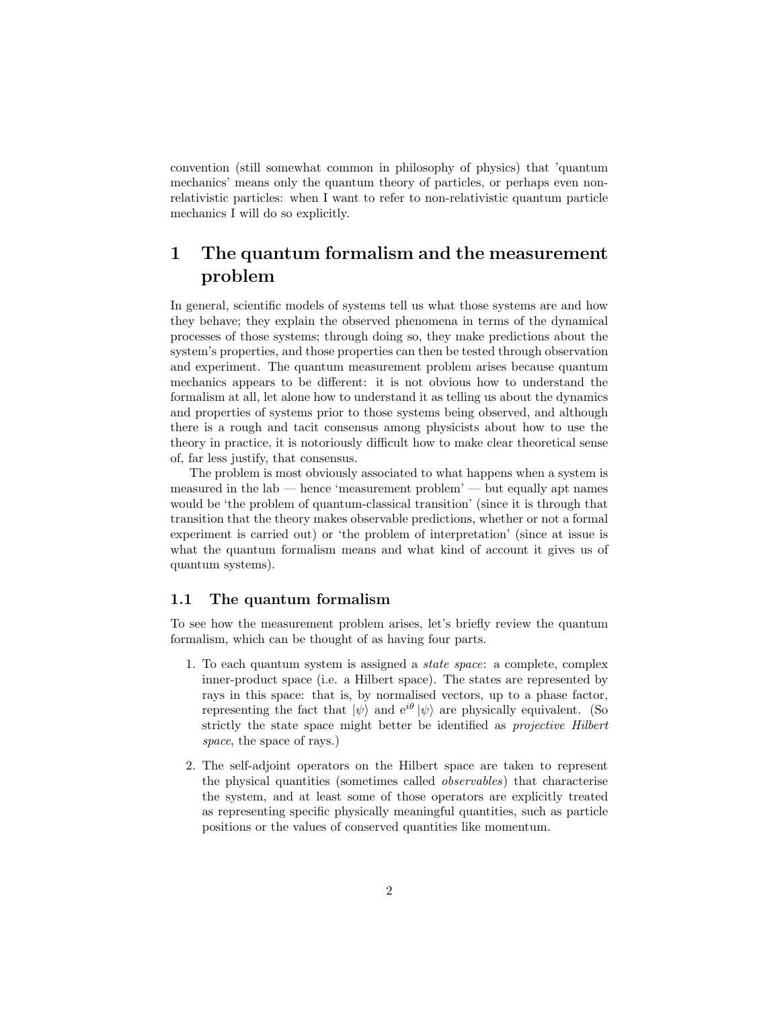convention (still somewhat common in philosophy of physics) that 'quantum mechanics' means only the quantum theory of particles, or perhaps even nonrelativistic particles: when I want to refer to non-relativistic quantum particle mechanics I will do so explicitly.

# 1 The quantum formalism and the measurement problem

In general, scientific models of systems tell us what those systems are and how they behave; they explain the observed phenomena in terms of the dynamical processes of those systems; through doing so, they make predictions about the system's properties, and those properties can then be tested through observation and experiment. The quantum measurement problem arises because quantum mechanics appears to be different: it is not obvious how to understand the formalism at all, let alone how to understand it as telling us about the dynamics and properties of systems prior to those systems being observed, and although there is a rough and tacit consensus among physicists about how to use the theory in practice, it is notoriously difficult how to make clear theoretical sense of, far less justify, that consensus.

The problem is most obviously associated to what happens when a system is measured in the lab — hence 'measurement problem' — but equally apt names would be 'the problem of quantum-classical transition' (since it is through that transition that the theory makes observable predictions, whether or not a formal experiment is carried out) or 'the problem of interpretation' (since at issue is what the quantum formalism means and what kind of account it gives us of quantum systems).

#### 1.1 The quantum formalism

To see how the measurement problem arises, let's briefly review the quantum formalism, which can be thought of as having four parts.

- 1. To each quantum system is assigned a state space: a complete, complex inner-product space (i.e. a Hilbert space). The states are represented by rays in this space: that is, by normalised vectors, up to a phase factor, representing the fact that  $|\psi\rangle$  and  $e^{i\theta} |\psi\rangle$  are physically equivalent. (So strictly the state space might better be identified as projective Hilbert space, the space of rays.)
- 2. The self-adjoint operators on the Hilbert space are taken to represent the physical quantities (sometimes called observables) that characterise the system, and at least some of those operators are explicitly treated as representing specific physically meaningful quantities, such as particle positions or the values of conserved quantities like momentum.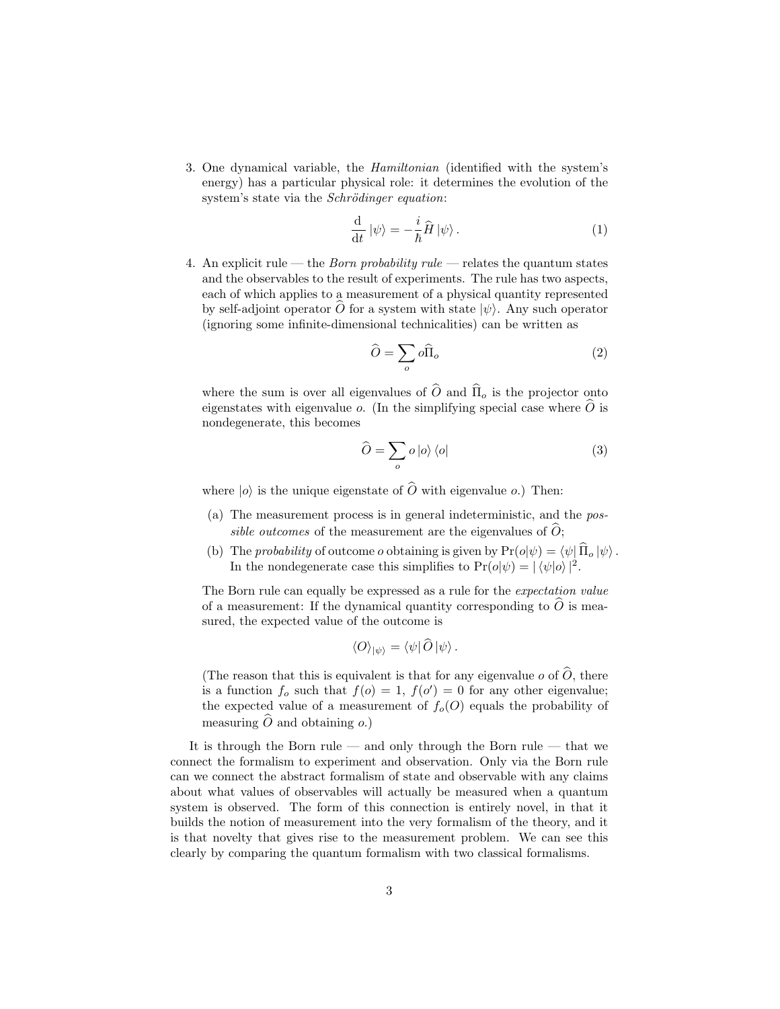3. One dynamical variable, the Hamiltonian (identified with the system's energy) has a particular physical role: it determines the evolution of the system's state via the *Schrödinger equation*:

$$
\frac{\mathrm{d}}{\mathrm{d}t} \left| \psi \right\rangle = -\frac{i}{\hbar} \hat{H} \left| \psi \right\rangle. \tag{1}
$$

4. An explicit rule — the *Born probability rule* — relates the quantum states and the observables to the result of experiments. The rule has two aspects, each of which applies to a measurement of a physical quantity represented by self-adjoint operator O for a system with state  $|\psi\rangle$ . Any such operator (ignoring some infinite-dimensional technicalities) can be written as

$$
\widehat{O} = \sum_{o} o \widehat{\Pi}_{o} \tag{2}
$$

where the sum is over all eigenvalues of  $\widehat{O}$  and  $\widehat{\Pi}_{o}$  is the projector onto eigenstates with eigenvalue o. (In the simplifying special case where  $\hat{O}$  is nondegenerate, this becomes

$$
\widehat{O} = \sum_{o} o \left| o \right\rangle \left\langle o \right| \tag{3}
$$

where  $|o\rangle$  is the unique eigenstate of  $\widehat{O}$  with eigenvalue o.) Then:

- (a) The measurement process is in general indeterministic, and the possible outcomes of the measurement are the eigenvalues of  $\hat{O}$ ;
- (b) The probability of outcome o obtaining is given by  $Pr(o|\psi) = \langle \psi | \hat{\Pi}_o | \psi \rangle$ . In the nondegenerate case this simplifies to  $Pr(o|\psi) = |\langle \psi | o \rangle|^2$ .

The Born rule can equally be expressed as a rule for the expectation value of a measurement: If the dynamical quantity corresponding to  $O$  is measured, the expected value of the outcome is

$$
\langle O \rangle_{|\psi\rangle} = \langle \psi | O | \psi \rangle.
$$

(The reason that this is equivalent is that for any eigenvalue  $o$  of  $\widehat{O}$ , there is a function  $f_o$  such that  $f(o) = 1$ ,  $f(o') = 0$  for any other eigenvalue; the expected value of a measurement of  $f_o(O)$  equals the probability of measuring  $\hat{O}$  and obtaining  $o$ .)

It is through the Born rule — and only through the Born rule — that we connect the formalism to experiment and observation. Only via the Born rule can we connect the abstract formalism of state and observable with any claims about what values of observables will actually be measured when a quantum system is observed. The form of this connection is entirely novel, in that it builds the notion of measurement into the very formalism of the theory, and it is that novelty that gives rise to the measurement problem. We can see this clearly by comparing the quantum formalism with two classical formalisms.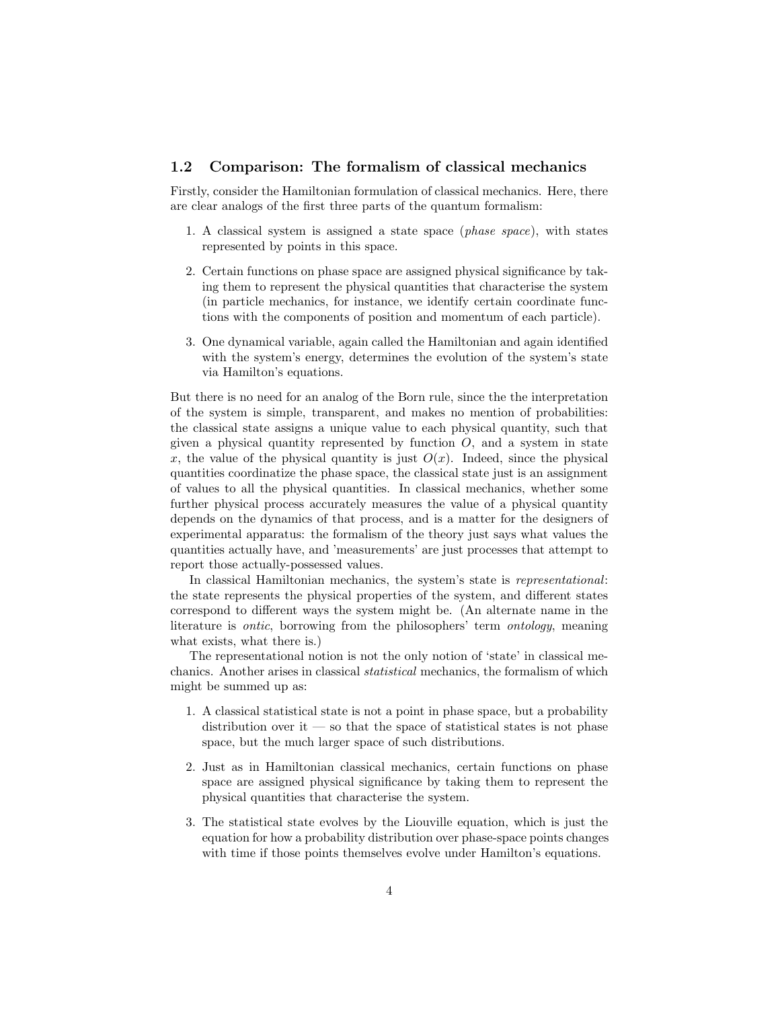#### 1.2 Comparison: The formalism of classical mechanics

Firstly, consider the Hamiltonian formulation of classical mechanics. Here, there are clear analogs of the first three parts of the quantum formalism:

- 1. A classical system is assigned a state space (phase space), with states represented by points in this space.
- 2. Certain functions on phase space are assigned physical significance by taking them to represent the physical quantities that characterise the system (in particle mechanics, for instance, we identify certain coordinate functions with the components of position and momentum of each particle).
- 3. One dynamical variable, again called the Hamiltonian and again identified with the system's energy, determines the evolution of the system's state via Hamilton's equations.

But there is no need for an analog of the Born rule, since the the interpretation of the system is simple, transparent, and makes no mention of probabilities: the classical state assigns a unique value to each physical quantity, such that given a physical quantity represented by function  $O$ , and a system in state x, the value of the physical quantity is just  $O(x)$ . Indeed, since the physical quantities coordinatize the phase space, the classical state just is an assignment of values to all the physical quantities. In classical mechanics, whether some further physical process accurately measures the value of a physical quantity depends on the dynamics of that process, and is a matter for the designers of experimental apparatus: the formalism of the theory just says what values the quantities actually have, and 'measurements' are just processes that attempt to report those actually-possessed values.

In classical Hamiltonian mechanics, the system's state is representational: the state represents the physical properties of the system, and different states correspond to different ways the system might be. (An alternate name in the literature is ontic, borrowing from the philosophers' term ontology, meaning what exists, what there is.)

The representational notion is not the only notion of 'state' in classical mechanics. Another arises in classical statistical mechanics, the formalism of which might be summed up as:

- 1. A classical statistical state is not a point in phase space, but a probability distribution over it  $-$  so that the space of statistical states is not phase space, but the much larger space of such distributions.
- 2. Just as in Hamiltonian classical mechanics, certain functions on phase space are assigned physical significance by taking them to represent the physical quantities that characterise the system.
- 3. The statistical state evolves by the Liouville equation, which is just the equation for how a probability distribution over phase-space points changes with time if those points themselves evolve under Hamilton's equations.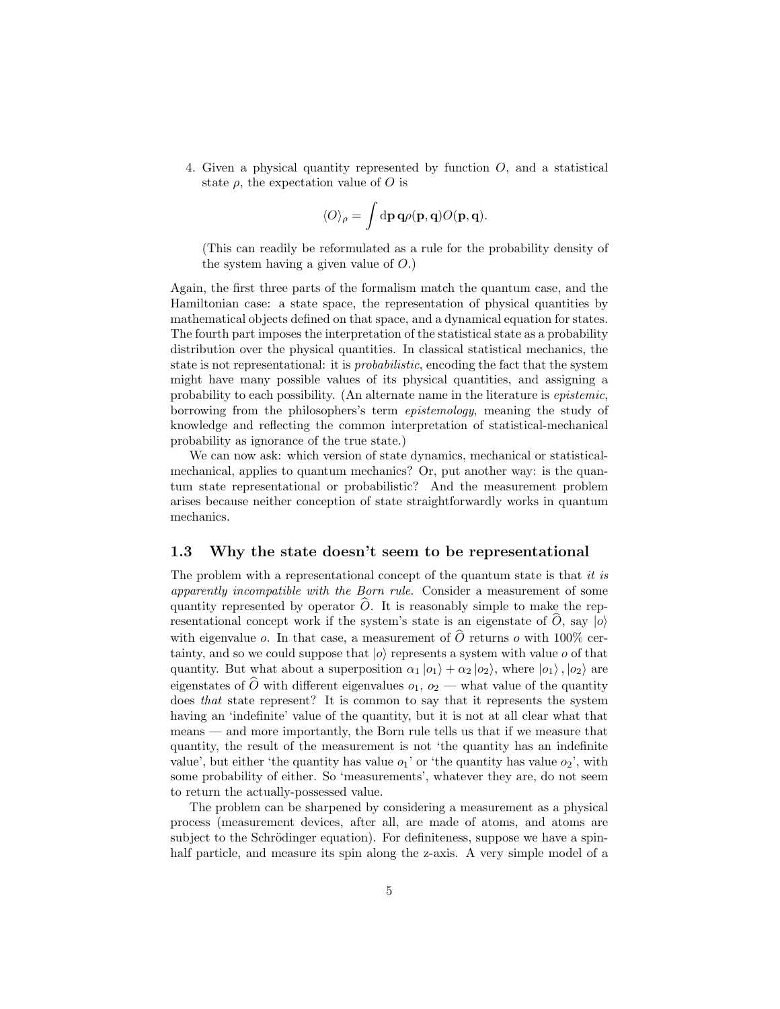4. Given a physical quantity represented by function  $O$ , and a statistical state  $\rho$ , the expectation value of O is

$$
\langle O\rangle_{\rho}=\int\mathrm{d}\mathbf{p}\,\mathbf{q}\rho(\mathbf{p},\mathbf{q})O(\mathbf{p},\mathbf{q}).
$$

(This can readily be reformulated as a rule for the probability density of the system having a given value of  $O.$ )

Again, the first three parts of the formalism match the quantum case, and the Hamiltonian case: a state space, the representation of physical quantities by mathematical objects defined on that space, and a dynamical equation for states. The fourth part imposes the interpretation of the statistical state as a probability distribution over the physical quantities. In classical statistical mechanics, the state is not representational: it is probabilistic, encoding the fact that the system might have many possible values of its physical quantities, and assigning a probability to each possibility. (An alternate name in the literature is epistemic, borrowing from the philosophers's term epistemology, meaning the study of knowledge and reflecting the common interpretation of statistical-mechanical probability as ignorance of the true state.)

We can now ask: which version of state dynamics, mechanical or statisticalmechanical, applies to quantum mechanics? Or, put another way: is the quantum state representational or probabilistic? And the measurement problem arises because neither conception of state straightforwardly works in quantum mechanics.

#### 1.3 Why the state doesn't seem to be representational

The problem with a representational concept of the quantum state is that it is apparently incompatible with the Born rule. Consider a measurement of some quantity represented by operator  $\hat{O}$ . It is reasonably simple to make the representational concept work if the system's state is an eigenstate of O, say  $|o\rangle$ with eigenvalue o. In that case, a measurement of  $\widehat{O}$  returns o with 100% certainty, and so we could suppose that  $|o\rangle$  represents a system with value o of that quantity. But what about a superposition  $\alpha_1 |o_1\rangle + \alpha_2 |o_2\rangle$ , where  $|o_1\rangle, |o_2\rangle$  are eigenstates of  $\widehat{O}$  with different eigenvalues  $o_1, o_2$  — what value of the quantity does that state represent? It is common to say that it represents the system having an 'indefinite' value of the quantity, but it is not at all clear what that means — and more importantly, the Born rule tells us that if we measure that quantity, the result of the measurement is not 'the quantity has an indefinite value', but either 'the quantity has value  $o_1$ ' or 'the quantity has value  $o_2$ ', with some probability of either. So 'measurements', whatever they are, do not seem to return the actually-possessed value.

The problem can be sharpened by considering a measurement as a physical process (measurement devices, after all, are made of atoms, and atoms are subject to the Schrödinger equation). For definiteness, suppose we have a spinhalf particle, and measure its spin along the z-axis. A very simple model of a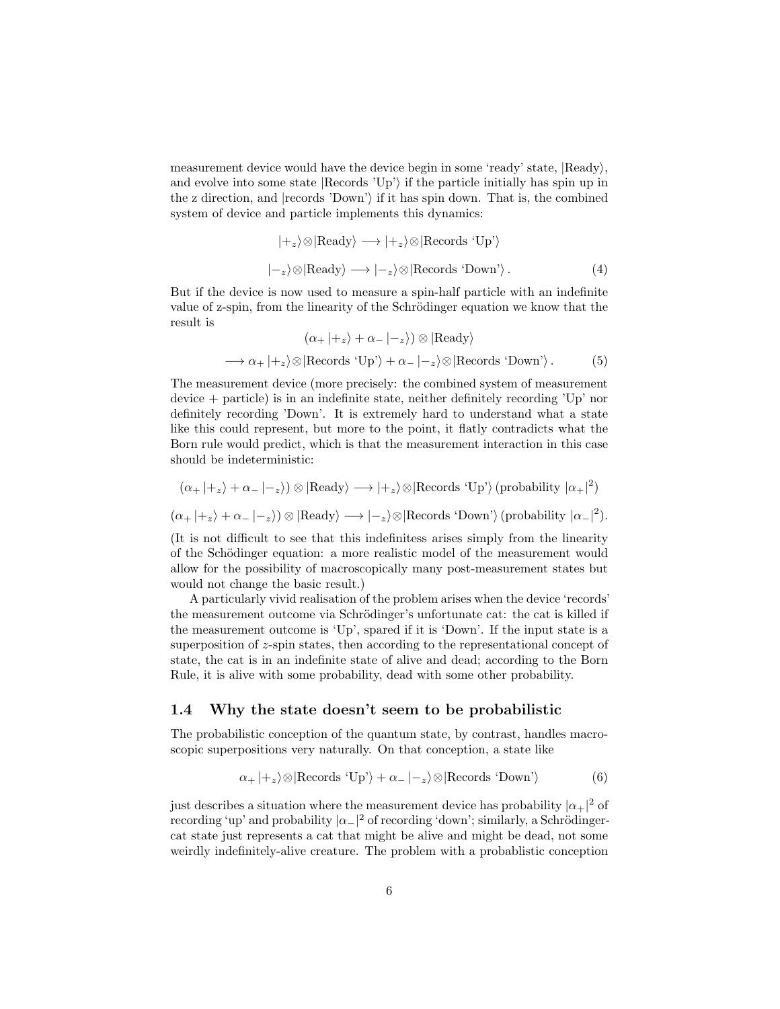measurement device would have the device begin in some 'ready' state,  $|Ready\rangle$ , and evolve into some state  $|Re cords'Up'\rangle$  if the particle initially has spin up in the z direction, and  $|records$  'Down' if it has spin down. That is, the combined system of device and particle implements this dynamics:

$$
|+_z\rangle \otimes |\text{Ready}\rangle \longrightarrow |+_z\rangle \otimes |\text{Records 'Up'}\rangle
$$
  

$$
|-_z\rangle \otimes |\text{Ready}\rangle \longrightarrow |-_z\rangle \otimes |\text{Records 'Down'}\rangle.
$$
 (4)

But if the device is now used to measure a spin-half particle with an indefinite value of z-spin, from the linearity of the Schrödinger equation we know that the result is

$$
(\alpha_+ |+_z\rangle + \alpha_- |-_z\rangle) \otimes |\text{Ready}\rangle
$$
  
\n
$$
\longrightarrow \alpha_+ |+_z\rangle \otimes |\text{Records 'Up'}\rangle + \alpha_- |-_z\rangle \otimes |\text{Records 'Down'}\rangle. \tag{5}
$$

The measurement device (more precisely: the combined system of measurement device + particle) is in an indefinite state, neither definitely recording 'Up' nor definitely recording 'Down'. It is extremely hard to understand what a state like this could represent, but more to the point, it flatly contradicts what the Born rule would predict, which is that the measurement interaction in this case should be indeterministic:

$$
(\alpha_+ \mid +_z \rangle + \alpha_- \mid -_z \rangle) \otimes |\text{Ready}\rangle \longrightarrow |+_z\rangle \otimes |\text{Records 'Up'}\rangle \text{ (probability } |\alpha_+|^2)
$$
  

$$
(\alpha_+ \mid +_z \rangle + \alpha_- \mid -_z \rangle) \otimes |\text{Ready}\rangle \longrightarrow |-_z\rangle \otimes |\text{Records 'Down'}\rangle \text{ (probability } |\alpha_-|^2).
$$

(It is not difficult to see that this indefinitess arises simply from the linearity of the Schödinger equation: a more realistic model of the measurement would allow for the possibility of macroscopically many post-measurement states but would not change the basic result.)

A particularly vivid realisation of the problem arises when the device 'records' the measurement outcome via Schrödinger's unfortunate cat: the cat is killed if the measurement outcome is 'Up', spared if it is 'Down'. If the input state is a superposition of z-spin states, then according to the representational concept of state, the cat is in an indefinite state of alive and dead; according to the Born Rule, it is alive with some probability, dead with some other probability.

#### 1.4 Why the state doesn't seem to be probabilistic

The probabilistic conception of the quantum state, by contrast, handles macroscopic superpositions very naturally. On that conception, a state like

$$
\alpha_{+}|+_z\rangle \otimes |\text{Reords 'Up'}\rangle + \alpha_{-}|-_z\rangle \otimes |\text{Reords 'Down'}\rangle
$$
 (6)

just describes a situation where the measurement device has probability  $|\alpha_+|^2$  of recording 'up' and probability  $|\alpha_-|^2$  of recording 'down'; similarly, a Schrödingercat state just represents a cat that might be alive and might be dead, not some weirdly indefinitely-alive creature. The problem with a probablistic conception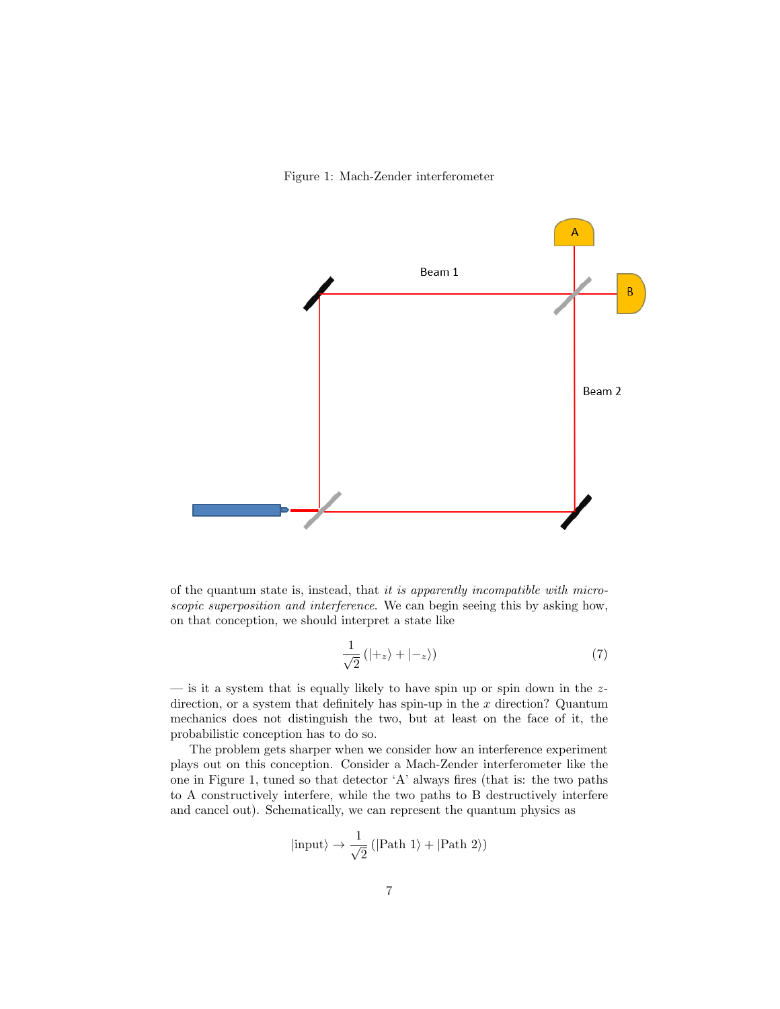Figure 1: Mach-Zender interferometer



of the quantum state is, instead, that it is apparently incompatible with microscopic superposition and interference. We can begin seeing this by asking how, on that conception, we should interpret a state like

$$
\frac{1}{\sqrt{2}}\left(|+_z\rangle+|-_z\rangle\right) \tag{7}
$$

— is it a system that is equally likely to have spin up or spin down in the  $z$ direction, or a system that definitely has spin-up in the  $x$  direction? Quantum mechanics does not distinguish the two, but at least on the face of it, the probabilistic conception has to do so.

The problem gets sharper when we consider how an interference experiment plays out on this conception. Consider a Mach-Zender interferometer like the one in Figure 1, tuned so that detector 'A' always fires (that is: the two paths to A constructively interfere, while the two paths to B destructively interfere and cancel out). Schematically, we can represent the quantum physics as

$$
|\mathrm{input}\rangle\rightarrow\frac{1}{\sqrt{2}}\left(|\text{Path 1}\rangle+|\text{Path 2}\rangle\right)
$$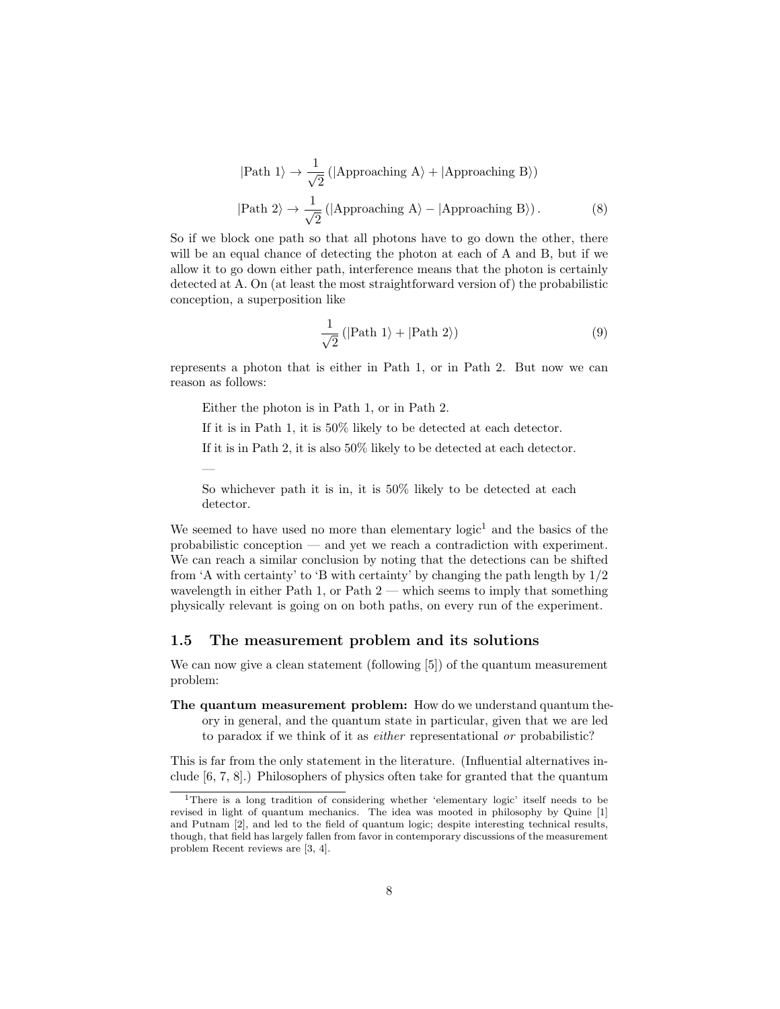$$
|\text{Path 1}\rangle \to \frac{1}{\sqrt{2}} \left( |\text{Approxching A}\rangle + |\text{Approxching B}\rangle \right)
$$
  

$$
|\text{Path 2}\rangle \to \frac{1}{\sqrt{2}} \left( |\text{Approxching A}\rangle - |\text{Approxching B}\rangle \right).
$$
 (8)

So if we block one path so that all photons have to go down the other, there will be an equal chance of detecting the photon at each of A and B, but if we allow it to go down either path, interference means that the photon is certainly detected at A. On (at least the most straightforward version of) the probabilistic conception, a superposition like

$$
\frac{1}{\sqrt{2}}\left(|\text{Path 1}\rangle + |\text{Path 2}\rangle\right) \tag{9}
$$

represents a photon that is either in Path 1, or in Path 2. But now we can reason as follows:

Either the photon is in Path 1, or in Path 2.

—

If it is in Path 1, it is 50% likely to be detected at each detector.

If it is in Path 2, it is also 50% likely to be detected at each detector.

So whichever path it is in, it is 50% likely to be detected at each detector.

We seemed to have used no more than elementary  $logic<sup>1</sup>$  and the basics of the probabilistic conception — and yet we reach a contradiction with experiment. We can reach a similar conclusion by noting that the detections can be shifted from 'A with certainty' to 'B with certainty' by changing the path length by 1/2 wavelength in either Path 1, or Path 2 — which seems to imply that something physically relevant is going on on both paths, on every run of the experiment.

#### 1.5 The measurement problem and its solutions

We can now give a clean statement (following [5]) of the quantum measurement problem:

The quantum measurement problem: How do we understand quantum theory in general, and the quantum state in particular, given that we are led to paradox if we think of it as either representational or probabilistic?

This is far from the only statement in the literature. (Influential alternatives include [6, 7, 8].) Philosophers of physics often take for granted that the quantum

<sup>1</sup>There is a long tradition of considering whether 'elementary logic' itself needs to be revised in light of quantum mechanics. The idea was mooted in philosophy by Quine [1] and Putnam [2], and led to the field of quantum logic; despite interesting technical results, though, that field has largely fallen from favor in contemporary discussions of the measurement problem Recent reviews are [3, 4].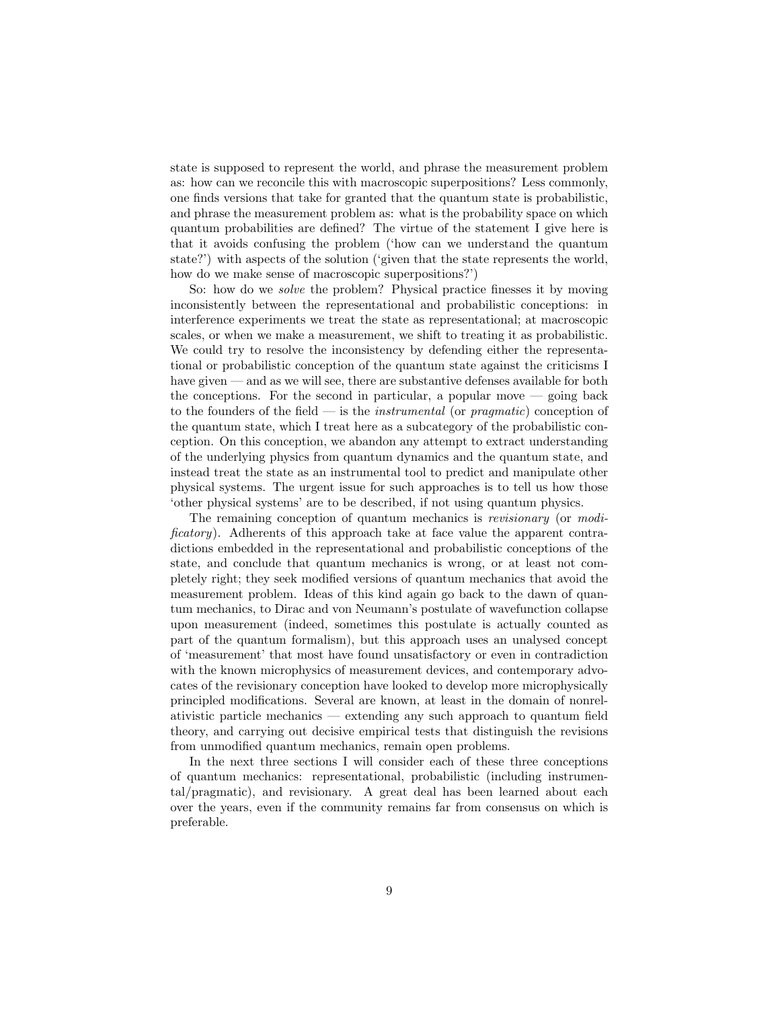state is supposed to represent the world, and phrase the measurement problem as: how can we reconcile this with macroscopic superpositions? Less commonly, one finds versions that take for granted that the quantum state is probabilistic, and phrase the measurement problem as: what is the probability space on which quantum probabilities are defined? The virtue of the statement I give here is that it avoids confusing the problem ('how can we understand the quantum state?') with aspects of the solution ('given that the state represents the world, how do we make sense of macroscopic superpositions?')

So: how do we solve the problem? Physical practice finesses it by moving inconsistently between the representational and probabilistic conceptions: in interference experiments we treat the state as representational; at macroscopic scales, or when we make a measurement, we shift to treating it as probabilistic. We could try to resolve the inconsistency by defending either the representational or probabilistic conception of the quantum state against the criticisms I have given — and as we will see, there are substantive defenses available for both the conceptions. For the second in particular, a popular move — going back to the founders of the field — is the *instrumental* (or *pragmatic*) conception of the quantum state, which I treat here as a subcategory of the probabilistic conception. On this conception, we abandon any attempt to extract understanding of the underlying physics from quantum dynamics and the quantum state, and instead treat the state as an instrumental tool to predict and manipulate other physical systems. The urgent issue for such approaches is to tell us how those 'other physical systems' are to be described, if not using quantum physics.

The remaining conception of quantum mechanics is *revisionary* (or *modi*ficatory). Adherents of this approach take at face value the apparent contradictions embedded in the representational and probabilistic conceptions of the state, and conclude that quantum mechanics is wrong, or at least not completely right; they seek modified versions of quantum mechanics that avoid the measurement problem. Ideas of this kind again go back to the dawn of quantum mechanics, to Dirac and von Neumann's postulate of wavefunction collapse upon measurement (indeed, sometimes this postulate is actually counted as part of the quantum formalism), but this approach uses an unalysed concept of 'measurement' that most have found unsatisfactory or even in contradiction with the known microphysics of measurement devices, and contemporary advocates of the revisionary conception have looked to develop more microphysically principled modifications. Several are known, at least in the domain of nonrelativistic particle mechanics — extending any such approach to quantum field theory, and carrying out decisive empirical tests that distinguish the revisions from unmodified quantum mechanics, remain open problems.

In the next three sections I will consider each of these three conceptions of quantum mechanics: representational, probabilistic (including instrumental/pragmatic), and revisionary. A great deal has been learned about each over the years, even if the community remains far from consensus on which is preferable.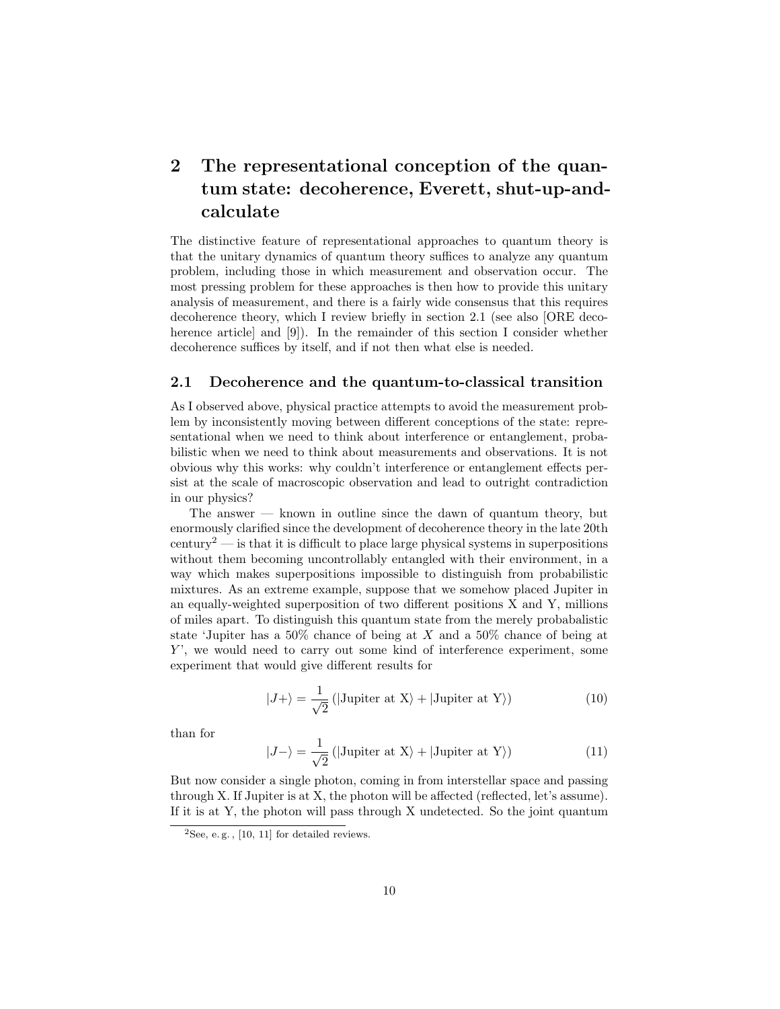# 2 The representational conception of the quantum state: decoherence, Everett, shut-up-andcalculate

The distinctive feature of representational approaches to quantum theory is that the unitary dynamics of quantum theory suffices to analyze any quantum problem, including those in which measurement and observation occur. The most pressing problem for these approaches is then how to provide this unitary analysis of measurement, and there is a fairly wide consensus that this requires decoherence theory, which I review briefly in section 2.1 (see also [ORE decoherence article] and [9]). In the remainder of this section I consider whether decoherence suffices by itself, and if not then what else is needed.

#### 2.1 Decoherence and the quantum-to-classical transition

As I observed above, physical practice attempts to avoid the measurement problem by inconsistently moving between different conceptions of the state: representational when we need to think about interference or entanglement, probabilistic when we need to think about measurements and observations. It is not obvious why this works: why couldn't interference or entanglement effects persist at the scale of macroscopic observation and lead to outright contradiction in our physics?

The answer  $-$  known in outline since the dawn of quantum theory, but enormously clarified since the development of decoherence theory in the late 20th century<sup>2</sup> — is that it is difficult to place large physical systems in superpositions without them becoming uncontrollably entangled with their environment, in a way which makes superpositions impossible to distinguish from probabilistic mixtures. As an extreme example, suppose that we somehow placed Jupiter in an equally-weighted superposition of two different positions X and Y, millions of miles apart. To distinguish this quantum state from the merely probabalistic state 'Jupiter has a  $50\%$  chance of being at X and a  $50\%$  chance of being at  $Y'$ , we would need to carry out some kind of interference experiment, some experiment that would give different results for

$$
|J+\rangle = \frac{1}{\sqrt{2}} (|\text{Jupiter at X}\rangle + |\text{Jupiter at Y}\rangle)
$$
 (10)

than for

$$
|J-\rangle = \frac{1}{\sqrt{2}} (|\text{Jupiter at X}\rangle + |\text{Jupiter at Y}\rangle)
$$
 (11)

But now consider a single photon, coming in from interstellar space and passing through X. If Jupiter is at X, the photon will be affected (reflected, let's assume). If it is at Y, the photon will pass through X undetected. So the joint quantum

<sup>&</sup>lt;sup>2</sup>See, e.g.,  $[10, 11]$  for detailed reviews.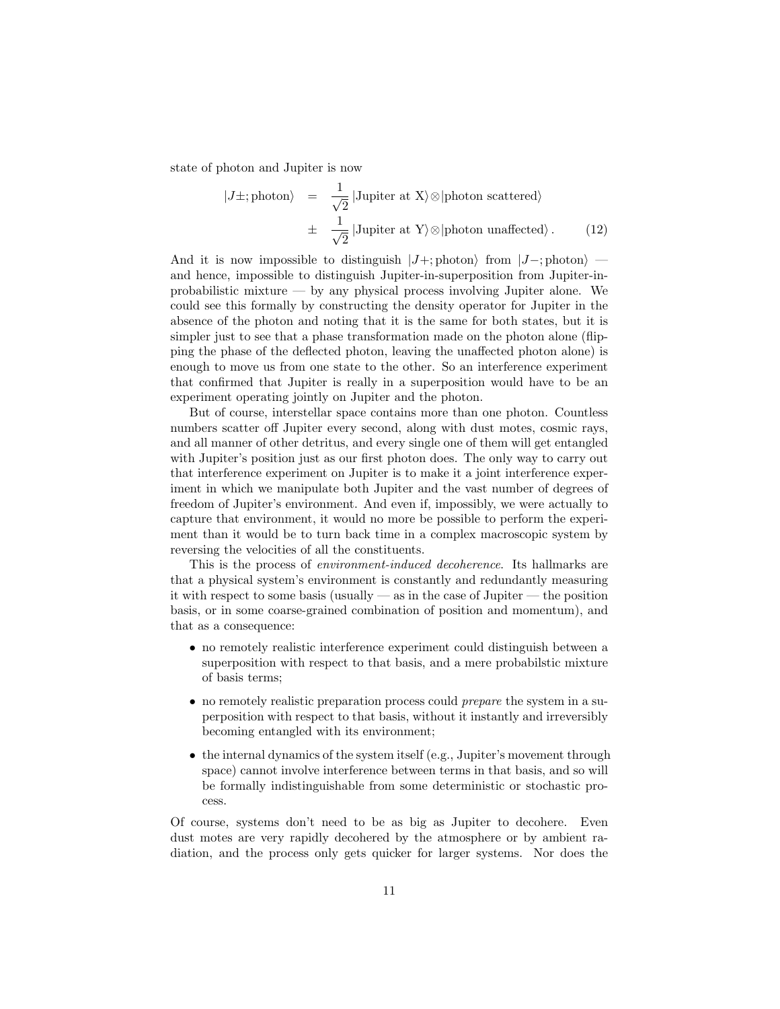state of photon and Jupiter is now

$$
|J\pm; \text{photon}\rangle = \frac{1}{\sqrt{2}} | \text{Jupiter at X} \rangle \otimes | \text{photon scattered} \rangle
$$
  

$$
\pm \frac{1}{\sqrt{2}} | \text{Jupiter at Y} \rangle \otimes | \text{photon unaffected} \rangle. \tag{12}
$$

And it is now impossible to distinguish  $|J+;$  photon)  $|J-;$  photon $\rangle$  and hence, impossible to distinguish Jupiter-in-superposition from Jupiter-inprobabilistic mixture — by any physical process involving Jupiter alone. We could see this formally by constructing the density operator for Jupiter in the absence of the photon and noting that it is the same for both states, but it is simpler just to see that a phase transformation made on the photon alone (flipping the phase of the deflected photon, leaving the unaffected photon alone) is enough to move us from one state to the other. So an interference experiment that confirmed that Jupiter is really in a superposition would have to be an experiment operating jointly on Jupiter and the photon.

But of course, interstellar space contains more than one photon. Countless numbers scatter off Jupiter every second, along with dust motes, cosmic rays, and all manner of other detritus, and every single one of them will get entangled with Jupiter's position just as our first photon does. The only way to carry out that interference experiment on Jupiter is to make it a joint interference experiment in which we manipulate both Jupiter and the vast number of degrees of freedom of Jupiter's environment. And even if, impossibly, we were actually to capture that environment, it would no more be possible to perform the experiment than it would be to turn back time in a complex macroscopic system by reversing the velocities of all the constituents.

This is the process of environment-induced decoherence. Its hallmarks are that a physical system's environment is constantly and redundantly measuring it with respect to some basis (usually — as in the case of Jupiter — the position basis, or in some coarse-grained combination of position and momentum), and that as a consequence:

- no remotely realistic interference experiment could distinguish between a superposition with respect to that basis, and a mere probabilstic mixture of basis terms;
- no remotely realistic preparation process could *prepare* the system in a superposition with respect to that basis, without it instantly and irreversibly becoming entangled with its environment;
- the internal dynamics of the system itself (e.g., Jupiter's movement through space) cannot involve interference between terms in that basis, and so will be formally indistinguishable from some deterministic or stochastic process.

Of course, systems don't need to be as big as Jupiter to decohere. Even dust motes are very rapidly decohered by the atmosphere or by ambient radiation, and the process only gets quicker for larger systems. Nor does the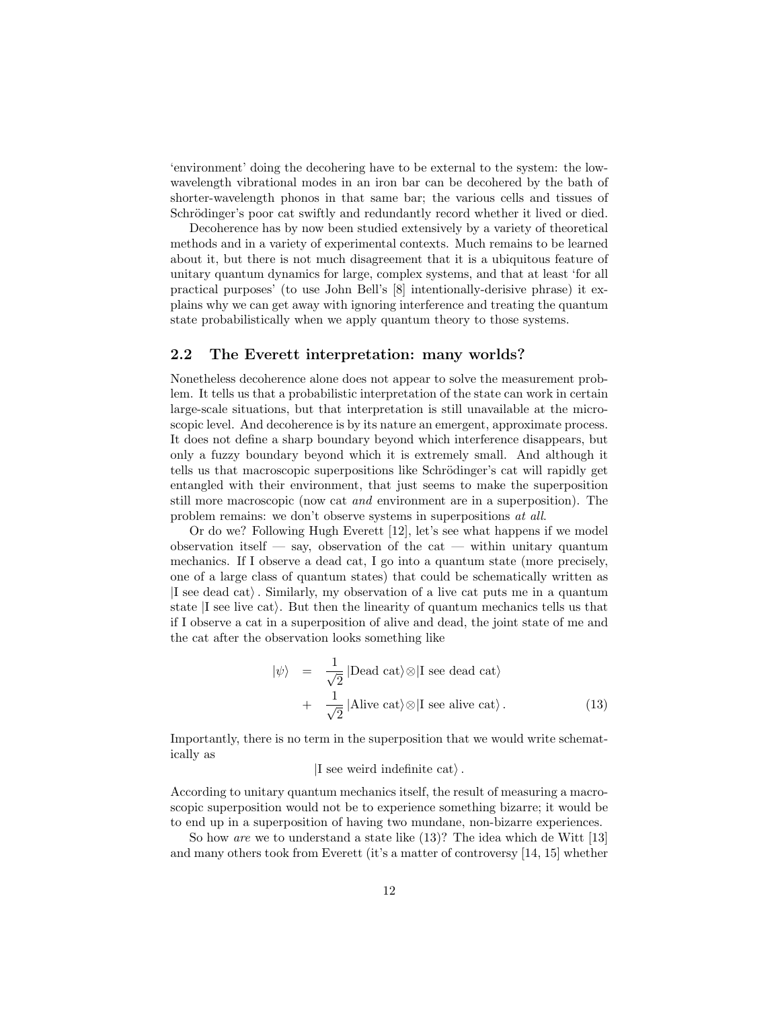'environment' doing the decohering have to be external to the system: the lowwavelength vibrational modes in an iron bar can be decohered by the bath of shorter-wavelength phonos in that same bar; the various cells and tissues of Schrödinger's poor cat swiftly and redundantly record whether it lived or died.

Decoherence has by now been studied extensively by a variety of theoretical methods and in a variety of experimental contexts. Much remains to be learned about it, but there is not much disagreement that it is a ubiquitous feature of unitary quantum dynamics for large, complex systems, and that at least 'for all practical purposes' (to use John Bell's [8] intentionally-derisive phrase) it explains why we can get away with ignoring interference and treating the quantum state probabilistically when we apply quantum theory to those systems.

## 2.2 The Everett interpretation: many worlds?

Nonetheless decoherence alone does not appear to solve the measurement problem. It tells us that a probabilistic interpretation of the state can work in certain large-scale situations, but that interpretation is still unavailable at the microscopic level. And decoherence is by its nature an emergent, approximate process. It does not define a sharp boundary beyond which interference disappears, but only a fuzzy boundary beyond which it is extremely small. And although it tells us that macroscopic superpositions like Schrödinger's cat will rapidly get entangled with their environment, that just seems to make the superposition still more macroscopic (now cat and environment are in a superposition). The problem remains: we don't observe systems in superpositions at all.

Or do we? Following Hugh Everett [12], let's see what happens if we model observation itself — say, observation of the cat — within unitary quantum mechanics. If I observe a dead cat, I go into a quantum state (more precisely, one of a large class of quantum states) that could be schematically written as  $|I|$  see dead cat). Similarly, my observation of a live cat puts me in a quantum state  $|I \rangle$  see live cat.). But then the linearity of quantum mechanics tells us that if I observe a cat in a superposition of alive and dead, the joint state of me and the cat after the observation looks something like

$$
|\psi\rangle = \frac{1}{\sqrt{2}} |\text{Dead cat}\rangle \otimes |\text{I see dead cat}\rangle + \frac{1}{\sqrt{2}} |\text{Alive cat}\rangle \otimes |\text{I see alive cat}\rangle.
$$
 (13)

Importantly, there is no term in the superposition that we would write schematically as

#### I see weird indefinite cat...

According to unitary quantum mechanics itself, the result of measuring a macroscopic superposition would not be to experience something bizarre; it would be to end up in a superposition of having two mundane, non-bizarre experiences.

So how are we to understand a state like (13)? The idea which de Witt [13] and many others took from Everett (it's a matter of controversy [14, 15] whether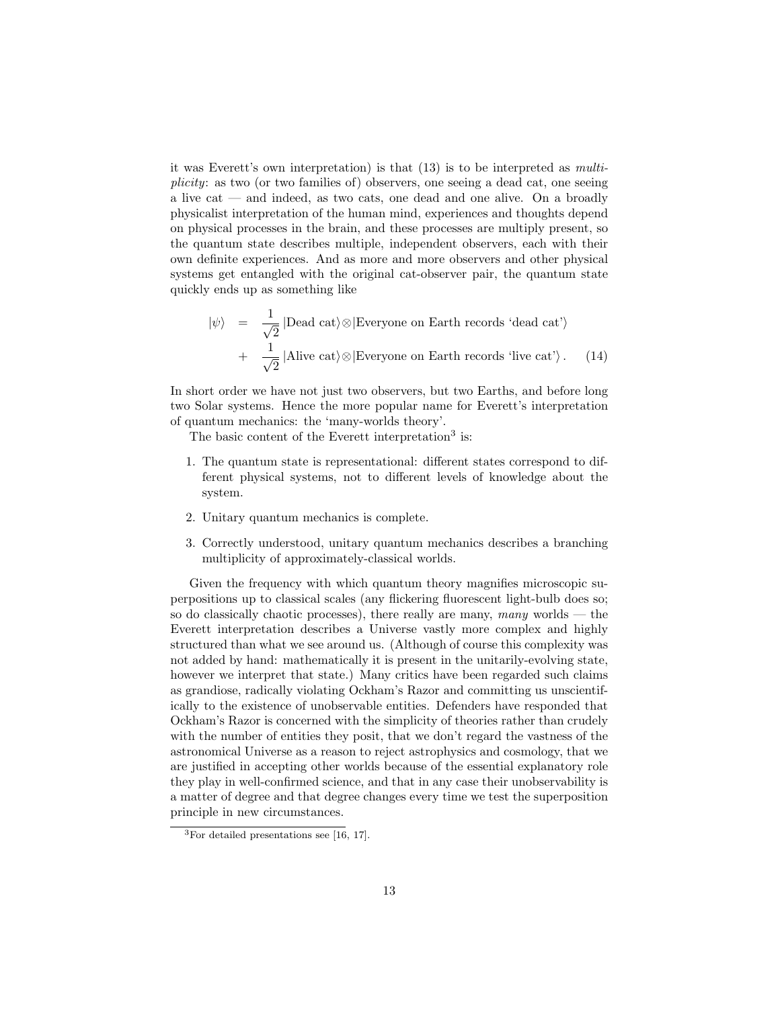it was Everett's own interpretation) is that (13) is to be interpreted as multiplicity: as two (or two families of) observers, one seeing a dead cat, one seeing a live cat — and indeed, as two cats, one dead and one alive. On a broadly physicalist interpretation of the human mind, experiences and thoughts depend on physical processes in the brain, and these processes are multiply present, so the quantum state describes multiple, independent observers, each with their own definite experiences. And as more and more observers and other physical systems get entangled with the original cat-observer pair, the quantum state quickly ends up as something like

$$
|\psi\rangle = \frac{1}{\sqrt{2}} |\text{Dead cat}\rangle \otimes |\text{Everyone on Earth records 'dead cat'}\rangle + \frac{1}{\sqrt{2}} |\text{Alive cat}\rangle \otimes |\text{Everyone on Earth records 'live cat'}\rangle. \quad (14)
$$

In short order we have not just two observers, but two Earths, and before long two Solar systems. Hence the more popular name for Everett's interpretation of quantum mechanics: the 'many-worlds theory'.

The basic content of the Everett interpretation<sup>3</sup> is:

- 1. The quantum state is representational: different states correspond to different physical systems, not to different levels of knowledge about the system.
- 2. Unitary quantum mechanics is complete.
- 3. Correctly understood, unitary quantum mechanics describes a branching multiplicity of approximately-classical worlds.

Given the frequency with which quantum theory magnifies microscopic superpositions up to classical scales (any flickering fluorescent light-bulb does so; so do classically chaotic processes), there really are many, many worlds  $-$  the Everett interpretation describes a Universe vastly more complex and highly structured than what we see around us. (Although of course this complexity was not added by hand: mathematically it is present in the unitarily-evolving state, however we interpret that state.) Many critics have been regarded such claims as grandiose, radically violating Ockham's Razor and committing us unscientifically to the existence of unobservable entities. Defenders have responded that Ockham's Razor is concerned with the simplicity of theories rather than crudely with the number of entities they posit, that we don't regard the vastness of the astronomical Universe as a reason to reject astrophysics and cosmology, that we are justified in accepting other worlds because of the essential explanatory role they play in well-confirmed science, and that in any case their unobservability is a matter of degree and that degree changes every time we test the superposition principle in new circumstances.

<sup>3</sup>For detailed presentations see [16, 17].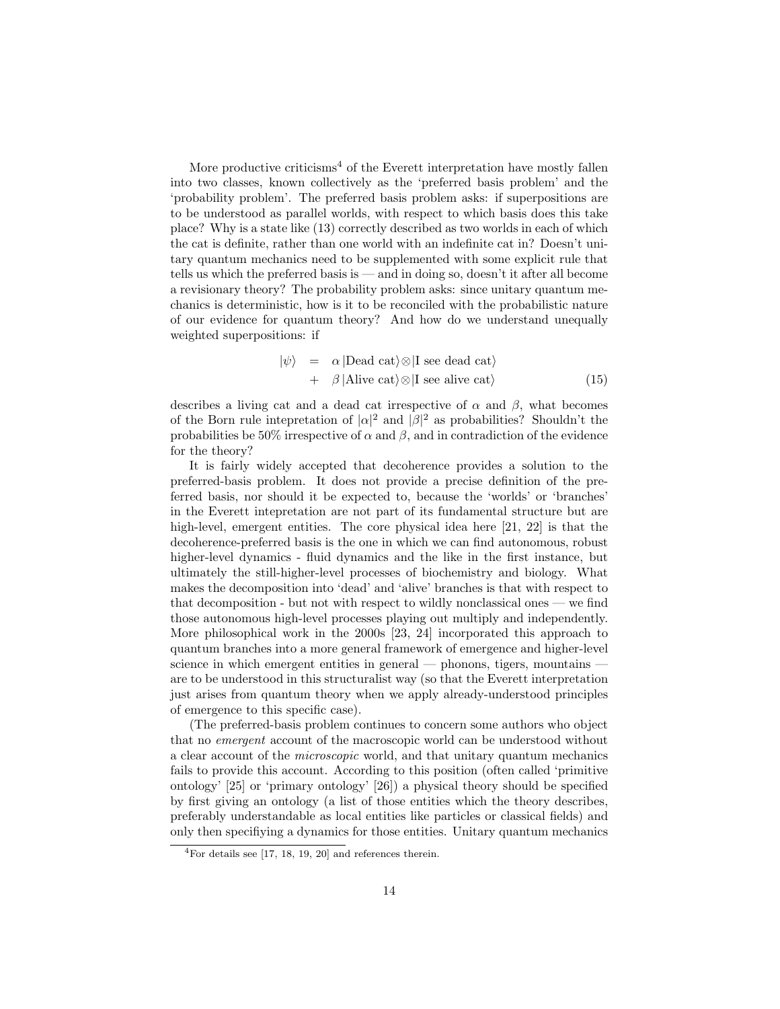More productive criticisms<sup>4</sup> of the Everett interpretation have mostly fallen into two classes, known collectively as the 'preferred basis problem' and the 'probability problem'. The preferred basis problem asks: if superpositions are to be understood as parallel worlds, with respect to which basis does this take place? Why is a state like (13) correctly described as two worlds in each of which the cat is definite, rather than one world with an indefinite cat in? Doesn't unitary quantum mechanics need to be supplemented with some explicit rule that tells us which the preferred basis is — and in doing so, doesn't it after all become a revisionary theory? The probability problem asks: since unitary quantum mechanics is deterministic, how is it to be reconciled with the probabilistic nature of our evidence for quantum theory? And how do we understand unequally weighted superpositions: if

$$
|\psi\rangle = \alpha |\text{Dead cat}\rangle \otimes |\text{I see dead cat}\rangle + \beta |\text{Alive cat}\rangle \otimes |\text{I see alive cat}\rangle
$$
 (15)

describes a living cat and a dead cat irrespective of  $\alpha$  and  $\beta$ , what becomes of the Born rule intepretation of  $|\alpha|^2$  and  $|\beta|^2$  as probabilities? Shouldn't the probabilities be 50% irrespective of  $\alpha$  and  $\beta$ , and in contradiction of the evidence for the theory?

It is fairly widely accepted that decoherence provides a solution to the preferred-basis problem. It does not provide a precise definition of the preferred basis, nor should it be expected to, because the 'worlds' or 'branches' in the Everett intepretation are not part of its fundamental structure but are high-level, emergent entities. The core physical idea here [21, 22] is that the decoherence-preferred basis is the one in which we can find autonomous, robust higher-level dynamics - fluid dynamics and the like in the first instance, but ultimately the still-higher-level processes of biochemistry and biology. What makes the decomposition into 'dead' and 'alive' branches is that with respect to that decomposition - but not with respect to wildly nonclassical ones — we find those autonomous high-level processes playing out multiply and independently. More philosophical work in the 2000s [23, 24] incorporated this approach to quantum branches into a more general framework of emergence and higher-level science in which emergent entities in general — phonons, tigers, mountains are to be understood in this structuralist way (so that the Everett interpretation just arises from quantum theory when we apply already-understood principles of emergence to this specific case).

(The preferred-basis problem continues to concern some authors who object that no emergent account of the macroscopic world can be understood without a clear account of the microscopic world, and that unitary quantum mechanics fails to provide this account. According to this position (often called 'primitive ontology' [25] or 'primary ontology' [26]) a physical theory should be specified by first giving an ontology (a list of those entities which the theory describes, preferably understandable as local entities like particles or classical fields) and only then specifiying a dynamics for those entities. Unitary quantum mechanics

<sup>4</sup>For details see [17, 18, 19, 20] and references therein.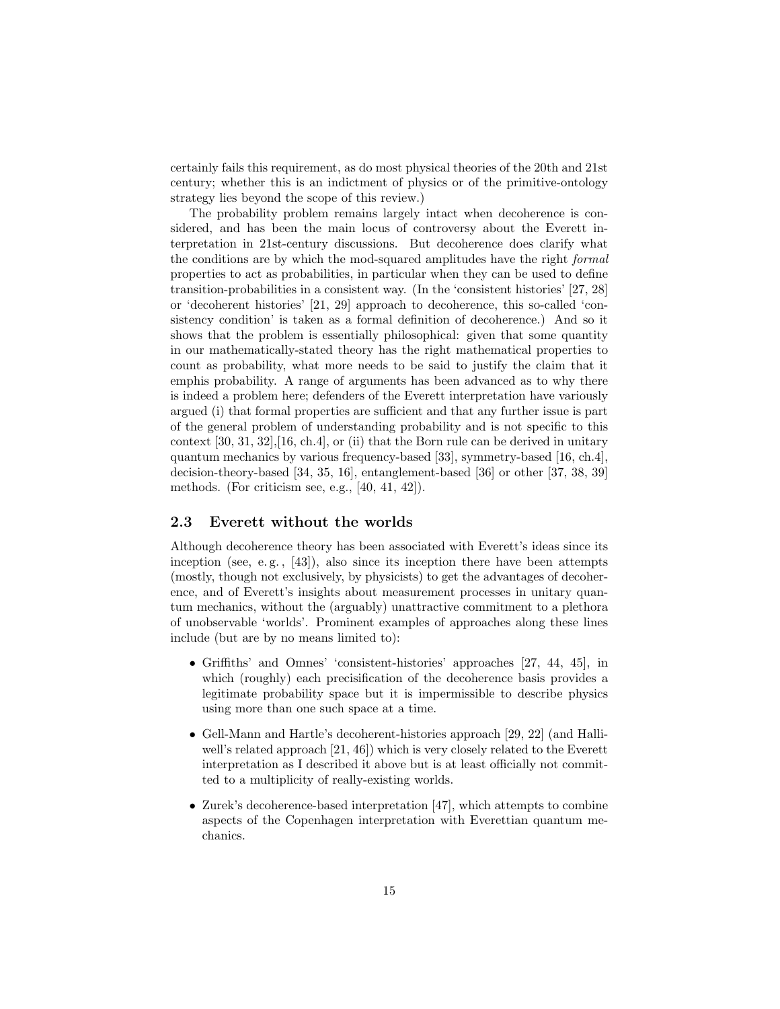certainly fails this requirement, as do most physical theories of the 20th and 21st century; whether this is an indictment of physics or of the primitive-ontology strategy lies beyond the scope of this review.)

The probability problem remains largely intact when decoherence is considered, and has been the main locus of controversy about the Everett interpretation in 21st-century discussions. But decoherence does clarify what the conditions are by which the mod-squared amplitudes have the right formal properties to act as probabilities, in particular when they can be used to define transition-probabilities in a consistent way. (In the 'consistent histories' [27, 28] or 'decoherent histories' [21, 29] approach to decoherence, this so-called 'consistency condition' is taken as a formal definition of decoherence.) And so it shows that the problem is essentially philosophical: given that some quantity in our mathematically-stated theory has the right mathematical properties to count as probability, what more needs to be said to justify the claim that it emphis probability. A range of arguments has been advanced as to why there is indeed a problem here; defenders of the Everett interpretation have variously argued (i) that formal properties are sufficient and that any further issue is part of the general problem of understanding probability and is not specific to this context [30, 31, 32],[16, ch.4], or (ii) that the Born rule can be derived in unitary quantum mechanics by various frequency-based [33], symmetry-based [16, ch.4], decision-theory-based [34, 35, 16], entanglement-based [36] or other [37, 38, 39] methods. (For criticism see, e.g., [40, 41, 42]).

## 2.3 Everett without the worlds

Although decoherence theory has been associated with Everett's ideas since its inception (see, e.g., [43]), also since its inception there have been attempts (mostly, though not exclusively, by physicists) to get the advantages of decoherence, and of Everett's insights about measurement processes in unitary quantum mechanics, without the (arguably) unattractive commitment to a plethora of unobservable 'worlds'. Prominent examples of approaches along these lines include (but are by no means limited to):

- Griffiths' and Omnes' 'consistent-histories' approaches [27, 44, 45], in which (roughly) each precisification of the decoherence basis provides a legitimate probability space but it is impermissible to describe physics using more than one such space at a time.
- Gell-Mann and Hartle's decoherent-histories approach [29, 22] (and Halliwell's related approach [21, 46]) which is very closely related to the Everett interpretation as I described it above but is at least officially not committed to a multiplicity of really-existing worlds.
- Zurek's decoherence-based interpretation [47], which attempts to combine aspects of the Copenhagen interpretation with Everettian quantum mechanics.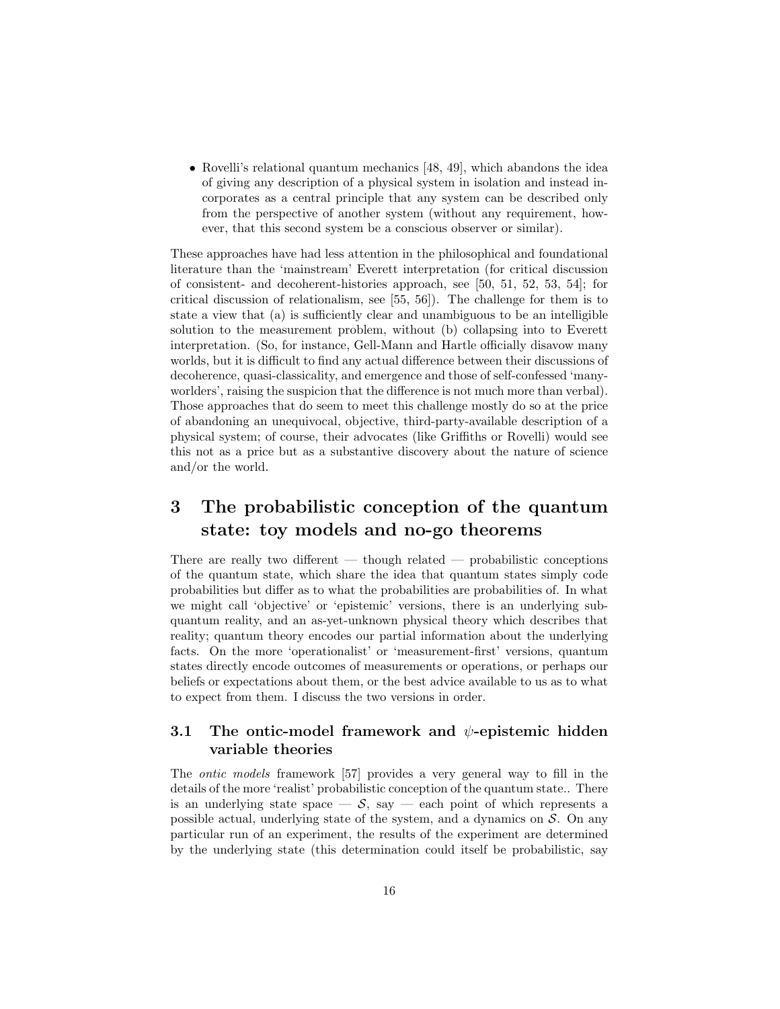• Rovelli's relational quantum mechanics [48, 49], which abandons the idea of giving any description of a physical system in isolation and instead incorporates as a central principle that any system can be described only from the perspective of another system (without any requirement, however, that this second system be a conscious observer or similar).

These approaches have had less attention in the philosophical and foundational literature than the 'mainstream' Everett interpretation (for critical discussion of consistent- and decoherent-histories approach, see [50, 51, 52, 53, 54]; for critical discussion of relationalism, see [55, 56]). The challenge for them is to state a view that (a) is sufficiently clear and unambiguous to be an intelligible solution to the measurement problem, without (b) collapsing into to Everett interpretation. (So, for instance, Gell-Mann and Hartle officially disavow many worlds, but it is difficult to find any actual difference between their discussions of decoherence, quasi-classicality, and emergence and those of self-confessed 'manyworlders', raising the suspicion that the difference is not much more than verbal). Those approaches that do seem to meet this challenge mostly do so at the price of abandoning an unequivocal, objective, third-party-available description of a physical system; of course, their advocates (like Griffiths or Rovelli) would see this not as a price but as a substantive discovery about the nature of science and/or the world.

# 3 The probabilistic conception of the quantum state: toy models and no-go theorems

There are really two different  $-$  though related  $-$  probabilistic conceptions of the quantum state, which share the idea that quantum states simply code probabilities but differ as to what the probabilities are probabilities of. In what we might call 'objective' or 'epistemic' versions, there is an underlying subquantum reality, and an as-yet-unknown physical theory which describes that reality; quantum theory encodes our partial information about the underlying facts. On the more 'operationalist' or 'measurement-first' versions, quantum states directly encode outcomes of measurements or operations, or perhaps our beliefs or expectations about them, or the best advice available to us as to what to expect from them. I discuss the two versions in order.

# 3.1 The ontic-model framework and  $\psi$ -epistemic hidden variable theories

The ontic models framework [57] provides a very general way to fill in the details of the more 'realist' probabilistic conception of the quantum state.. There is an underlying state space  $\mathcal{S}$ , say  $\mathcal{S}$  each point of which represents a possible actual, underlying state of the system, and a dynamics on  $S$ . On any particular run of an experiment, the results of the experiment are determined by the underlying state (this determination could itself be probabilistic, say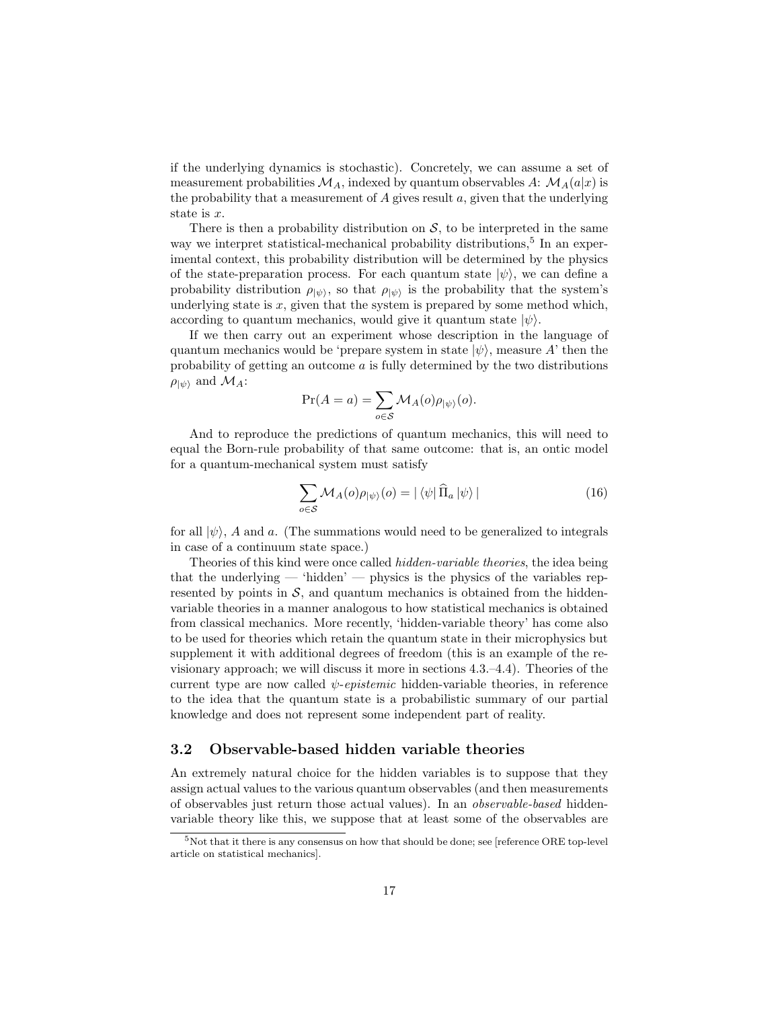if the underlying dynamics is stochastic). Concretely, we can assume a set of measurement probabilities  $\mathcal{M}_A$ , indexed by quantum observables A:  $\mathcal{M}_A(a|x)$  is the probability that a measurement of  $A$  gives result  $a$ , given that the underlying state is x.

There is then a probability distribution on  $S$ , to be interpreted in the same way we interpret statistical-mechanical probability distributions,<sup>5</sup> In an experimental context, this probability distribution will be determined by the physics of the state-preparation process. For each quantum state  $|\psi\rangle$ , we can define a probability distribution  $\rho_{|\psi\rangle}$ , so that  $\rho_{|\psi\rangle}$  is the probability that the system's underlying state is  $x$ , given that the system is prepared by some method which, according to quantum mechanics, would give it quantum state  $|\psi\rangle$ .

If we then carry out an experiment whose description in the language of quantum mechanics would be 'prepare system in state  $|\psi\rangle$ , measure A' then the probability of getting an outcome  $\alpha$  is fully determined by the two distributions  $\rho_{|\psi\rangle}$  and  $\mathcal{M}_A$ :

$$
\Pr(A = a) = \sum_{o \in \mathcal{S}} \mathcal{M}_A(o) \rho_{|\psi\rangle}(o).
$$

And to reproduce the predictions of quantum mechanics, this will need to equal the Born-rule probability of that same outcome: that is, an ontic model for a quantum-mechanical system must satisfy

$$
\sum_{o \in \mathcal{S}} \mathcal{M}_A(o) \rho_{|\psi\rangle}(o) = |\langle \psi | \hat{\Pi}_a | \psi \rangle| \tag{16}
$$

for all  $|\psi\rangle$ , A and a. (The summations would need to be generalized to integrals in case of a continuum state space.)

Theories of this kind were once called hidden-variable theories, the idea being that the underlying  $-$  'hidden'  $-$  physics is the physics of the variables represented by points in  $S$ , and quantum mechanics is obtained from the hiddenvariable theories in a manner analogous to how statistical mechanics is obtained from classical mechanics. More recently, 'hidden-variable theory' has come also to be used for theories which retain the quantum state in their microphysics but supplement it with additional degrees of freedom (this is an example of the revisionary approach; we will discuss it more in sections 4.3.–4.4). Theories of the current type are now called  $\psi$ -epistemic hidden-variable theories, in reference to the idea that the quantum state is a probabilistic summary of our partial knowledge and does not represent some independent part of reality.

## 3.2 Observable-based hidden variable theories

An extremely natural choice for the hidden variables is to suppose that they assign actual values to the various quantum observables (and then measurements of observables just return those actual values). In an observable-based hiddenvariable theory like this, we suppose that at least some of the observables are

<sup>5</sup>Not that it there is any consensus on how that should be done; see [reference ORE top-level article on statistical mechanics].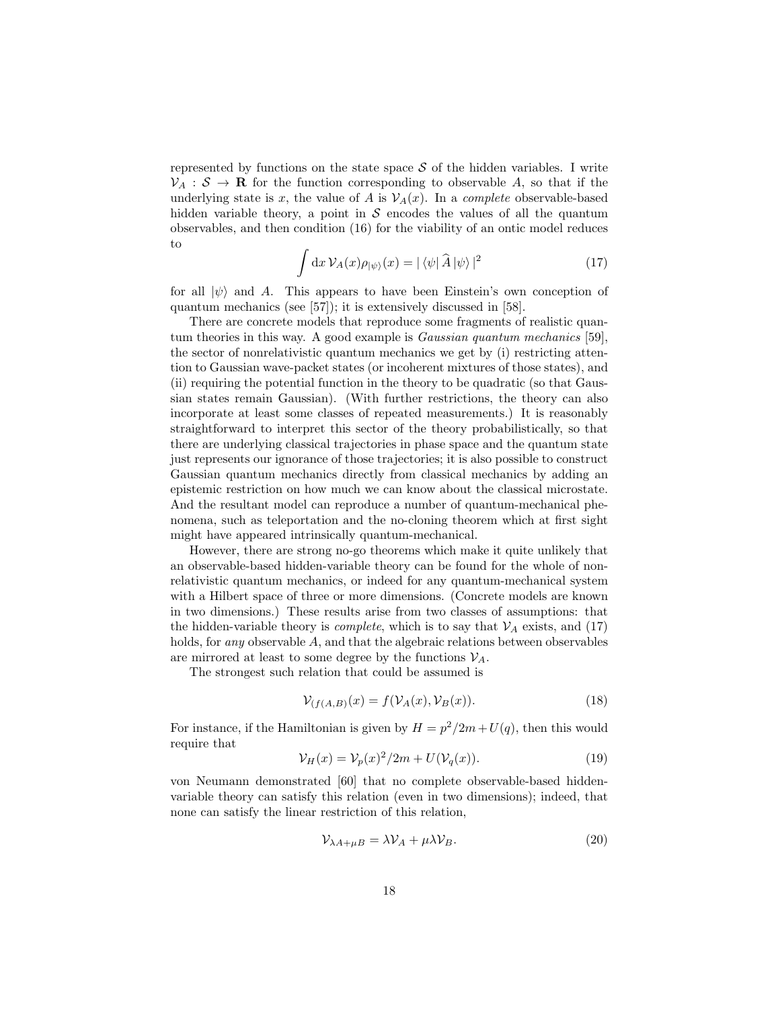represented by functions on the state space  $S$  of the hidden variables. I write  $V_A: \mathcal{S} \to \mathbf{R}$  for the function corresponding to observable A, so that if the underlying state is x, the value of A is  $\mathcal{V}_A(x)$ . In a *complete* observable-based hidden variable theory, a point in  $\mathcal S$  encodes the values of all the quantum observables, and then condition (16) for the viability of an ontic model reduces to

$$
\int dx \, \mathcal{V}_A(x) \rho_{|\psi\rangle}(x) = |\langle \psi | \, \widehat{A} | \psi \rangle|^2 \tag{17}
$$

for all  $|\psi\rangle$  and A. This appears to have been Einstein's own conception of quantum mechanics (see [57]); it is extensively discussed in [58].

There are concrete models that reproduce some fragments of realistic quantum theories in this way. A good example is Gaussian quantum mechanics [59], the sector of nonrelativistic quantum mechanics we get by (i) restricting attention to Gaussian wave-packet states (or incoherent mixtures of those states), and (ii) requiring the potential function in the theory to be quadratic (so that Gaussian states remain Gaussian). (With further restrictions, the theory can also incorporate at least some classes of repeated measurements.) It is reasonably straightforward to interpret this sector of the theory probabilistically, so that there are underlying classical trajectories in phase space and the quantum state just represents our ignorance of those trajectories; it is also possible to construct Gaussian quantum mechanics directly from classical mechanics by adding an epistemic restriction on how much we can know about the classical microstate. And the resultant model can reproduce a number of quantum-mechanical phenomena, such as teleportation and the no-cloning theorem which at first sight might have appeared intrinsically quantum-mechanical.

However, there are strong no-go theorems which make it quite unlikely that an observable-based hidden-variable theory can be found for the whole of nonrelativistic quantum mechanics, or indeed for any quantum-mechanical system with a Hilbert space of three or more dimensions. (Concrete models are known in two dimensions.) These results arise from two classes of assumptions: that the hidden-variable theory is *complete*, which is to say that  $V_A$  exists, and (17) holds, for *any* observable A, and that the algebraic relations between observables are mirrored at least to some degree by the functions  $\mathcal{V}_A$ .

The strongest such relation that could be assumed is

$$
\mathcal{V}_{(f(A,B)}(x) = f(\mathcal{V}_A(x), \mathcal{V}_B(x)).
$$
\n(18)

For instance, if the Hamiltonian is given by  $H = p^2/2m + U(q)$ , then this would require that

$$
\mathcal{V}_H(x) = \mathcal{V}_p(x)^2 / 2m + U(\mathcal{V}_q(x)).\tag{19}
$$

von Neumann demonstrated [60] that no complete observable-based hiddenvariable theory can satisfy this relation (even in two dimensions); indeed, that none can satisfy the linear restriction of this relation,

$$
\mathcal{V}_{\lambda A + \mu B} = \lambda \mathcal{V}_A + \mu \lambda \mathcal{V}_B. \tag{20}
$$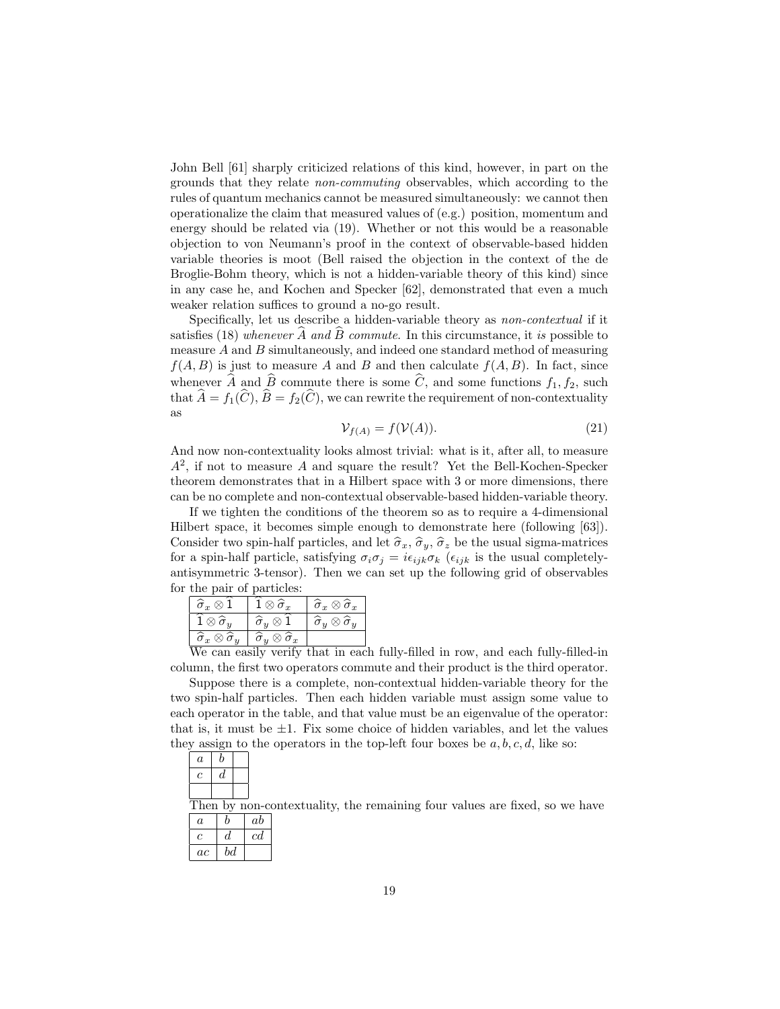John Bell [61] sharply criticized relations of this kind, however, in part on the grounds that they relate non-commuting observables, which according to the rules of quantum mechanics cannot be measured simultaneously: we cannot then operationalize the claim that measured values of (e.g.) position, momentum and energy should be related via (19). Whether or not this would be a reasonable objection to von Neumann's proof in the context of observable-based hidden variable theories is moot (Bell raised the objection in the context of the de Broglie-Bohm theory, which is not a hidden-variable theory of this kind) since in any case he, and Kochen and Specker [62], demonstrated that even a much weaker relation suffices to ground a no-go result.

Specifically, let us describe a hidden-variable theory as non-contextual if it satisfies (18) whenever  $\hat{A}$  and  $\hat{B}$  commute. In this circumstance, it is possible to measure A and B simultaneously, and indeed one standard method of measuring  $f(A, B)$  is just to measure A and B and then calculate  $f(A, B)$ . In fact, since whenever A and B commute there is some C, and some functions  $f_1, f_2$ , such that  $A = f_1(C), B = f_2(C)$ , we can rewrite the requirement of non-contextuality as

$$
\mathcal{V}_{f(A)} = f(\mathcal{V}(A)).\tag{21}
$$

And now non-contextuality looks almost trivial: what is it, after all, to measure  $A<sup>2</sup>$ , if not to measure A and square the result? Yet the Bell-Kochen-Specker theorem demonstrates that in a Hilbert space with 3 or more dimensions, there can be no complete and non-contextual observable-based hidden-variable theory.

If we tighten the conditions of the theorem so as to require a 4-dimensional Hilbert space, it becomes simple enough to demonstrate here (following [63]). Consider two spin-half particles, and let  $\hat{\sigma}_x$ ,  $\hat{\sigma}_y$ ,  $\hat{\sigma}_z$  be the usual sigma-matrices for a spin-half particle, satisfying  $\sigma_i \sigma_j = i \epsilon_{ijk} \sigma_k$  ( $\epsilon_{ijk}$  is the usual completelyantisymmetric 3-tensor). Then we can set up the following grid of observables for the pair of particles:

| $\widehat{\sigma}_x\otimes 1$                   | $1\otimes \widehat\sigma_x$                     | $\widehat{\sigma}_x \otimes \widehat{\sigma}_x$ |  |
|-------------------------------------------------|-------------------------------------------------|-------------------------------------------------|--|
| . $\otimes \widehat{\sigma}_y$                  | $\widehat{\sigma}_u\otimes 1$                   | $\widehat{\sigma}_y\otimes \widehat{\sigma}_y$  |  |
| $\widehat{\sigma}_x \otimes \widehat{\sigma}_y$ | $\widehat{\sigma}_y \otimes \widehat{\sigma}_x$ |                                                 |  |
| $\mathbf{W}$                                    |                                                 |                                                 |  |

 $\begin{array}{c|c} \n\widehat{\sigma}_x \otimes \widehat{\sigma}_y & \widehat{\sigma}_y \otimes \widehat{\sigma}_x \n\end{array}$ <br>We can easily verify that in each fully-filled in row, and each fully-filled-in column, the first two operators commute and their product is the third operator.

Suppose there is a complete, non-contextual hidden-variable theory for the two spin-half particles. Then each hidden variable must assign some value to each operator in the table, and that value must be an eigenvalue of the operator: that is, it must be  $\pm 1$ . Fix some choice of hidden variables, and let the values they assign to the operators in the top-left four boxes be  $a, b, c, d$ , like so:

| $\it a$ |   |  |
|---------|---|--|
|         | а |  |
|         |   |  |

Then by non-contextuality, the remaining four values are fixed, so we have

| a  | h  | ab |
|----|----|----|
| c  | đ. | cd |
| ac | bd |    |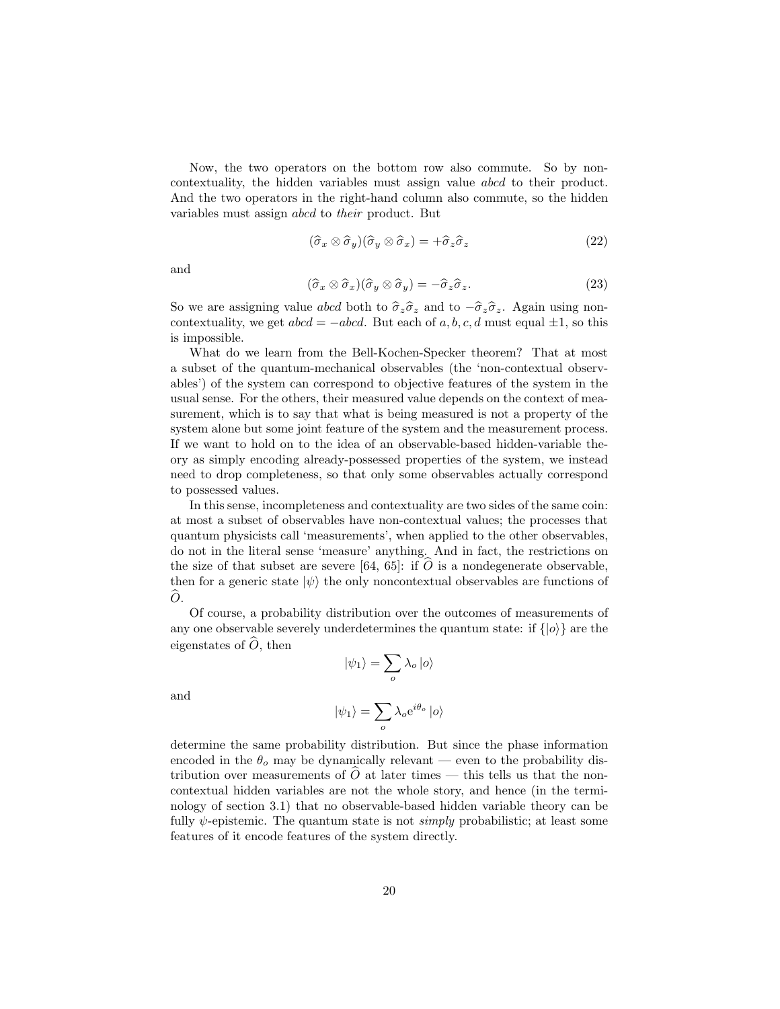Now, the two operators on the bottom row also commute. So by noncontextuality, the hidden variables must assign value abcd to their product. And the two operators in the right-hand column also commute, so the hidden variables must assign abcd to their product. But

$$
(\hat{\sigma}_x \otimes \hat{\sigma}_y)(\hat{\sigma}_y \otimes \hat{\sigma}_x) = +\hat{\sigma}_z \hat{\sigma}_z \tag{22}
$$

and

$$
(\hat{\sigma}_x \otimes \hat{\sigma}_x)(\hat{\sigma}_y \otimes \hat{\sigma}_y) = -\hat{\sigma}_z \hat{\sigma}_z.
$$
 (23)

So we are assigning value abcd both to  $\hat{\sigma}_z \hat{\sigma}_z$  and to  $-\hat{\sigma}_z \hat{\sigma}_z$ . Again using noncontextuality, we get  $abcd = -abcd$ . But each of a, b, c, d must equal  $\pm 1$ , so this is impossible.

What do we learn from the Bell-Kochen-Specker theorem? That at most a subset of the quantum-mechanical observables (the 'non-contextual observables') of the system can correspond to objective features of the system in the usual sense. For the others, their measured value depends on the context of measurement, which is to say that what is being measured is not a property of the system alone but some joint feature of the system and the measurement process. If we want to hold on to the idea of an observable-based hidden-variable theory as simply encoding already-possessed properties of the system, we instead need to drop completeness, so that only some observables actually correspond to possessed values.

In this sense, incompleteness and contextuality are two sides of the same coin: at most a subset of observables have non-contextual values; the processes that quantum physicists call 'measurements', when applied to the other observables, do not in the literal sense 'measure' anything. And in fact, the restrictions on the size of that subset are severe [64, 65]: if  $\hat{O}$  is a nondegenerate observable, then for a generic state  $|\psi\rangle$  the only noncontextual observables are functions of  $\widehat{O}$ .

Of course, a probability distribution over the outcomes of measurements of any one observable severely underdetermines the quantum state: if  $\{|o\rangle\}$  are the eigenstates of  $\hat{O}$ , then

 $|\psi_1\rangle = \sum$ 

and

$$
|\psi_1\rangle = \sum_{o} \lambda_o e^{i\theta_o} |o\rangle
$$

o

 $\lambda_o\ket{o}$ 

determine the same probability distribution. But since the phase information encoded in the  $\theta_o$  may be dynamically relevant — even to the probability distribution over measurements of  $O$  at later times — this tells us that the noncontextual hidden variables are not the whole story, and hence (in the terminology of section 3.1) that no observable-based hidden variable theory can be fully  $\psi$ -epistemic. The quantum state is not *simply* probabilistic; at least some features of it encode features of the system directly.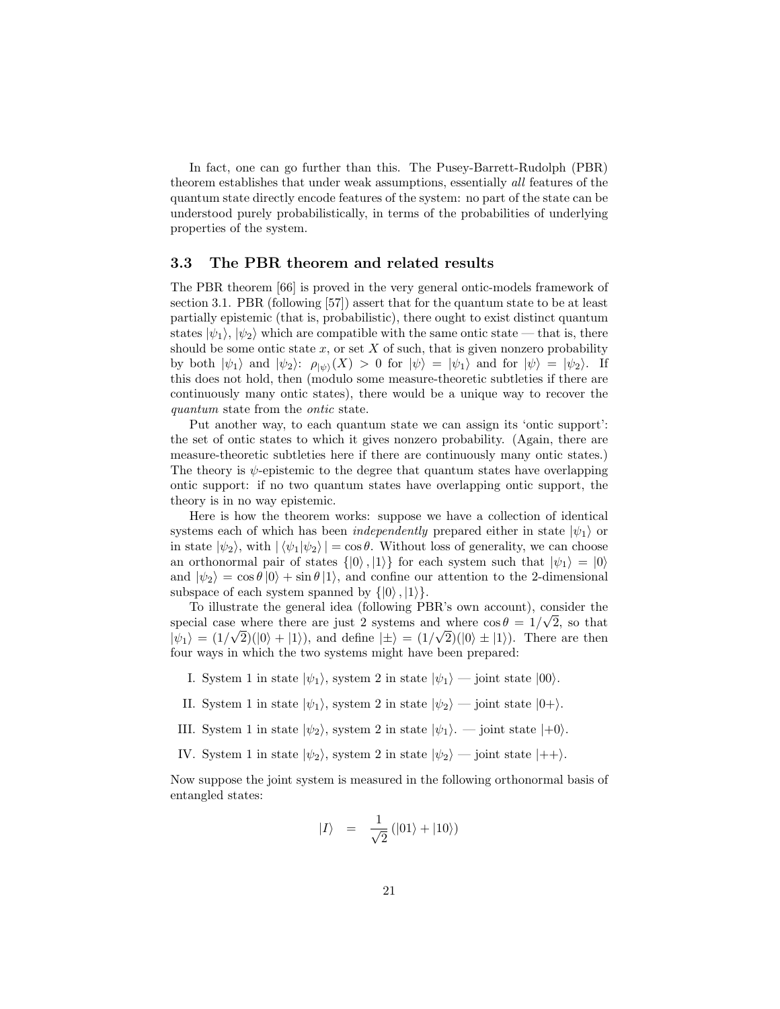In fact, one can go further than this. The Pusey-Barrett-Rudolph (PBR) theorem establishes that under weak assumptions, essentially all features of the quantum state directly encode features of the system: no part of the state can be understood purely probabilistically, in terms of the probabilities of underlying properties of the system.

#### 3.3 The PBR theorem and related results

The PBR theorem [66] is proved in the very general ontic-models framework of section 3.1. PBR (following [57]) assert that for the quantum state to be at least partially epistemic (that is, probabilistic), there ought to exist distinct quantum states  $|\psi_1\rangle, |\psi_2\rangle$  which are compatible with the same ontic state — that is, there should be some ontic state  $x$ , or set  $X$  of such, that is given nonzero probability by both  $|\psi_1\rangle$  and  $|\psi_2\rangle$ :  $\rho_{|\psi\rangle}(X) > 0$  for  $|\psi\rangle = |\psi_1\rangle$  and for  $|\psi\rangle = |\psi_2\rangle$ . If this does not hold, then (modulo some measure-theoretic subtleties if there are continuously many ontic states), there would be a unique way to recover the quantum state from the ontic state.

Put another way, to each quantum state we can assign its 'ontic support': the set of ontic states to which it gives nonzero probability. (Again, there are measure-theoretic subtleties here if there are continuously many ontic states.) The theory is  $\psi$ -epistemic to the degree that quantum states have overlapping ontic support: if no two quantum states have overlapping ontic support, the theory is in no way epistemic.

Here is how the theorem works: suppose we have a collection of identical systems each of which has been *independently* prepared either in state  $|\psi_1\rangle$  or in state  $|\psi_2\rangle$ , with  $|\langle \psi_1 | \psi_2 \rangle| = \cos \theta$ . Without loss of generality, we can choose an orthonormal pair of states  $\{|0\rangle, |1\rangle\}$  for each system such that  $|\psi_1\rangle = |0\rangle$ and  $|\psi_2\rangle = \cos \theta |0\rangle + \sin \theta |1\rangle$ , and confine our attention to the 2-dimensional subspace of each system spanned by  $\{|0\rangle, |1\rangle\}.$ 

To illustrate the general idea (following PBR's own account), consider the special case where there are just 2 systems and where  $\cos \theta = 1/\sqrt{2}$ , so that  $|\psi_1\rangle = (1/\sqrt{2})(|0\rangle + |1\rangle)$ , and define  $|\pm\rangle = (1/\sqrt{2})(|0\rangle \pm |1\rangle)$ . There are then four ways in which the two systems might have been prepared:

- I. System 1 in state  $|\psi_1\rangle$ , system 2 in state  $|\psi_1\rangle$  joint state  $|00\rangle$ .
- II. System 1 in state  $|\psi_1\rangle$ , system 2 in state  $|\psi_2\rangle$  joint state  $|0+\rangle$ .
- III. System 1 in state  $|\psi_2\rangle$ , system 2 in state  $|\psi_1\rangle$ . joint state  $|+0\rangle$ .
- IV. System 1 in state  $|\psi_2\rangle$ , system 2 in state  $|\psi_2\rangle$  joint state  $|++\rangle$ .

Now suppose the joint system is measured in the following orthonormal basis of entangled states:

$$
|I\rangle = \frac{1}{\sqrt{2}}(|01\rangle + |10\rangle)
$$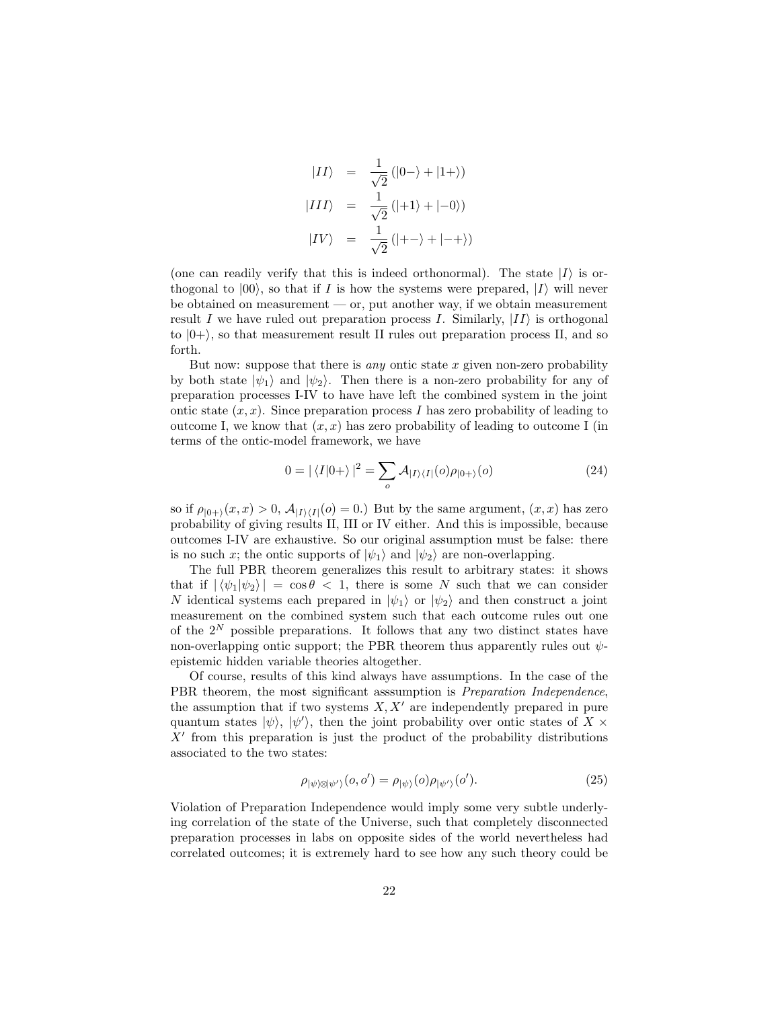$$
|II\rangle = \frac{1}{\sqrt{2}} (|0-\rangle + |1+\rangle)
$$
  

$$
|III\rangle = \frac{1}{\sqrt{2}} (|+1\rangle + |-0\rangle)
$$
  

$$
|IV\rangle = \frac{1}{\sqrt{2}} (|+-\rangle + |-+\rangle)
$$

(one can readily verify that this is indeed orthonormal). The state  $|I\rangle$  is orthogonal to  $|00\rangle$ , so that if I is how the systems were prepared, II will never be obtained on measurement — or, put another way, if we obtain measurement result I we have ruled out preparation process I. Similarly,  $|II\rangle$  is orthogonal to  $|0+\rangle$ , so that measurement result II rules out preparation process II, and so forth.

But now: suppose that there is *any* ontic state  $x$  given non-zero probability by both state  $|\psi_1\rangle$  and  $|\psi_2\rangle$ . Then there is a non-zero probability for any of preparation processes I-IV to have have left the combined system in the joint ontic state  $(x, x)$ . Since preparation process I has zero probability of leading to outcome I, we know that  $(x, x)$  has zero probability of leading to outcome I (in terms of the ontic-model framework, we have

$$
0 = |\langle I|0+\rangle|^2 = \sum_{o} A_{|I\rangle\langle I|}(o)\rho_{|0+\rangle}(o)
$$
\n(24)

so if  $\rho_{|0+\rangle}(x, x) > 0$ ,  $\mathcal{A}_{|I\rangle\langle I|}(o) = 0$ .) But by the same argument,  $(x, x)$  has zero probability of giving results II, III or IV either. And this is impossible, because outcomes I-IV are exhaustive. So our original assumption must be false: there is no such x; the ontic supports of  $|\psi_1\rangle$  and  $|\psi_2\rangle$  are non-overlapping.

The full PBR theorem generalizes this result to arbitrary states: it shows that if  $|\langle \psi_1 | \psi_2 \rangle| = \cos \theta < 1$ , there is some N such that we can consider N identical systems each prepared in  $|\psi_1\rangle$  or  $|\psi_2\rangle$  and then construct a joint measurement on the combined system such that each outcome rules out one of the  $2^N$  possible preparations. It follows that any two distinct states have non-overlapping ontic support; the PBR theorem thus apparently rules out  $\psi$ epistemic hidden variable theories altogether.

Of course, results of this kind always have assumptions. In the case of the PBR theorem, the most significant asssumption is *Preparation Independence*, the assumption that if two systems  $X, X'$  are independently prepared in pure quantum states  $|\psi\rangle$ ,  $|\psi'\rangle$ , then the joint probability over ontic states of X  $\times$  $X'$  from this preparation is just the product of the probability distributions associated to the two states:

$$
\rho_{|\psi\rangle\otimes|\psi'\rangle}(o,o') = \rho_{|\psi\rangle}(o)\rho_{|\psi'\rangle}(o').\tag{25}
$$

Violation of Preparation Independence would imply some very subtle underlying correlation of the state of the Universe, such that completely disconnected preparation processes in labs on opposite sides of the world nevertheless had correlated outcomes; it is extremely hard to see how any such theory could be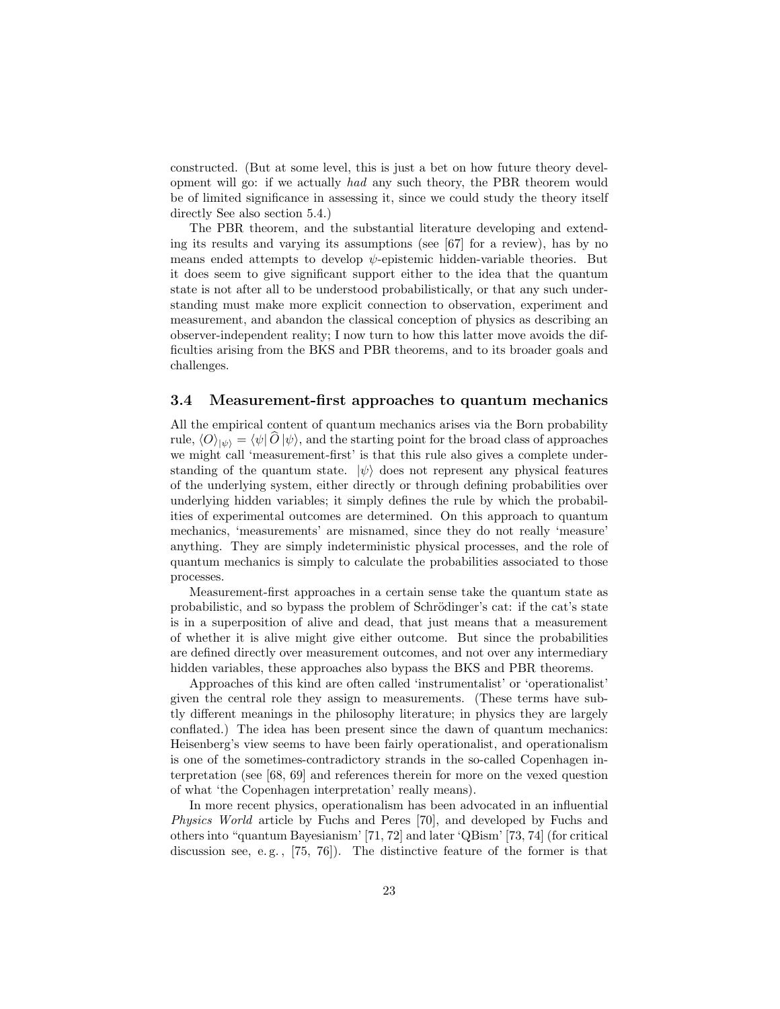constructed. (But at some level, this is just a bet on how future theory development will go: if we actually had any such theory, the PBR theorem would be of limited significance in assessing it, since we could study the theory itself directly See also section 5.4.)

The PBR theorem, and the substantial literature developing and extending its results and varying its assumptions (see [67] for a review), has by no means ended attempts to develop  $\psi$ -epistemic hidden-variable theories. But it does seem to give significant support either to the idea that the quantum state is not after all to be understood probabilistically, or that any such understanding must make more explicit connection to observation, experiment and measurement, and abandon the classical conception of physics as describing an observer-independent reality; I now turn to how this latter move avoids the difficulties arising from the BKS and PBR theorems, and to its broader goals and challenges.

#### 3.4 Measurement-first approaches to quantum mechanics

All the empirical content of quantum mechanics arises via the Born probability rule,  $\langle O \rangle_{|\psi\rangle} = \langle \psi | O | \psi \rangle$ , and the starting point for the broad class of approaches we might call 'measurement-first' is that this rule also gives a complete understanding of the quantum state.  $|\psi\rangle$  does not represent any physical features of the underlying system, either directly or through defining probabilities over underlying hidden variables; it simply defines the rule by which the probabilities of experimental outcomes are determined. On this approach to quantum mechanics, 'measurements' are misnamed, since they do not really 'measure' anything. They are simply indeterministic physical processes, and the role of quantum mechanics is simply to calculate the probabilities associated to those processes.

Measurement-first approaches in a certain sense take the quantum state as probabilistic, and so bypass the problem of Schrödinger's cat: if the cat's state is in a superposition of alive and dead, that just means that a measurement of whether it is alive might give either outcome. But since the probabilities are defined directly over measurement outcomes, and not over any intermediary hidden variables, these approaches also bypass the BKS and PBR theorems.

Approaches of this kind are often called 'instrumentalist' or 'operationalist' given the central role they assign to measurements. (These terms have subtly different meanings in the philosophy literature; in physics they are largely conflated.) The idea has been present since the dawn of quantum mechanics: Heisenberg's view seems to have been fairly operationalist, and operationalism is one of the sometimes-contradictory strands in the so-called Copenhagen interpretation (see [68, 69] and references therein for more on the vexed question of what 'the Copenhagen interpretation' really means).

In more recent physics, operationalism has been advocated in an influential Physics World article by Fuchs and Peres [70], and developed by Fuchs and others into "quantum Bayesianism' [71, 72] and later 'QBism' [73, 74] (for critical discussion see, e. g. , [75, 76]). The distinctive feature of the former is that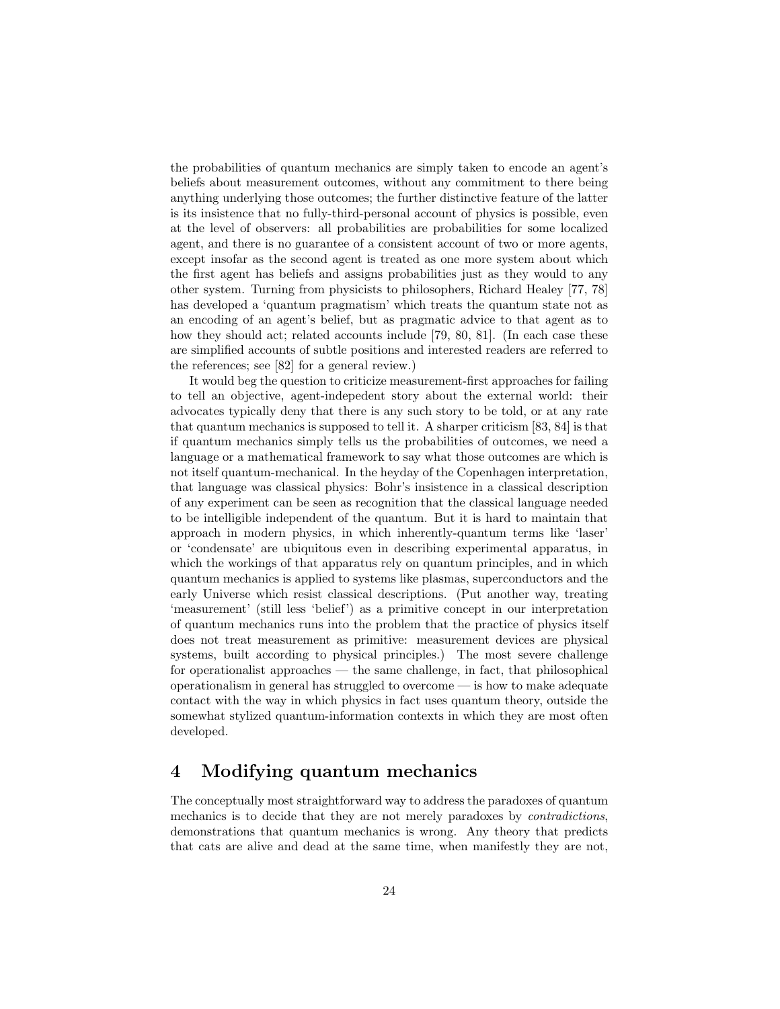the probabilities of quantum mechanics are simply taken to encode an agent's beliefs about measurement outcomes, without any commitment to there being anything underlying those outcomes; the further distinctive feature of the latter is its insistence that no fully-third-personal account of physics is possible, even at the level of observers: all probabilities are probabilities for some localized agent, and there is no guarantee of a consistent account of two or more agents, except insofar as the second agent is treated as one more system about which the first agent has beliefs and assigns probabilities just as they would to any other system. Turning from physicists to philosophers, Richard Healey [77, 78] has developed a 'quantum pragmatism' which treats the quantum state not as an encoding of an agent's belief, but as pragmatic advice to that agent as to how they should act; related accounts include [79, 80, 81]. (In each case these are simplified accounts of subtle positions and interested readers are referred to the references; see [82] for a general review.)

It would beg the question to criticize measurement-first approaches for failing to tell an objective, agent-indepedent story about the external world: their advocates typically deny that there is any such story to be told, or at any rate that quantum mechanics is supposed to tell it. A sharper criticism [83, 84] is that if quantum mechanics simply tells us the probabilities of outcomes, we need a language or a mathematical framework to say what those outcomes are which is not itself quantum-mechanical. In the heyday of the Copenhagen interpretation, that language was classical physics: Bohr's insistence in a classical description of any experiment can be seen as recognition that the classical language needed to be intelligible independent of the quantum. But it is hard to maintain that approach in modern physics, in which inherently-quantum terms like 'laser' or 'condensate' are ubiquitous even in describing experimental apparatus, in which the workings of that apparatus rely on quantum principles, and in which quantum mechanics is applied to systems like plasmas, superconductors and the early Universe which resist classical descriptions. (Put another way, treating 'measurement' (still less 'belief') as a primitive concept in our interpretation of quantum mechanics runs into the problem that the practice of physics itself does not treat measurement as primitive: measurement devices are physical systems, built according to physical principles.) The most severe challenge for operationalist approaches — the same challenge, in fact, that philosophical operationalism in general has struggled to overcome — is how to make adequate contact with the way in which physics in fact uses quantum theory, outside the somewhat stylized quantum-information contexts in which they are most often developed.

# 4 Modifying quantum mechanics

The conceptually most straightforward way to address the paradoxes of quantum mechanics is to decide that they are not merely paradoxes by contradictions, demonstrations that quantum mechanics is wrong. Any theory that predicts that cats are alive and dead at the same time, when manifestly they are not,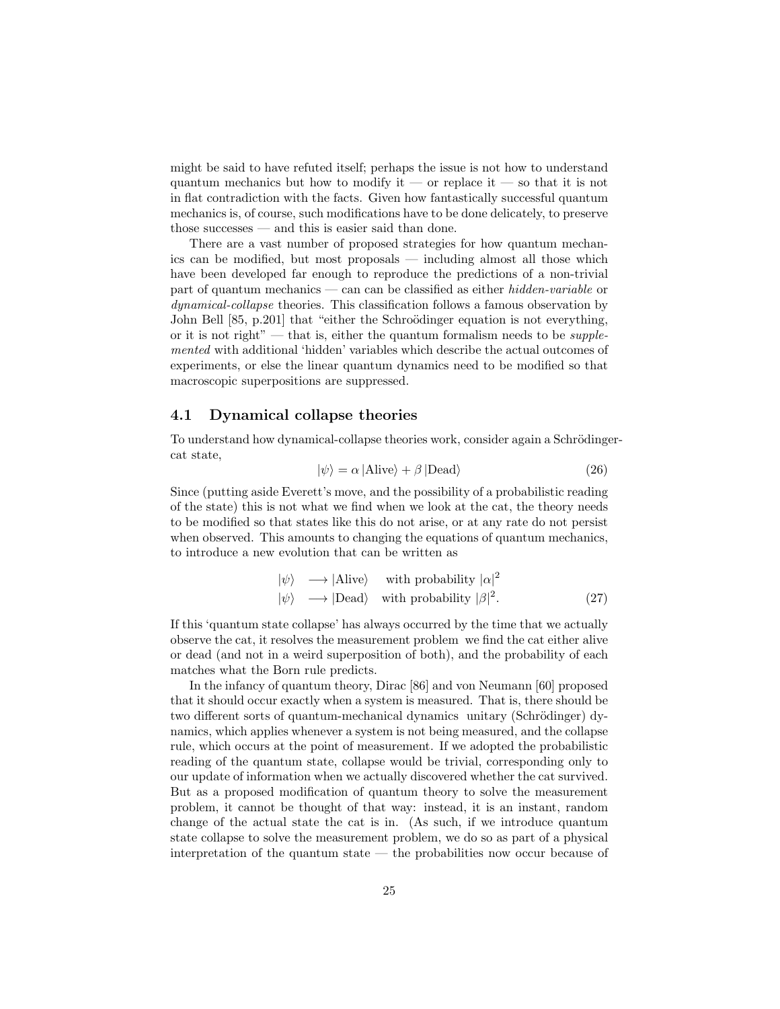might be said to have refuted itself; perhaps the issue is not how to understand quantum mechanics but how to modify it — or replace it — so that it is not in flat contradiction with the facts. Given how fantastically successful quantum mechanics is, of course, such modifications have to be done delicately, to preserve those successes — and this is easier said than done.

There are a vast number of proposed strategies for how quantum mechanics can be modified, but most proposals — including almost all those which have been developed far enough to reproduce the predictions of a non-trivial part of quantum mechanics — can can be classified as either hidden-variable or dynamical-collapse theories. This classification follows a famous observation by John Bell [85, p.201] that "either the Schroödinger equation is not everything, or it is not right" — that is, either the quantum formalism needs to be *supple*mented with additional 'hidden' variables which describe the actual outcomes of experiments, or else the linear quantum dynamics need to be modified so that macroscopic superpositions are suppressed.

#### 4.1 Dynamical collapse theories

To understand how dynamical-collapse theories work, consider again a Schrödingercat state,

$$
|\psi\rangle = \alpha |\text{Alive}\rangle + \beta |\text{Dead}\rangle \tag{26}
$$

Since (putting aside Everett's move, and the possibility of a probabilistic reading of the state) this is not what we find when we look at the cat, the theory needs to be modified so that states like this do not arise, or at any rate do not persist when observed. This amounts to changing the equations of quantum mechanics, to introduce a new evolution that can be written as

$$
|\psi\rangle \longrightarrow |\text{Alive}\rangle \quad \text{with probability } |\alpha|^2
$$
  

$$
|\psi\rangle \longrightarrow |\text{Dead}\rangle \quad \text{with probability } |\beta|^2. \tag{27}
$$

If this 'quantum state collapse' has always occurred by the time that we actually observe the cat, it resolves the measurement problem we find the cat either alive or dead (and not in a weird superposition of both), and the probability of each matches what the Born rule predicts.

In the infancy of quantum theory, Dirac [86] and von Neumann [60] proposed that it should occur exactly when a system is measured. That is, there should be two different sorts of quantum-mechanical dynamics unitary (Schrödinger) dynamics, which applies whenever a system is not being measured, and the collapse rule, which occurs at the point of measurement. If we adopted the probabilistic reading of the quantum state, collapse would be trivial, corresponding only to our update of information when we actually discovered whether the cat survived. But as a proposed modification of quantum theory to solve the measurement problem, it cannot be thought of that way: instead, it is an instant, random change of the actual state the cat is in. (As such, if we introduce quantum state collapse to solve the measurement problem, we do so as part of a physical interpretation of the quantum state — the probabilities now occur because of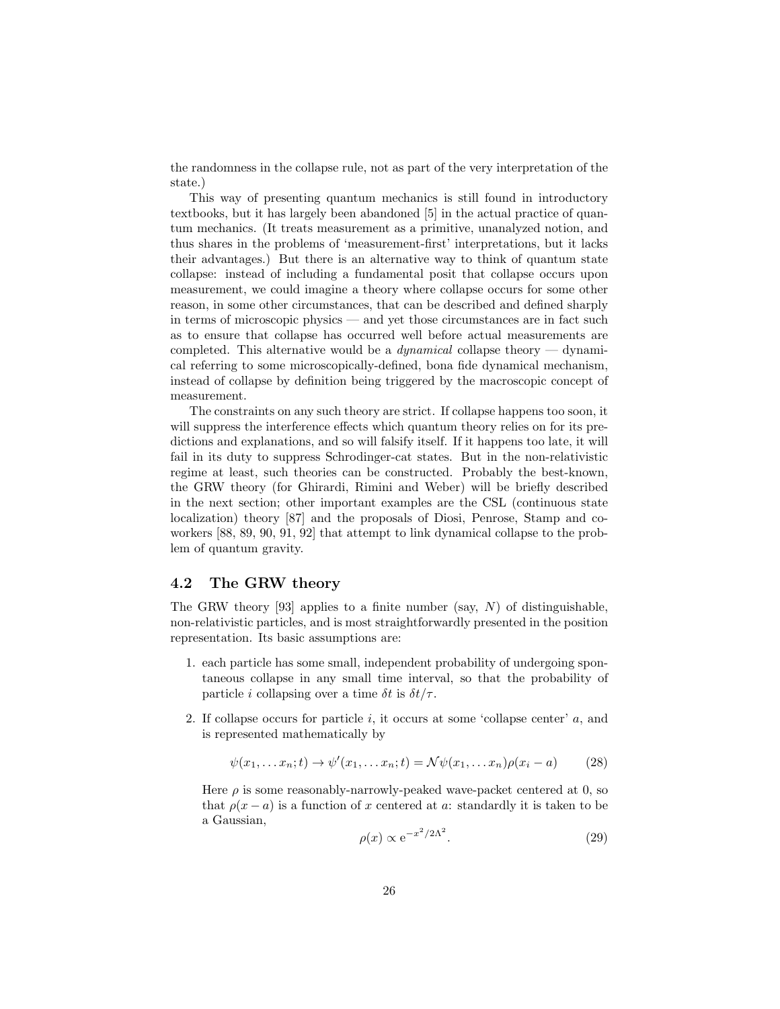the randomness in the collapse rule, not as part of the very interpretation of the state.)

This way of presenting quantum mechanics is still found in introductory textbooks, but it has largely been abandoned [5] in the actual practice of quantum mechanics. (It treats measurement as a primitive, unanalyzed notion, and thus shares in the problems of 'measurement-first' interpretations, but it lacks their advantages.) But there is an alternative way to think of quantum state collapse: instead of including a fundamental posit that collapse occurs upon measurement, we could imagine a theory where collapse occurs for some other reason, in some other circumstances, that can be described and defined sharply in terms of microscopic physics — and yet those circumstances are in fact such as to ensure that collapse has occurred well before actual measurements are completed. This alternative would be a *dynamical* collapse theory — dynamical referring to some microscopically-defined, bona fide dynamical mechanism, instead of collapse by definition being triggered by the macroscopic concept of measurement.

The constraints on any such theory are strict. If collapse happens too soon, it will suppress the interference effects which quantum theory relies on for its predictions and explanations, and so will falsify itself. If it happens too late, it will fail in its duty to suppress Schrodinger-cat states. But in the non-relativistic regime at least, such theories can be constructed. Probably the best-known, the GRW theory (for Ghirardi, Rimini and Weber) will be briefly described in the next section; other important examples are the CSL (continuous state localization) theory [87] and the proposals of Diosi, Penrose, Stamp and coworkers [88, 89, 90, 91, 92] that attempt to link dynamical collapse to the problem of quantum gravity.

#### 4.2 The GRW theory

The GRW theory [93] applies to a finite number (say,  $N$ ) of distinguishable, non-relativistic particles, and is most straightforwardly presented in the position representation. Its basic assumptions are:

- 1. each particle has some small, independent probability of undergoing spontaneous collapse in any small time interval, so that the probability of particle *i* collapsing over a time  $\delta t$  is  $\delta t/\tau$ .
- 2. If collapse occurs for particle i, it occurs at some 'collapse center'  $a$ , and is represented mathematically by

$$
\psi(x_1, \dots x_n; t) \to \psi'(x_1, \dots x_n; t) = \mathcal{N}\psi(x_1, \dots x_n)\rho(x_i - a)
$$
 (28)

Here  $\rho$  is some reasonably-narrowly-peaked wave-packet centered at 0, so that  $\rho(x - a)$  is a function of x centered at a: standardly it is taken to be a Gaussian,

$$
\rho(x) \propto e^{-x^2/2\Lambda^2}.\tag{29}
$$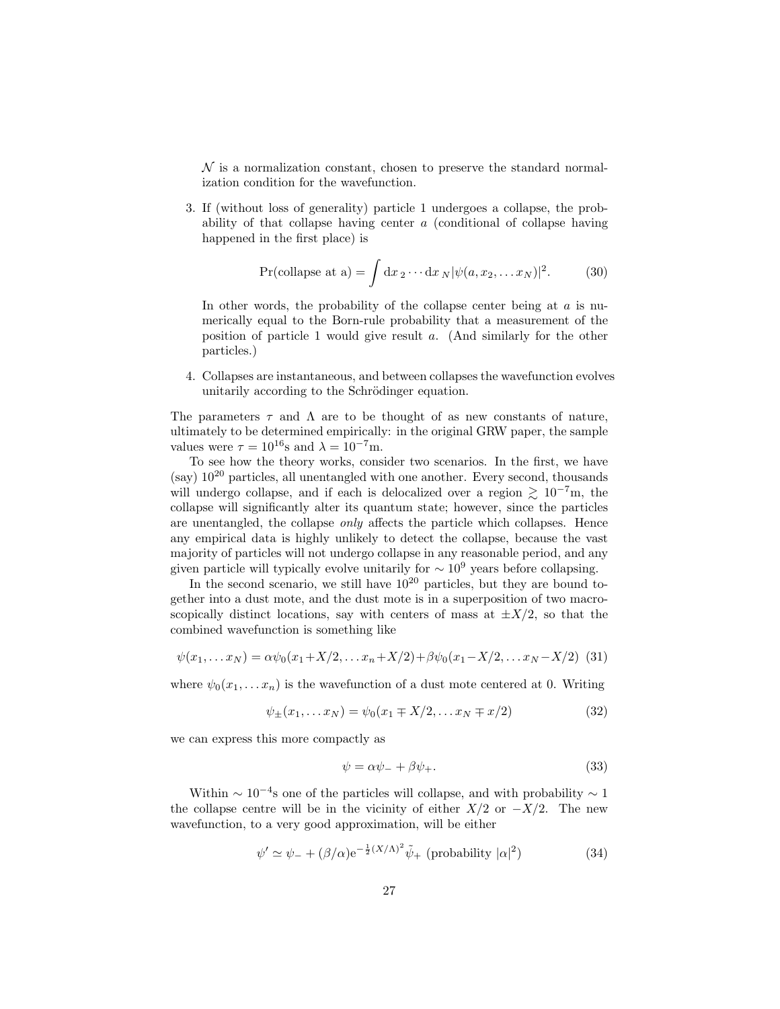$\mathcal N$  is a normalization constant, chosen to preserve the standard normalization condition for the wavefunction.

3. If (without loss of generality) particle 1 undergoes a collapse, the probability of that collapse having center  $a$  (conditional of collapse having happened in the first place) is

$$
\Pr(\text{collapse at a}) = \int \mathrm{d}x \, 2 \cdots \mathrm{d}x \, \frac{N \psi(a, x_2, \dots, x_N)}{2}. \tag{30}
$$

In other words, the probability of the collapse center being at  $a$  is numerically equal to the Born-rule probability that a measurement of the position of particle 1 would give result a. (And similarly for the other particles.)

4. Collapses are instantaneous, and between collapses the wavefunction evolves unitarily according to the Schrödinger equation.

The parameters  $\tau$  and  $\Lambda$  are to be thought of as new constants of nature, ultimately to be determined empirically: in the original GRW paper, the sample values were  $\tau = 10^{16}$ s and  $\lambda = 10^{-7}$ m.

To see how the theory works, consider two scenarios. In the first, we have  $(say)$  10<sup>20</sup> particles, all unentangled with one another. Every second, thousands will undergo collapse, and if each is delocalized over a region  $\gtrsim 10^{-7}$ m, the collapse will significantly alter its quantum state; however, since the particles are unentangled, the collapse only affects the particle which collapses. Hence any empirical data is highly unlikely to detect the collapse, because the vast majority of particles will not undergo collapse in any reasonable period, and any given particle will typically evolve unitarily for  $\sim 10^9$  years before collapsing.

In the second scenario, we still have  $10^{20}$  particles, but they are bound together into a dust mote, and the dust mote is in a superposition of two macroscopically distinct locations, say with centers of mass at  $\pm X/2$ , so that the combined wavefunction is something like

$$
\psi(x_1,... x_N) = \alpha \psi_0(x_1 + X/2,... x_n + X/2) + \beta \psi_0(x_1 - X/2,... x_N - X/2)
$$
 (31)

where  $\psi_0(x_1, \ldots, x_n)$  is the wavefunction of a dust mote centered at 0. Writing

$$
\psi_{\pm}(x_1, \dots x_N) = \psi_0(x_1 \mp X/2, \dots x_N \mp x/2) \tag{32}
$$

we can express this more compactly as

$$
\psi = \alpha \psi_{-} + \beta \psi_{+}.
$$
\n(33)

Within  $\sim 10^{-4}$ s one of the particles will collapse, and with probability  $\sim 1$ the collapse centre will be in the vicinity of either  $X/2$  or  $-X/2$ . The new wavefunction, to a very good approximation, will be either

$$
\psi' \simeq \psi_{-} + (\beta/\alpha) e^{-\frac{1}{2}(X/\Lambda)^2} \tilde{\psi}_{+} \text{ (probability } |\alpha|^2) \tag{34}
$$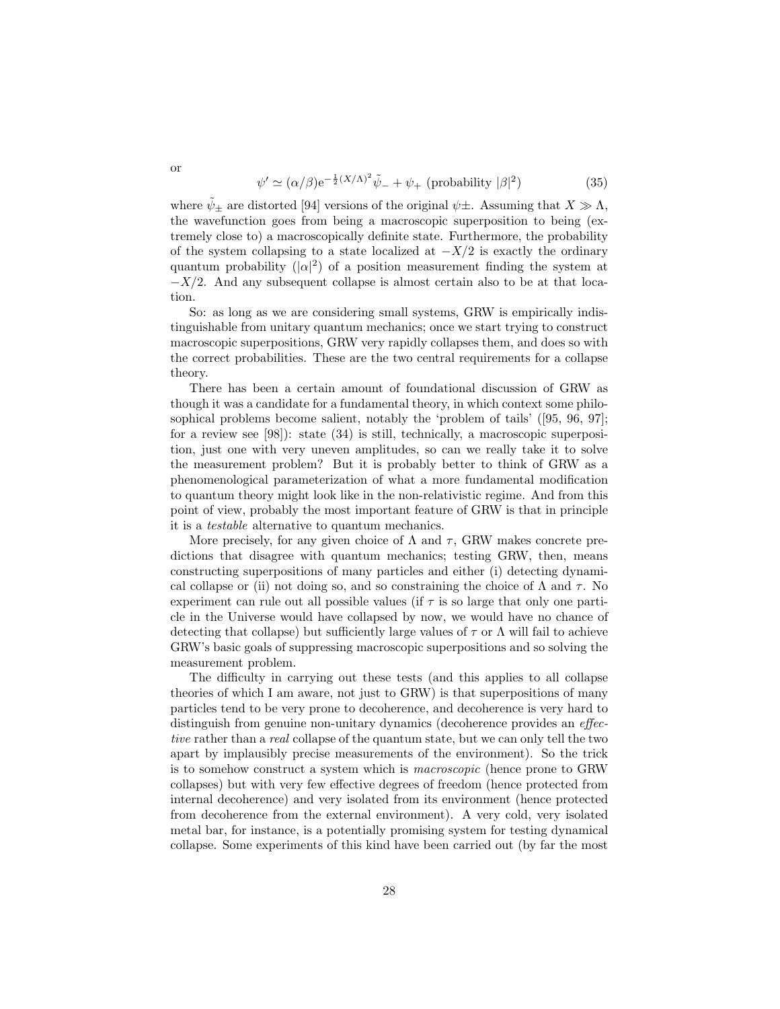$$
\psi' \simeq (\alpha/\beta) e^{-\frac{1}{2}(X/\Lambda)^2} \tilde{\psi}_- + \psi_+ \text{ (probability } |\beta|^2)
$$
 (35)

where  $\psi_{\pm}$  are distorted [94] versions of the original  $\psi_{\pm}$ . Assuming that  $X \gg \Lambda$ , the wavefunction goes from being a macroscopic superposition to being (extremely close to) a macroscopically definite state. Furthermore, the probability of the system collapsing to a state localized at  $-X/2$  is exactly the ordinary quantum probability  $(|\alpha|^2)$  of a position measurement finding the system at  $-X/2$ . And any subsequent collapse is almost certain also to be at that location.

So: as long as we are considering small systems, GRW is empirically indistinguishable from unitary quantum mechanics; once we start trying to construct macroscopic superpositions, GRW very rapidly collapses them, and does so with the correct probabilities. These are the two central requirements for a collapse theory.

There has been a certain amount of foundational discussion of GRW as though it was a candidate for a fundamental theory, in which context some philosophical problems become salient, notably the 'problem of tails' ([95, 96, 97]; for a review see [98]): state (34) is still, technically, a macroscopic superposition, just one with very uneven amplitudes, so can we really take it to solve the measurement problem? But it is probably better to think of GRW as a phenomenological parameterization of what a more fundamental modification to quantum theory might look like in the non-relativistic regime. And from this point of view, probably the most important feature of GRW is that in principle it is a testable alternative to quantum mechanics.

More precisely, for any given choice of  $\Lambda$  and  $\tau$ , GRW makes concrete predictions that disagree with quantum mechanics; testing GRW, then, means constructing superpositions of many particles and either (i) detecting dynamical collapse or (ii) not doing so, and so constraining the choice of  $\Lambda$  and  $\tau$ . No experiment can rule out all possible values (if  $\tau$  is so large that only one particle in the Universe would have collapsed by now, we would have no chance of detecting that collapse) but sufficiently large values of  $\tau$  or  $\Lambda$  will fail to achieve GRW's basic goals of suppressing macroscopic superpositions and so solving the measurement problem.

The difficulty in carrying out these tests (and this applies to all collapse theories of which I am aware, not just to GRW) is that superpositions of many particles tend to be very prone to decoherence, and decoherence is very hard to distinguish from genuine non-unitary dynamics (decoherence provides an effective rather than a real collapse of the quantum state, but we can only tell the two apart by implausibly precise measurements of the environment). So the trick is to somehow construct a system which is macroscopic (hence prone to GRW collapses) but with very few effective degrees of freedom (hence protected from internal decoherence) and very isolated from its environment (hence protected from decoherence from the external environment). A very cold, very isolated metal bar, for instance, is a potentially promising system for testing dynamical collapse. Some experiments of this kind have been carried out (by far the most

or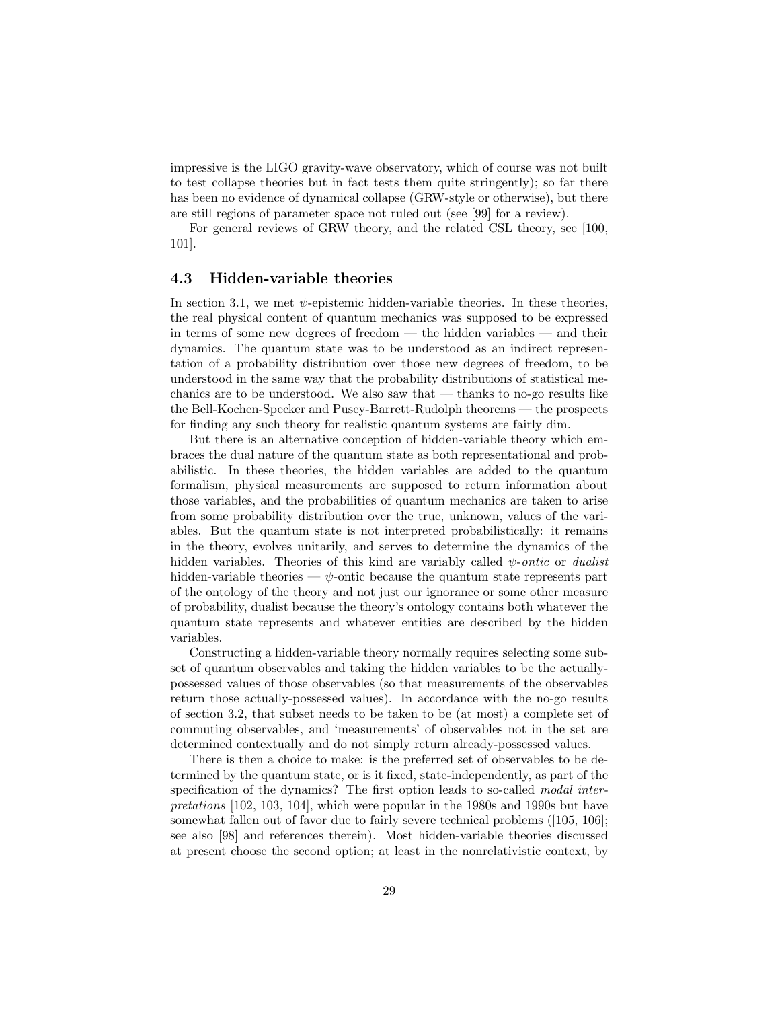impressive is the LIGO gravity-wave observatory, which of course was not built to test collapse theories but in fact tests them quite stringently); so far there has been no evidence of dynamical collapse (GRW-style or otherwise), but there are still regions of parameter space not ruled out (see [99] for a review).

For general reviews of GRW theory, and the related CSL theory, see [100, 101].

#### 4.3 Hidden-variable theories

In section 3.1, we met  $\psi$ -epistemic hidden-variable theories. In these theories, the real physical content of quantum mechanics was supposed to be expressed in terms of some new degrees of freedom — the hidden variables — and their dynamics. The quantum state was to be understood as an indirect representation of a probability distribution over those new degrees of freedom, to be understood in the same way that the probability distributions of statistical mechanics are to be understood. We also saw that  $-$  thanks to no-go results like the Bell-Kochen-Specker and Pusey-Barrett-Rudolph theorems — the prospects for finding any such theory for realistic quantum systems are fairly dim.

But there is an alternative conception of hidden-variable theory which embraces the dual nature of the quantum state as both representational and probabilistic. In these theories, the hidden variables are added to the quantum formalism, physical measurements are supposed to return information about those variables, and the probabilities of quantum mechanics are taken to arise from some probability distribution over the true, unknown, values of the variables. But the quantum state is not interpreted probabilistically: it remains in the theory, evolves unitarily, and serves to determine the dynamics of the hidden variables. Theories of this kind are variably called  $\psi\text{-}onto$  or dualist hidden-variable theories —  $\psi$ -ontic because the quantum state represents part of the ontology of the theory and not just our ignorance or some other measure of probability, dualist because the theory's ontology contains both whatever the quantum state represents and whatever entities are described by the hidden variables.

Constructing a hidden-variable theory normally requires selecting some subset of quantum observables and taking the hidden variables to be the actuallypossessed values of those observables (so that measurements of the observables return those actually-possessed values). In accordance with the no-go results of section 3.2, that subset needs to be taken to be (at most) a complete set of commuting observables, and 'measurements' of observables not in the set are determined contextually and do not simply return already-possessed values.

There is then a choice to make: is the preferred set of observables to be determined by the quantum state, or is it fixed, state-independently, as part of the specification of the dynamics? The first option leads to so-called modal interpretations [102, 103, 104], which were popular in the 1980s and 1990s but have somewhat fallen out of favor due to fairly severe technical problems ([105, 106]; see also [98] and references therein). Most hidden-variable theories discussed at present choose the second option; at least in the nonrelativistic context, by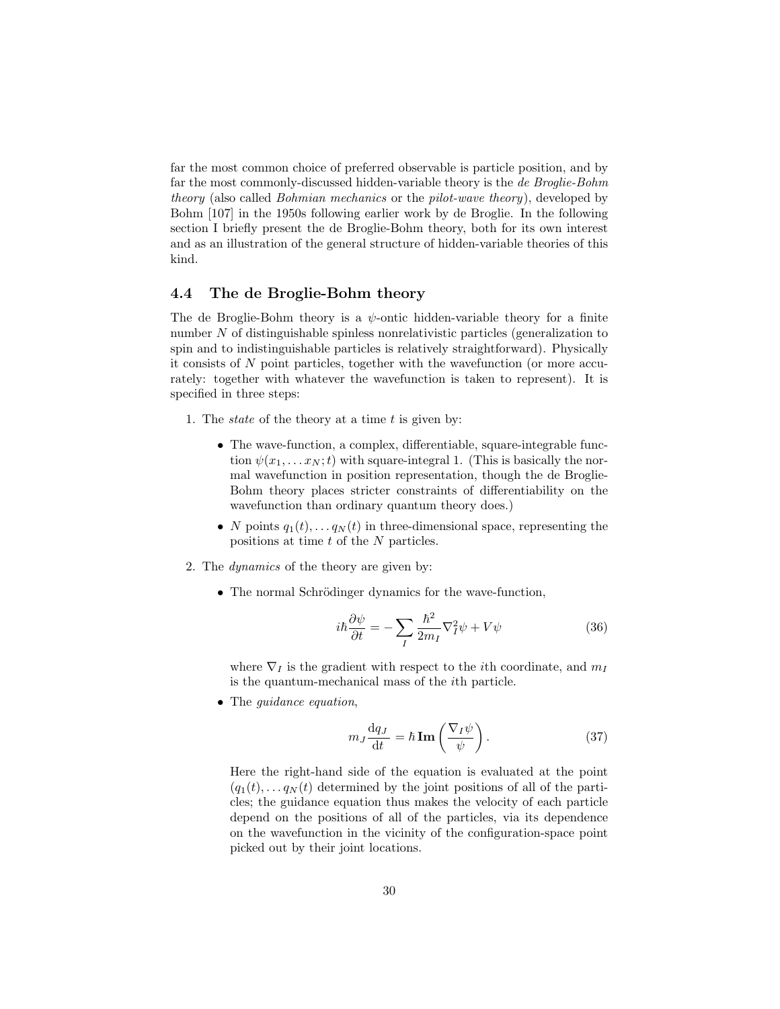far the most common choice of preferred observable is particle position, and by far the most commonly-discussed hidden-variable theory is the de Broglie-Bohm theory (also called Bohmian mechanics or the pilot-wave theory), developed by Bohm [107] in the 1950s following earlier work by de Broglie. In the following section I briefly present the de Broglie-Bohm theory, both for its own interest and as an illustration of the general structure of hidden-variable theories of this kind.

### 4.4 The de Broglie-Bohm theory

The de Broglie-Bohm theory is a  $\psi$ -ontic hidden-variable theory for a finite number N of distinguishable spinless nonrelativistic particles (generalization to spin and to indistinguishable particles is relatively straightforward). Physically it consists of N point particles, together with the wavefunction (or more accurately: together with whatever the wavefunction is taken to represent). It is specified in three steps:

- 1. The *state* of the theory at a time  $t$  is given by:
	- The wave-function, a complex, differentiable, square-integrable function  $\psi(x_1, \ldots, x_N; t)$  with square-integral 1. (This is basically the normal wavefunction in position representation, though the de Broglie-Bohm theory places stricter constraints of differentiability on the wavefunction than ordinary quantum theory does.)
	- N points  $q_1(t), \ldots q_N(t)$  in three-dimensional space, representing the positions at time t of the N particles.
- 2. The dynamics of the theory are given by:
	- The normal Schrödinger dynamics for the wave-function,

$$
i\hbar \frac{\partial \psi}{\partial t} = -\sum_{I} \frac{\hbar^2}{2m_I} \nabla_I^2 \psi + V\psi \tag{36}
$$

where  $\nabla_I$  is the gradient with respect to the *i*th coordinate, and  $m_I$ is the quantum-mechanical mass of the ith particle.

• The *quidance equation*,

$$
m_J \frac{\mathrm{d}q_J}{\mathrm{d}t} = \hbar \operatorname{Im} \left( \frac{\nabla_I \psi}{\psi} \right). \tag{37}
$$

Here the right-hand side of the equation is evaluated at the point  $(q_1(t), \ldots q_N(t))$  determined by the joint positions of all of the particles; the guidance equation thus makes the velocity of each particle depend on the positions of all of the particles, via its dependence on the wavefunction in the vicinity of the configuration-space point picked out by their joint locations.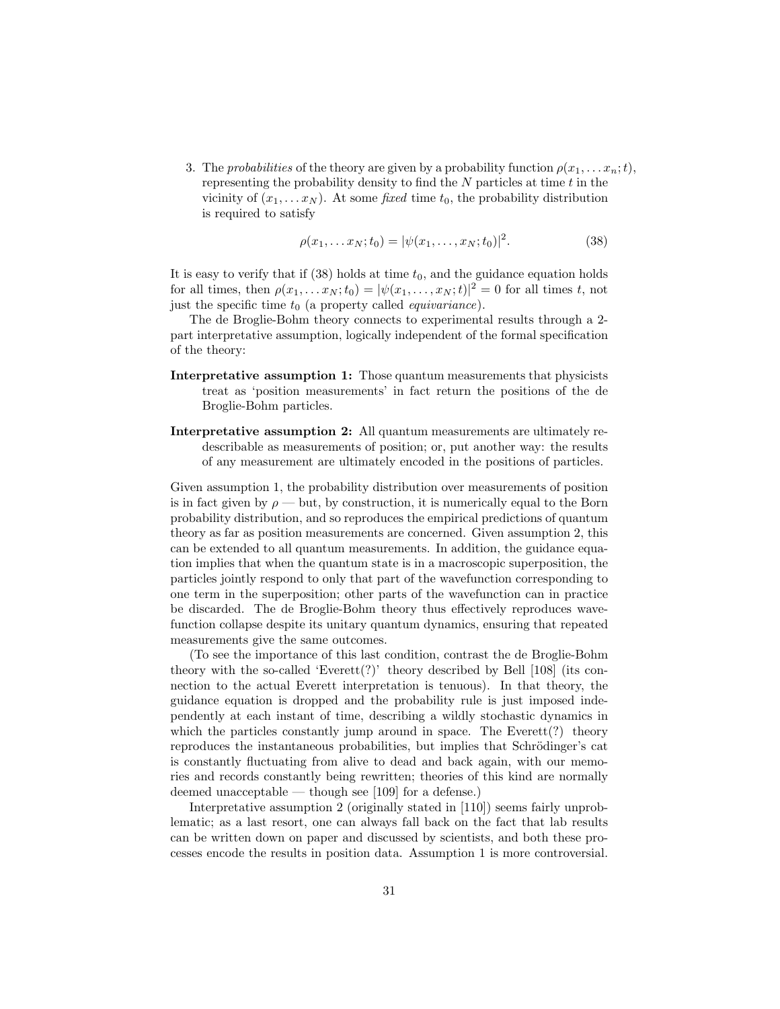3. The probabilities of the theory are given by a probability function  $\rho(x_1, \ldots, x_n; t)$ , representing the probability density to find the  $N$  particles at time  $t$  in the vicinity of  $(x_1, \ldots, x_N)$ . At some *fixed* time  $t_0$ , the probability distribution is required to satisfy

$$
\rho(x_1, \dots x_N; t_0) = |\psi(x_1, \dots, x_N; t_0)|^2. \tag{38}
$$

It is easy to verify that if  $(38)$  holds at time  $t_0$ , and the guidance equation holds for all times, then  $\rho(x_1, \ldots, x_N; t_0) = |\psi(x_1, \ldots, x_N; t)|^2 = 0$  for all times t, not just the specific time  $t_0$  (a property called *equivariance*).

The de Broglie-Bohm theory connects to experimental results through a 2 part interpretative assumption, logically independent of the formal specification of the theory:

- Interpretative assumption 1: Those quantum measurements that physicists treat as 'position measurements' in fact return the positions of the de Broglie-Bohm particles.
- Interpretative assumption 2: All quantum measurements are ultimately redescribable as measurements of position; or, put another way: the results of any measurement are ultimately encoded in the positions of particles.

Given assumption 1, the probability distribution over measurements of position is in fact given by  $\rho$  — but, by construction, it is numerically equal to the Born probability distribution, and so reproduces the empirical predictions of quantum theory as far as position measurements are concerned. Given assumption 2, this can be extended to all quantum measurements. In addition, the guidance equation implies that when the quantum state is in a macroscopic superposition, the particles jointly respond to only that part of the wavefunction corresponding to one term in the superposition; other parts of the wavefunction can in practice be discarded. The de Broglie-Bohm theory thus effectively reproduces wavefunction collapse despite its unitary quantum dynamics, ensuring that repeated measurements give the same outcomes.

(To see the importance of this last condition, contrast the de Broglie-Bohm theory with the so-called 'Everett $(?)'$ ' theory described by Bell [108] (its connection to the actual Everett interpretation is tenuous). In that theory, the guidance equation is dropped and the probability rule is just imposed independently at each instant of time, describing a wildly stochastic dynamics in which the particles constantly jump around in space. The Everett<sup>(?)</sup> theory reproduces the instantaneous probabilities, but implies that Schrödinger's cat is constantly fluctuating from alive to dead and back again, with our memories and records constantly being rewritten; theories of this kind are normally deemed unacceptable — though see [109] for a defense.)

Interpretative assumption 2 (originally stated in [110]) seems fairly unproblematic; as a last resort, one can always fall back on the fact that lab results can be written down on paper and discussed by scientists, and both these processes encode the results in position data. Assumption 1 is more controversial.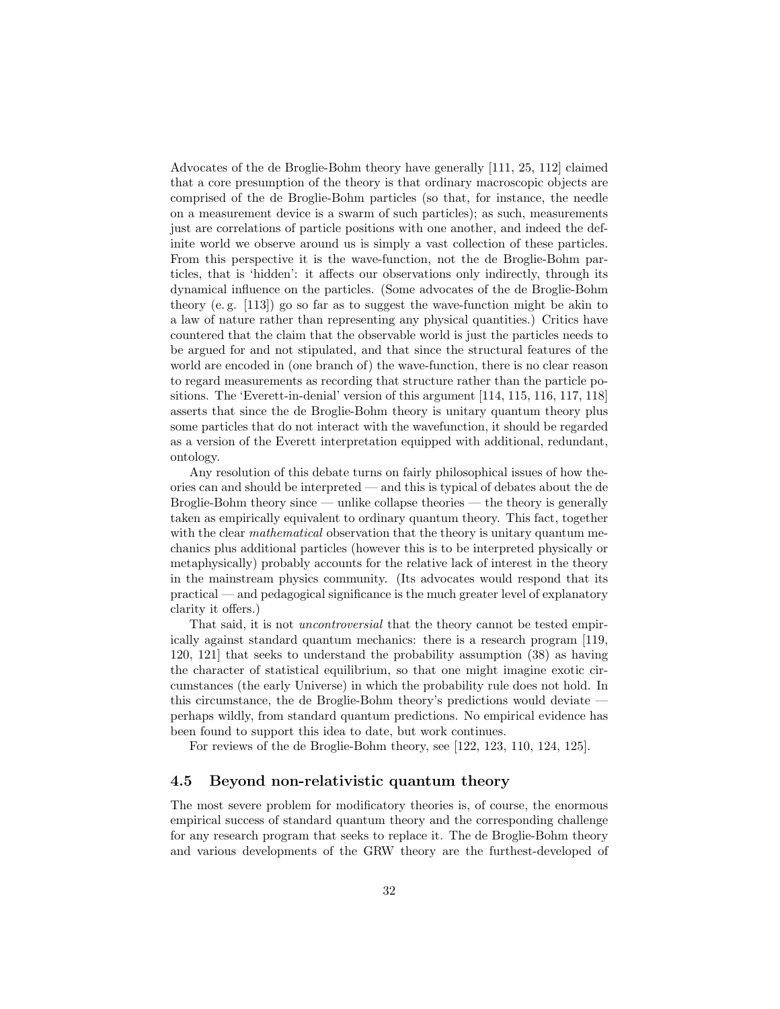Advocates of the de Broglie-Bohm theory have generally [111, 25, 112] claimed that a core presumption of the theory is that ordinary macroscopic objects are comprised of the de Broglie-Bohm particles (so that, for instance, the needle on a measurement device is a swarm of such particles); as such, measurements just are correlations of particle positions with one another, and indeed the definite world we observe around us is simply a vast collection of these particles. From this perspective it is the wave-function, not the de Broglie-Bohm particles, that is 'hidden': it affects our observations only indirectly, through its dynamical influence on the particles. (Some advocates of the de Broglie-Bohm theory (e.g.  $[113]$ ) go so far as to suggest the wave-function might be akin to a law of nature rather than representing any physical quantities.) Critics have countered that the claim that the observable world is just the particles needs to be argued for and not stipulated, and that since the structural features of the world are encoded in (one branch of) the wave-function, there is no clear reason to regard measurements as recording that structure rather than the particle positions. The 'Everett-in-denial' version of this argument [114, 115, 116, 117, 118] asserts that since the de Broglie-Bohm theory is unitary quantum theory plus some particles that do not interact with the wavefunction, it should be regarded as a version of the Everett interpretation equipped with additional, redundant, ontology.

Any resolution of this debate turns on fairly philosophical issues of how theories can and should be interpreted — and this is typical of debates about the de Broglie-Bohm theory since — unlike collapse theories — the theory is generally taken as empirically equivalent to ordinary quantum theory. This fact, together with the clear *mathematical* observation that the theory is unitary quantum mechanics plus additional particles (however this is to be interpreted physically or metaphysically) probably accounts for the relative lack of interest in the theory in the mainstream physics community. (Its advocates would respond that its practical — and pedagogical significance is the much greater level of explanatory clarity it offers.)

That said, it is not *uncontroversial* that the theory cannot be tested empirically against standard quantum mechanics: there is a research program [119, 120, 121] that seeks to understand the probability assumption (38) as having the character of statistical equilibrium, so that one might imagine exotic circumstances (the early Universe) in which the probability rule does not hold. In this circumstance, the de Broglie-Bohm theory's predictions would deviate perhaps wildly, from standard quantum predictions. No empirical evidence has been found to support this idea to date, but work continues.

For reviews of the de Broglie-Bohm theory, see [122, 123, 110, 124, 125].

#### 4.5 Beyond non-relativistic quantum theory

The most severe problem for modificatory theories is, of course, the enormous empirical success of standard quantum theory and the corresponding challenge for any research program that seeks to replace it. The de Broglie-Bohm theory and various developments of the GRW theory are the furthest-developed of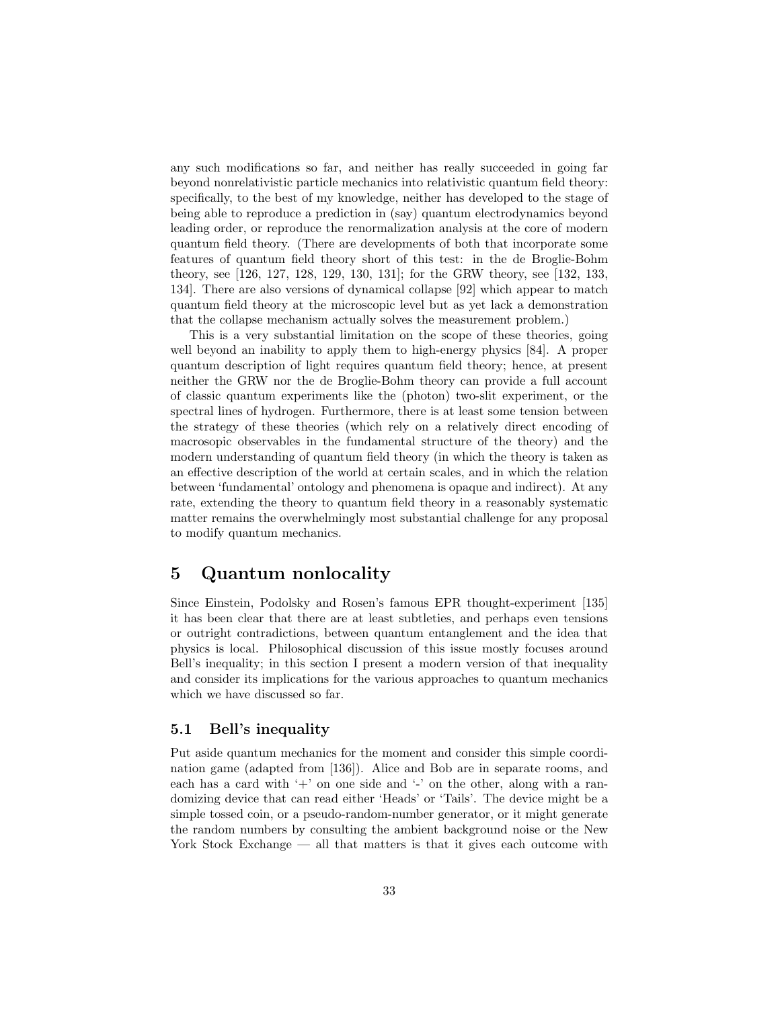any such modifications so far, and neither has really succeeded in going far beyond nonrelativistic particle mechanics into relativistic quantum field theory: specifically, to the best of my knowledge, neither has developed to the stage of being able to reproduce a prediction in (say) quantum electrodynamics beyond leading order, or reproduce the renormalization analysis at the core of modern quantum field theory. (There are developments of both that incorporate some features of quantum field theory short of this test: in the de Broglie-Bohm theory, see [126, 127, 128, 129, 130, 131]; for the GRW theory, see [132, 133, 134]. There are also versions of dynamical collapse [92] which appear to match quantum field theory at the microscopic level but as yet lack a demonstration that the collapse mechanism actually solves the measurement problem.)

This is a very substantial limitation on the scope of these theories, going well beyond an inability to apply them to high-energy physics [84]. A proper quantum description of light requires quantum field theory; hence, at present neither the GRW nor the de Broglie-Bohm theory can provide a full account of classic quantum experiments like the (photon) two-slit experiment, or the spectral lines of hydrogen. Furthermore, there is at least some tension between the strategy of these theories (which rely on a relatively direct encoding of macrosopic observables in the fundamental structure of the theory) and the modern understanding of quantum field theory (in which the theory is taken as an effective description of the world at certain scales, and in which the relation between 'fundamental' ontology and phenomena is opaque and indirect). At any rate, extending the theory to quantum field theory in a reasonably systematic matter remains the overwhelmingly most substantial challenge for any proposal to modify quantum mechanics.

# 5 Quantum nonlocality

Since Einstein, Podolsky and Rosen's famous EPR thought-experiment [135] it has been clear that there are at least subtleties, and perhaps even tensions or outright contradictions, between quantum entanglement and the idea that physics is local. Philosophical discussion of this issue mostly focuses around Bell's inequality; in this section I present a modern version of that inequality and consider its implications for the various approaches to quantum mechanics which we have discussed so far.

## 5.1 Bell's inequality

Put aside quantum mechanics for the moment and consider this simple coordination game (adapted from [136]). Alice and Bob are in separate rooms, and each has a card with  $+$  on one side and  $-$  on the other, along with a randomizing device that can read either 'Heads' or 'Tails'. The device might be a simple tossed coin, or a pseudo-random-number generator, or it might generate the random numbers by consulting the ambient background noise or the New York Stock Exchange — all that matters is that it gives each outcome with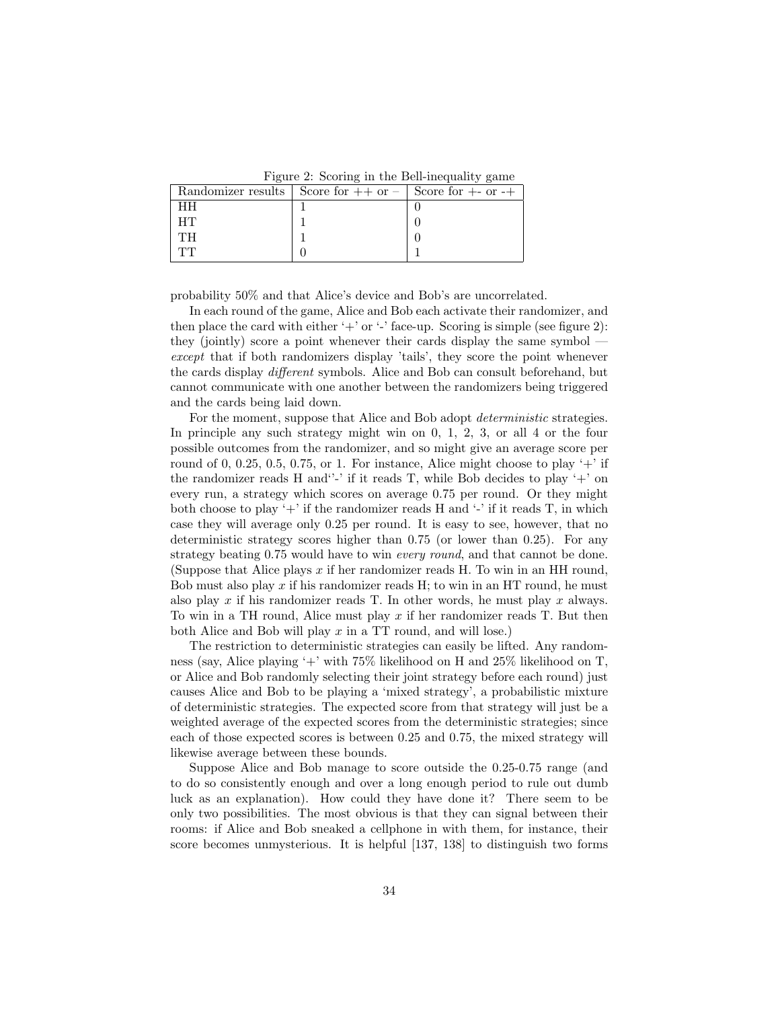Figure 2: Scoring in the Bell-inequality game

| Randomizer results   Score for $++$ or $-$   Score for $+-$ or $-+$ |  |
|---------------------------------------------------------------------|--|
|                                                                     |  |
|                                                                     |  |
|                                                                     |  |
|                                                                     |  |

probability 50% and that Alice's device and Bob's are uncorrelated.

In each round of the game, Alice and Bob each activate their randomizer, and then place the card with either '+' or '-' face-up. Scoring is simple (see figure 2): they (jointly) score a point whenever their cards display the same symbol except that if both randomizers display 'tails', they score the point whenever the cards display different symbols. Alice and Bob can consult beforehand, but cannot communicate with one another between the randomizers being triggered and the cards being laid down.

For the moment, suppose that Alice and Bob adopt *deterministic* strategies. In principle any such strategy might win on 0, 1, 2, 3, or all 4 or the four possible outcomes from the randomizer, and so might give an average score per round of 0, 0.25, 0.5, 0.75, or 1. For instance, Alice might choose to play  $+$  if the randomizer reads H and  $\cdot$ -' if it reads T, while Bob decides to play  $+$ ' on every run, a strategy which scores on average 0.75 per round. Or they might both choose to play '+' if the randomizer reads  $H$  and '-' if it reads  $T$ , in which case they will average only 0.25 per round. It is easy to see, however, that no deterministic strategy scores higher than 0.75 (or lower than 0.25). For any strategy beating 0.75 would have to win *every round*, and that cannot be done. (Suppose that Alice plays x if her randomizer reads H. To win in an HH round, Bob must also play  $x$  if his randomizer reads  $H$ ; to win in an  $HT$  round, he must also play x if his randomizer reads T. In other words, he must play x always. To win in a TH round, Alice must play x if her randomizer reads T. But then both Alice and Bob will play  $x$  in a TT round, and will lose.)

The restriction to deterministic strategies can easily be lifted. Any randomness (say, Alice playing '+' with 75% likelihood on H and 25% likelihood on T, or Alice and Bob randomly selecting their joint strategy before each round) just causes Alice and Bob to be playing a 'mixed strategy', a probabilistic mixture of deterministic strategies. The expected score from that strategy will just be a weighted average of the expected scores from the deterministic strategies; since each of those expected scores is between 0.25 and 0.75, the mixed strategy will likewise average between these bounds.

Suppose Alice and Bob manage to score outside the 0.25-0.75 range (and to do so consistently enough and over a long enough period to rule out dumb luck as an explanation). How could they have done it? There seem to be only two possibilities. The most obvious is that they can signal between their rooms: if Alice and Bob sneaked a cellphone in with them, for instance, their score becomes unmysterious. It is helpful [137, 138] to distinguish two forms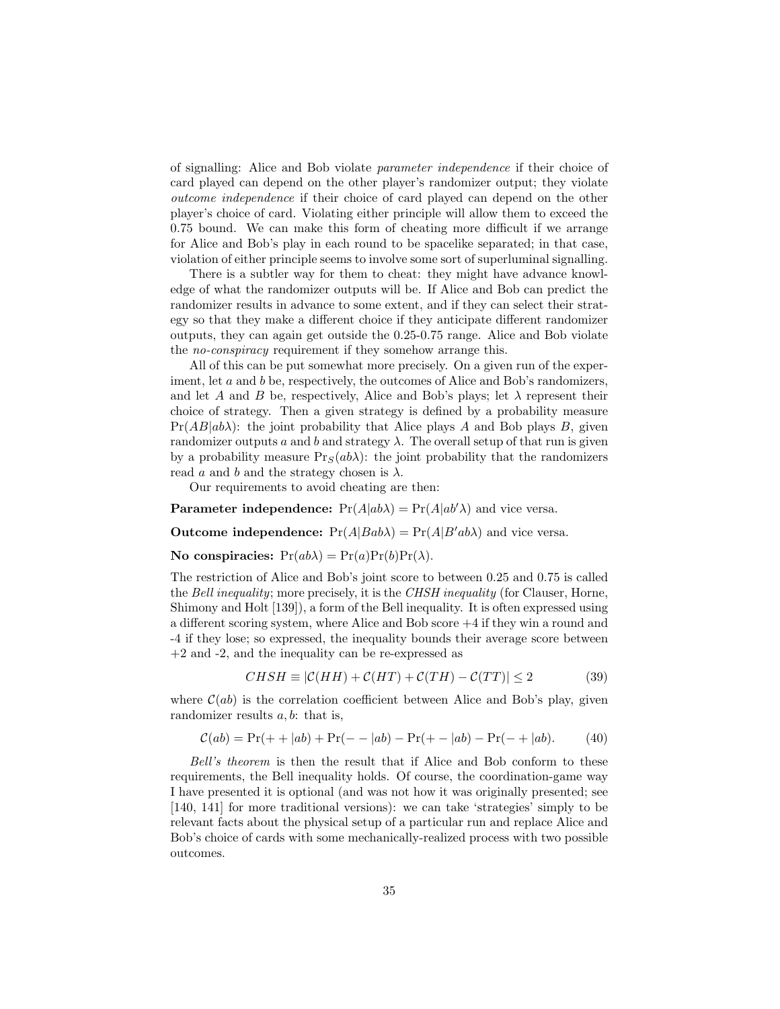of signalling: Alice and Bob violate parameter independence if their choice of card played can depend on the other player's randomizer output; they violate outcome independence if their choice of card played can depend on the other player's choice of card. Violating either principle will allow them to exceed the 0.75 bound. We can make this form of cheating more difficult if we arrange for Alice and Bob's play in each round to be spacelike separated; in that case, violation of either principle seems to involve some sort of superluminal signalling.

There is a subtler way for them to cheat: they might have advance knowledge of what the randomizer outputs will be. If Alice and Bob can predict the randomizer results in advance to some extent, and if they can select their strategy so that they make a different choice if they anticipate different randomizer outputs, they can again get outside the 0.25-0.75 range. Alice and Bob violate the no-conspiracy requirement if they somehow arrange this.

All of this can be put somewhat more precisely. On a given run of the experiment, let a and b be, respectively, the outcomes of Alice and Bob's randomizers, and let A and B be, respectively, Alice and Bob's plays; let  $\lambda$  represent their choice of strategy. Then a given strategy is defined by a probability measure  $Pr(AB|ab\lambda)$ : the joint probability that Alice plays A and Bob plays B, given randomizer outputs a and b and strategy  $\lambda$ . The overall setup of that run is given by a probability measure  $Pr_S(ab\lambda)$ : the joint probability that the randomizers read a and b and the strategy chosen is  $\lambda$ .

Our requirements to avoid cheating are then:

**Parameter independence:**  $Pr(A|ab\lambda) = Pr(A|ab'\lambda)$  and vice versa.

**Outcome independence:**  $Pr(A|Bab\lambda) = Pr(A|B'ab\lambda)$  and vice versa.

No conspiracies:  $Pr(ab\lambda) = Pr(a)Pr(b)Pr(\lambda)$ .

The restriction of Alice and Bob's joint score to between 0.25 and 0.75 is called the Bell inequality; more precisely, it is the CHSH inequality (for Clauser, Horne, Shimony and Holt [139]), a form of the Bell inequality. It is often expressed using a different scoring system, where Alice and Bob score +4 if they win a round and -4 if they lose; so expressed, the inequality bounds their average score between  $+2$  and  $-2$ , and the inequality can be re-expressed as

$$
CHSH \equiv |\mathcal{C}(HH) + \mathcal{C}(HT) + \mathcal{C}(TH) - \mathcal{C}(TT)| \le 2 \tag{39}
$$

where  $C(ab)$  is the correlation coefficient between Alice and Bob's play, given randomizer results  $a, b$ : that is,

$$
\mathcal{C}(ab) = \Pr(+ + |ab) + \Pr(- - |ab) - \Pr(+ - |ab) - \Pr(- + |ab). \tag{40}
$$

Bell's theorem is then the result that if Alice and Bob conform to these requirements, the Bell inequality holds. Of course, the coordination-game way I have presented it is optional (and was not how it was originally presented; see [140, 141] for more traditional versions): we can take 'strategies' simply to be relevant facts about the physical setup of a particular run and replace Alice and Bob's choice of cards with some mechanically-realized process with two possible outcomes.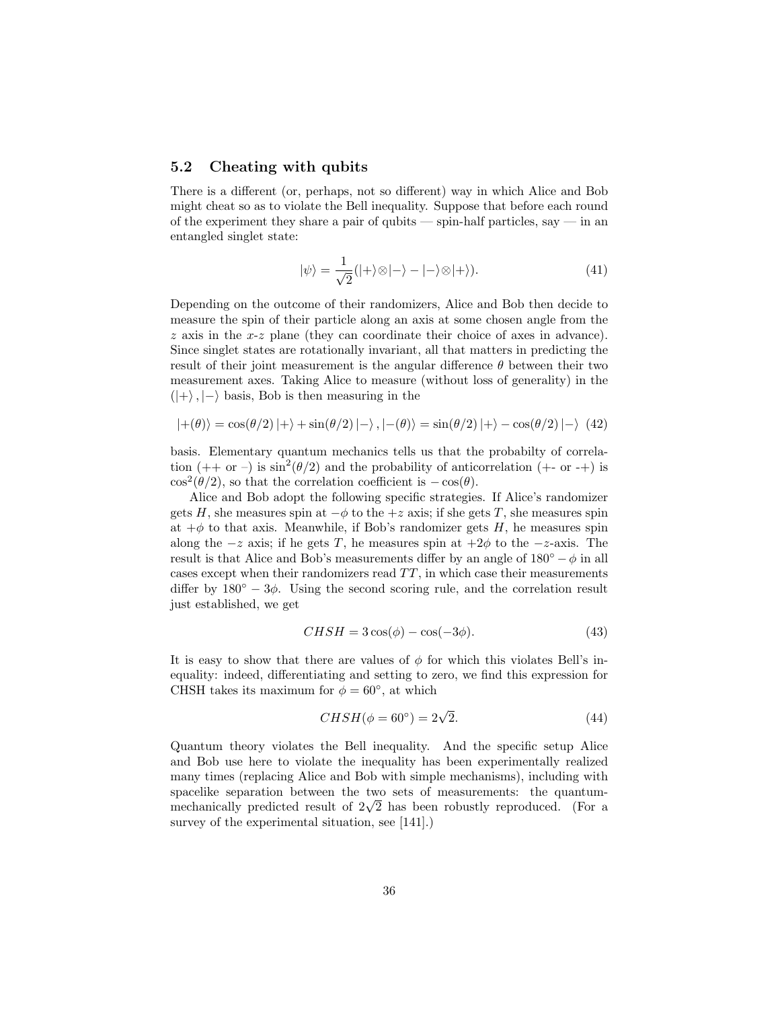### 5.2 Cheating with qubits

There is a different (or, perhaps, not so different) way in which Alice and Bob might cheat so as to violate the Bell inequality. Suppose that before each round of the experiment they share a pair of qubits — spin-half particles, say — in an entangled singlet state:

$$
|\psi\rangle = \frac{1}{\sqrt{2}}(|+\rangle \otimes |-\rangle - |-\rangle \otimes |+\rangle). \tag{41}
$$

Depending on the outcome of their randomizers, Alice and Bob then decide to measure the spin of their particle along an axis at some chosen angle from the z axis in the x-z plane (they can coordinate their choice of axes in advance). Since singlet states are rotationally invariant, all that matters in predicting the result of their joint measurement is the angular difference  $\theta$  between their two measurement axes. Taking Alice to measure (without loss of generality) in the  $(|+\rangle, |-\rangle$  basis, Bob is then measuring in the

$$
|+(\theta)\rangle = \cos(\theta/2)|+\rangle + \sin(\theta/2)|-\rangle, |-(\theta)\rangle = \sin(\theta/2)|+\rangle - \cos(\theta/2)|-\rangle
$$
 (42)

basis. Elementary quantum mechanics tells us that the probabilty of correlation  $(+\alpha -)$  is  $\sin^2(\theta/2)$  and the probability of anticorrelation  $(+\alpha -)$  is  $\cos^2(\theta/2)$ , so that the correlation coefficient is  $-\cos(\theta)$ .

Alice and Bob adopt the following specific strategies. If Alice's randomizer gets H, she measures spin at  $-\phi$  to the  $+z$  axis; if she gets T, she measures spin at  $+\phi$  to that axis. Meanwhile, if Bob's randomizer gets H, he measures spin along the  $-z$  axis; if he gets T, he measures spin at  $+2\phi$  to the  $-z$ -axis. The result is that Alice and Bob's measurements differ by an angle of  $180^\circ - \phi$  in all cases except when their randomizers read  $TT$ , in which case their measurements differ by  $180° - 3\phi$ . Using the second scoring rule, and the correlation result just established, we get

$$
CHSH = 3\cos(\phi) - \cos(-3\phi). \tag{43}
$$

It is easy to show that there are values of  $\phi$  for which this violates Bell's inequality: indeed, differentiating and setting to zero, we find this expression for CHSH takes its maximum for  $\phi = 60^{\circ}$ , at which

$$
CHSH(\phi = 60^{\circ}) = 2\sqrt{2}.
$$
\n(44)

Quantum theory violates the Bell inequality. And the specific setup Alice and Bob use here to violate the inequality has been experimentally realized many times (replacing Alice and Bob with simple mechanisms), including with spacelike separation between the two sets of measurements: the quantumspacelike separation between the two sets of measurements: the quantum-<br>mechanically predicted result of  $2\sqrt{2}$  has been robustly reproduced. (For a survey of the experimental situation, see [141].)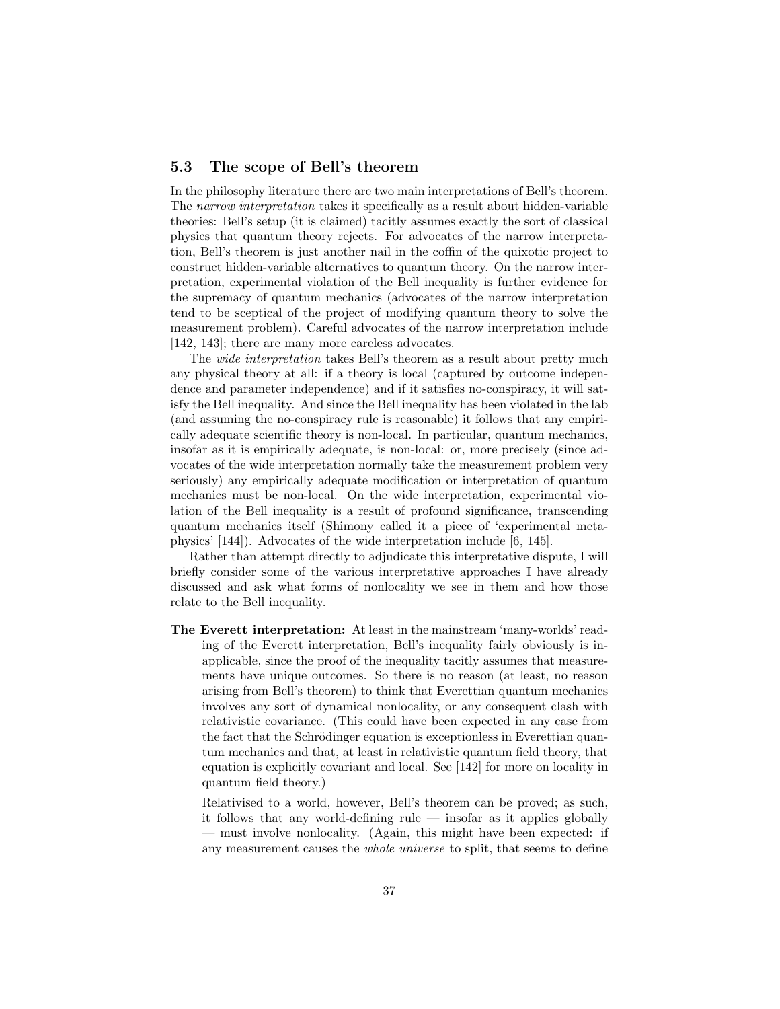### 5.3 The scope of Bell's theorem

In the philosophy literature there are two main interpretations of Bell's theorem. The narrow interpretation takes it specifically as a result about hidden-variable theories: Bell's setup (it is claimed) tacitly assumes exactly the sort of classical physics that quantum theory rejects. For advocates of the narrow interpretation, Bell's theorem is just another nail in the coffin of the quixotic project to construct hidden-variable alternatives to quantum theory. On the narrow interpretation, experimental violation of the Bell inequality is further evidence for the supremacy of quantum mechanics (advocates of the narrow interpretation tend to be sceptical of the project of modifying quantum theory to solve the measurement problem). Careful advocates of the narrow interpretation include [142, 143]; there are many more careless advocates.

The wide interpretation takes Bell's theorem as a result about pretty much any physical theory at all: if a theory is local (captured by outcome independence and parameter independence) and if it satisfies no-conspiracy, it will satisfy the Bell inequality. And since the Bell inequality has been violated in the lab (and assuming the no-conspiracy rule is reasonable) it follows that any empirically adequate scientific theory is non-local. In particular, quantum mechanics, insofar as it is empirically adequate, is non-local: or, more precisely (since advocates of the wide interpretation normally take the measurement problem very seriously) any empirically adequate modification or interpretation of quantum mechanics must be non-local. On the wide interpretation, experimental violation of the Bell inequality is a result of profound significance, transcending quantum mechanics itself (Shimony called it a piece of 'experimental metaphysics' [144]). Advocates of the wide interpretation include [6, 145].

Rather than attempt directly to adjudicate this interpretative dispute, I will briefly consider some of the various interpretative approaches I have already discussed and ask what forms of nonlocality we see in them and how those relate to the Bell inequality.

The Everett interpretation: At least in the mainstream 'many-worlds' reading of the Everett interpretation, Bell's inequality fairly obviously is inapplicable, since the proof of the inequality tacitly assumes that measurements have unique outcomes. So there is no reason (at least, no reason arising from Bell's theorem) to think that Everettian quantum mechanics involves any sort of dynamical nonlocality, or any consequent clash with relativistic covariance. (This could have been expected in any case from the fact that the Schrödinger equation is exceptionless in Everettian quantum mechanics and that, at least in relativistic quantum field theory, that equation is explicitly covariant and local. See [142] for more on locality in quantum field theory.)

Relativised to a world, however, Bell's theorem can be proved; as such, it follows that any world-defining rule — insofar as it applies globally — must involve nonlocality. (Again, this might have been expected: if any measurement causes the whole universe to split, that seems to define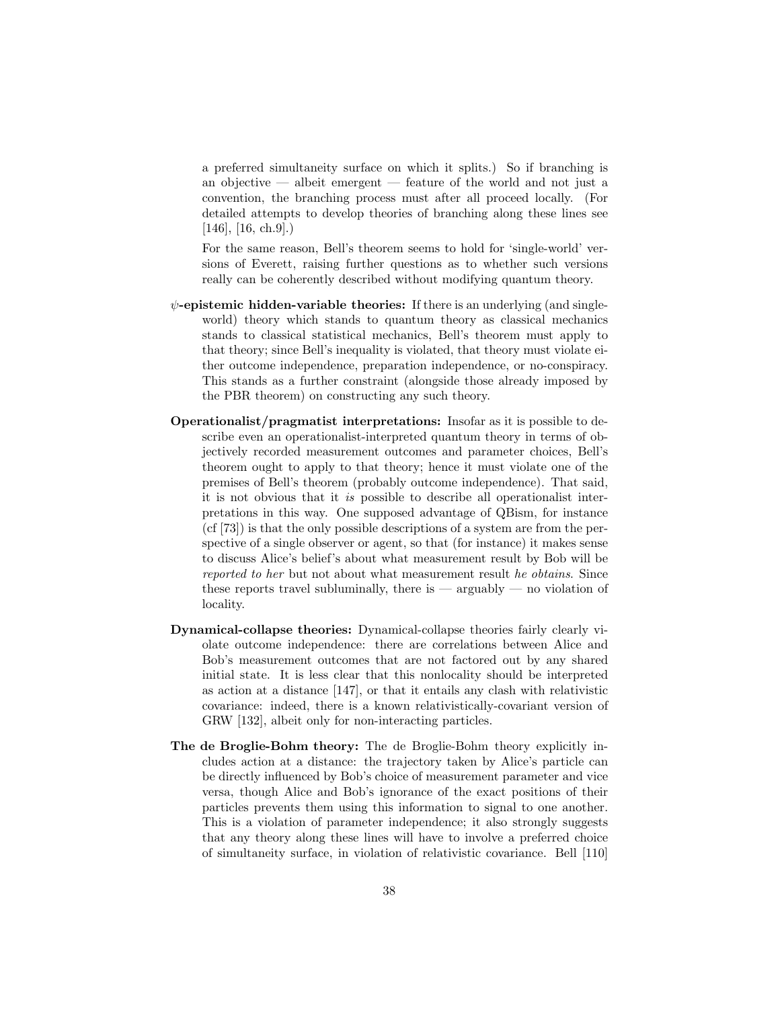a preferred simultaneity surface on which it splits.) So if branching is an objective — albeit emergent — feature of the world and not just a convention, the branching process must after all proceed locally. (For detailed attempts to develop theories of branching along these lines see  $[146]$ ,  $[16, ch.9]$ .

For the same reason, Bell's theorem seems to hold for 'single-world' versions of Everett, raising further questions as to whether such versions really can be coherently described without modifying quantum theory.

- $\psi$ -epistemic hidden-variable theories: If there is an underlying (and singleworld) theory which stands to quantum theory as classical mechanics stands to classical statistical mechanics, Bell's theorem must apply to that theory; since Bell's inequality is violated, that theory must violate either outcome independence, preparation independence, or no-conspiracy. This stands as a further constraint (alongside those already imposed by the PBR theorem) on constructing any such theory.
- Operationalist/pragmatist interpretations: Insofar as it is possible to describe even an operationalist-interpreted quantum theory in terms of objectively recorded measurement outcomes and parameter choices, Bell's theorem ought to apply to that theory; hence it must violate one of the premises of Bell's theorem (probably outcome independence). That said, it is not obvious that it is possible to describe all operationalist interpretations in this way. One supposed advantage of QBism, for instance (cf [73]) is that the only possible descriptions of a system are from the perspective of a single observer or agent, so that (for instance) it makes sense to discuss Alice's belief's about what measurement result by Bob will be reported to her but not about what measurement result he obtains. Since these reports travel subluminally, there is  $-$  arguably  $-$  no violation of locality.
- Dynamical-collapse theories: Dynamical-collapse theories fairly clearly violate outcome independence: there are correlations between Alice and Bob's measurement outcomes that are not factored out by any shared initial state. It is less clear that this nonlocality should be interpreted as action at a distance [147], or that it entails any clash with relativistic covariance: indeed, there is a known relativistically-covariant version of GRW [132], albeit only for non-interacting particles.
- The de Broglie-Bohm theory: The de Broglie-Bohm theory explicitly includes action at a distance: the trajectory taken by Alice's particle can be directly influenced by Bob's choice of measurement parameter and vice versa, though Alice and Bob's ignorance of the exact positions of their particles prevents them using this information to signal to one another. This is a violation of parameter independence; it also strongly suggests that any theory along these lines will have to involve a preferred choice of simultaneity surface, in violation of relativistic covariance. Bell [110]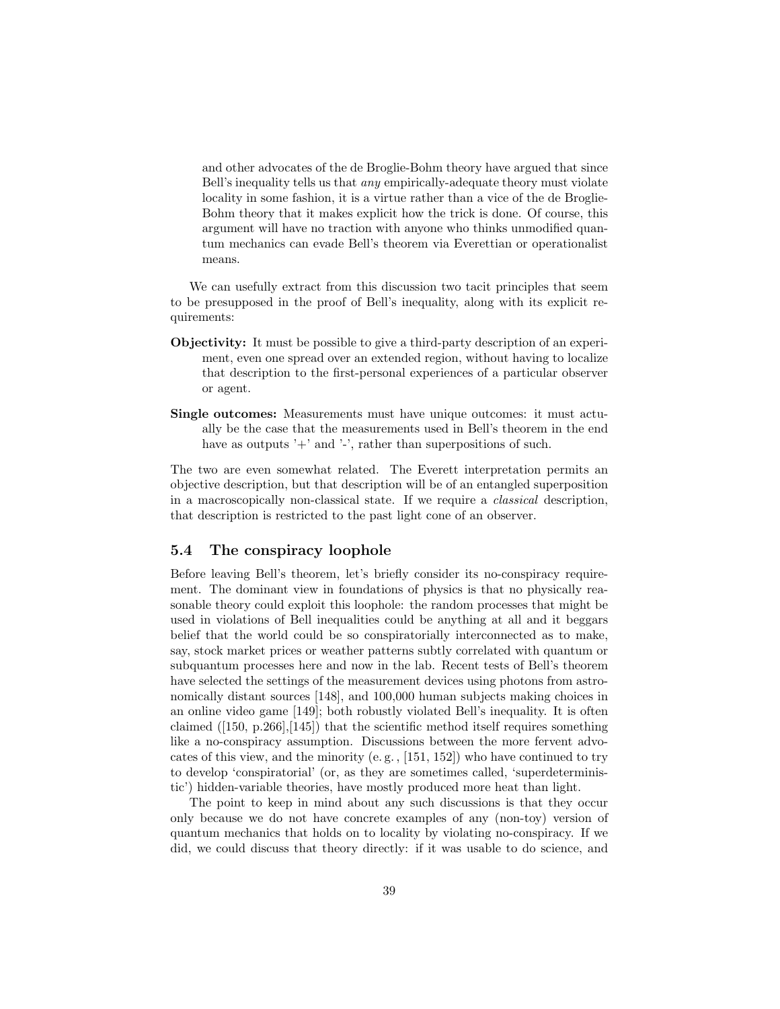and other advocates of the de Broglie-Bohm theory have argued that since Bell's inequality tells us that any empirically-adequate theory must violate locality in some fashion, it is a virtue rather than a vice of the de Broglie-Bohm theory that it makes explicit how the trick is done. Of course, this argument will have no traction with anyone who thinks unmodified quantum mechanics can evade Bell's theorem via Everettian or operationalist means.

We can usefully extract from this discussion two tacit principles that seem to be presupposed in the proof of Bell's inequality, along with its explicit requirements:

- Objectivity: It must be possible to give a third-party description of an experiment, even one spread over an extended region, without having to localize that description to the first-personal experiences of a particular observer or agent.
- Single outcomes: Measurements must have unique outcomes: it must actually be the case that the measurements used in Bell's theorem in the end have as outputs  $+$  and  $-$ , rather than superpositions of such.

The two are even somewhat related. The Everett interpretation permits an objective description, but that description will be of an entangled superposition in a macroscopically non-classical state. If we require a classical description, that description is restricted to the past light cone of an observer.

## 5.4 The conspiracy loophole

Before leaving Bell's theorem, let's briefly consider its no-conspiracy requirement. The dominant view in foundations of physics is that no physically reasonable theory could exploit this loophole: the random processes that might be used in violations of Bell inequalities could be anything at all and it beggars belief that the world could be so conspiratorially interconnected as to make, say, stock market prices or weather patterns subtly correlated with quantum or subquantum processes here and now in the lab. Recent tests of Bell's theorem have selected the settings of the measurement devices using photons from astronomically distant sources [148], and 100,000 human subjects making choices in an online video game [149]; both robustly violated Bell's inequality. It is often claimed  $([150, p.266],[145])$  that the scientific method itself requires something like a no-conspiracy assumption. Discussions between the more fervent advocates of this view, and the minority (e. g. , [151, 152]) who have continued to try to develop 'conspiratorial' (or, as they are sometimes called, 'superdeterministic') hidden-variable theories, have mostly produced more heat than light.

The point to keep in mind about any such discussions is that they occur only because we do not have concrete examples of any (non-toy) version of quantum mechanics that holds on to locality by violating no-conspiracy. If we did, we could discuss that theory directly: if it was usable to do science, and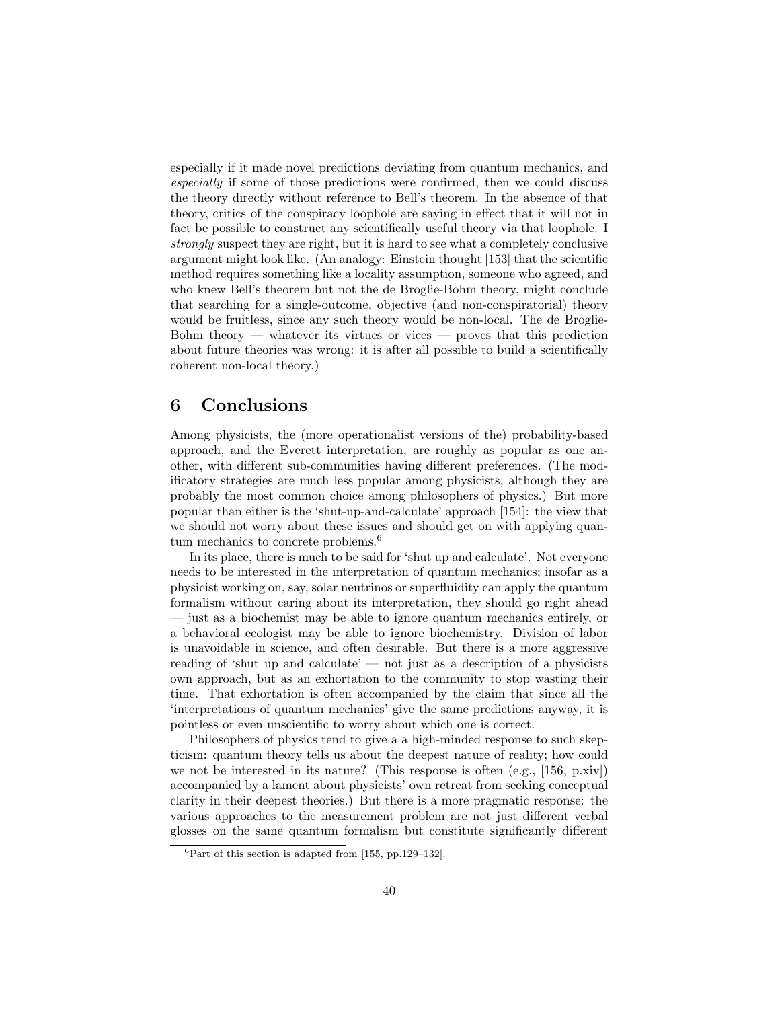especially if it made novel predictions deviating from quantum mechanics, and especially if some of those predictions were confirmed, then we could discuss the theory directly without reference to Bell's theorem. In the absence of that theory, critics of the conspiracy loophole are saying in effect that it will not in fact be possible to construct any scientifically useful theory via that loophole. I strongly suspect they are right, but it is hard to see what a completely conclusive argument might look like. (An analogy: Einstein thought [153] that the scientific method requires something like a locality assumption, someone who agreed, and who knew Bell's theorem but not the de Broglie-Bohm theory, might conclude that searching for a single-outcome, objective (and non-conspiratorial) theory would be fruitless, since any such theory would be non-local. The de Broglie-Bohm theory — whatever its virtues or vices — proves that this prediction about future theories was wrong: it is after all possible to build a scientifically coherent non-local theory.)

# 6 Conclusions

Among physicists, the (more operationalist versions of the) probability-based approach, and the Everett interpretation, are roughly as popular as one another, with different sub-communities having different preferences. (The modificatory strategies are much less popular among physicists, although they are probably the most common choice among philosophers of physics.) But more popular than either is the 'shut-up-and-calculate' approach [154]: the view that we should not worry about these issues and should get on with applying quantum mechanics to concrete problems.<sup>6</sup>

In its place, there is much to be said for 'shut up and calculate'. Not everyone needs to be interested in the interpretation of quantum mechanics; insofar as a physicist working on, say, solar neutrinos or superfluidity can apply the quantum formalism without caring about its interpretation, they should go right ahead — just as a biochemist may be able to ignore quantum mechanics entirely, or a behavioral ecologist may be able to ignore biochemistry. Division of labor is unavoidable in science, and often desirable. But there is a more aggressive reading of 'shut up and calculate' — not just as a description of a physicists own approach, but as an exhortation to the community to stop wasting their time. That exhortation is often accompanied by the claim that since all the 'interpretations of quantum mechanics' give the same predictions anyway, it is pointless or even unscientific to worry about which one is correct.

Philosophers of physics tend to give a a high-minded response to such skepticism: quantum theory tells us about the deepest nature of reality; how could we not be interested in its nature? (This response is often (e.g., [156, p.xiv]) accompanied by a lament about physicists' own retreat from seeking conceptual clarity in their deepest theories.) But there is a more pragmatic response: the various approaches to the measurement problem are not just different verbal glosses on the same quantum formalism but constitute significantly different

 ${}^{6}$ Part of this section is adapted from [155, pp.129–132].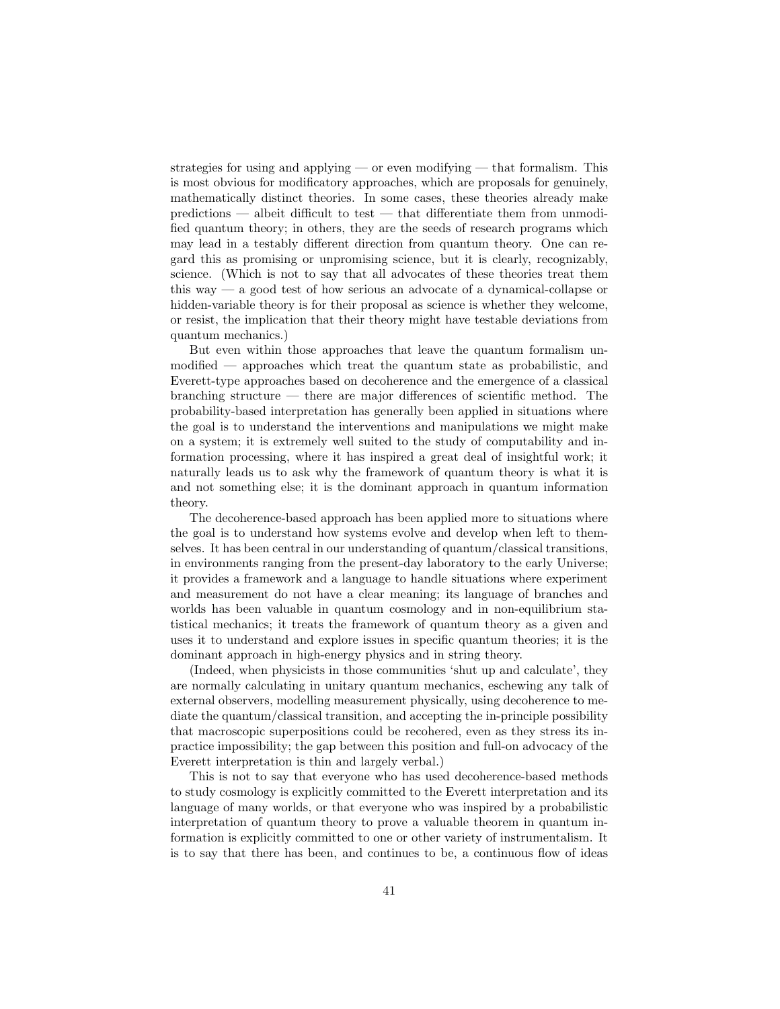strategies for using and applying — or even modifying — that formalism. This is most obvious for modificatory approaches, which are proposals for genuinely, mathematically distinct theories. In some cases, these theories already make predictions — albeit difficult to test — that differentiate them from unmodified quantum theory; in others, they are the seeds of research programs which may lead in a testably different direction from quantum theory. One can regard this as promising or unpromising science, but it is clearly, recognizably, science. (Which is not to say that all advocates of these theories treat them this way — a good test of how serious an advocate of a dynamical-collapse or hidden-variable theory is for their proposal as science is whether they welcome, or resist, the implication that their theory might have testable deviations from quantum mechanics.)

But even within those approaches that leave the quantum formalism unmodified — approaches which treat the quantum state as probabilistic, and Everett-type approaches based on decoherence and the emergence of a classical branching structure — there are major differences of scientific method. The probability-based interpretation has generally been applied in situations where the goal is to understand the interventions and manipulations we might make on a system; it is extremely well suited to the study of computability and information processing, where it has inspired a great deal of insightful work; it naturally leads us to ask why the framework of quantum theory is what it is and not something else; it is the dominant approach in quantum information theory.

The decoherence-based approach has been applied more to situations where the goal is to understand how systems evolve and develop when left to themselves. It has been central in our understanding of quantum/classical transitions, in environments ranging from the present-day laboratory to the early Universe; it provides a framework and a language to handle situations where experiment and measurement do not have a clear meaning; its language of branches and worlds has been valuable in quantum cosmology and in non-equilibrium statistical mechanics; it treats the framework of quantum theory as a given and uses it to understand and explore issues in specific quantum theories; it is the dominant approach in high-energy physics and in string theory.

(Indeed, when physicists in those communities 'shut up and calculate', they are normally calculating in unitary quantum mechanics, eschewing any talk of external observers, modelling measurement physically, using decoherence to mediate the quantum/classical transition, and accepting the in-principle possibility that macroscopic superpositions could be recohered, even as they stress its inpractice impossibility; the gap between this position and full-on advocacy of the Everett interpretation is thin and largely verbal.)

This is not to say that everyone who has used decoherence-based methods to study cosmology is explicitly committed to the Everett interpretation and its language of many worlds, or that everyone who was inspired by a probabilistic interpretation of quantum theory to prove a valuable theorem in quantum information is explicitly committed to one or other variety of instrumentalism. It is to say that there has been, and continues to be, a continuous flow of ideas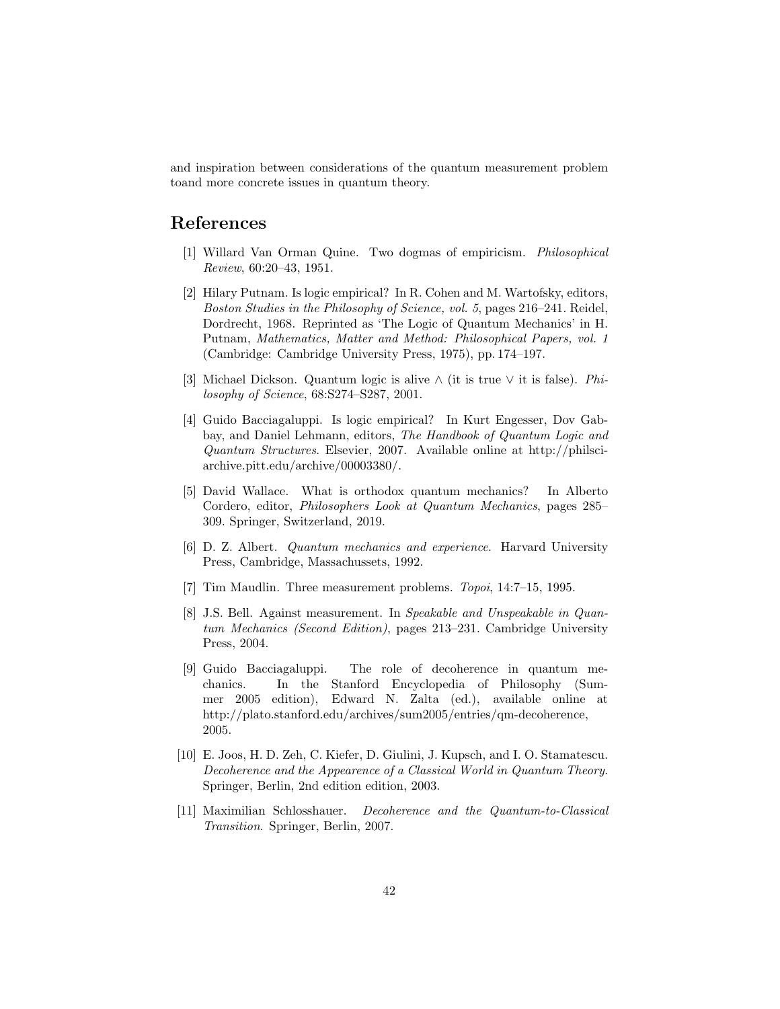and inspiration between considerations of the quantum measurement problem toand more concrete issues in quantum theory.

# References

- [1] Willard Van Orman Quine. Two dogmas of empiricism. Philosophical Review, 60:20–43, 1951.
- [2] Hilary Putnam. Is logic empirical? In R. Cohen and M. Wartofsky, editors, Boston Studies in the Philosophy of Science, vol. 5, pages 216–241. Reidel, Dordrecht, 1968. Reprinted as 'The Logic of Quantum Mechanics' in H. Putnam, Mathematics, Matter and Method: Philosophical Papers, vol. 1 (Cambridge: Cambridge University Press, 1975), pp. 174–197.
- [3] Michael Dickson. Quantum logic is alive ∧ (it is true ∨ it is false). Philosophy of Science, 68:S274–S287, 2001.
- [4] Guido Bacciagaluppi. Is logic empirical? In Kurt Engesser, Dov Gabbay, and Daniel Lehmann, editors, The Handbook of Quantum Logic and Quantum Structures. Elsevier, 2007. Available online at http://philsciarchive.pitt.edu/archive/00003380/.
- [5] David Wallace. What is orthodox quantum mechanics? In Alberto Cordero, editor, Philosophers Look at Quantum Mechanics, pages 285– 309. Springer, Switzerland, 2019.
- [6] D. Z. Albert. Quantum mechanics and experience. Harvard University Press, Cambridge, Massachussets, 1992.
- [7] Tim Maudlin. Three measurement problems. Topoi, 14:7–15, 1995.
- [8] J.S. Bell. Against measurement. In Speakable and Unspeakable in Quantum Mechanics (Second Edition), pages 213–231. Cambridge University Press, 2004.
- [9] Guido Bacciagaluppi. The role of decoherence in quantum mechanics. In the Stanford Encyclopedia of Philosophy (Summer 2005 edition), Edward N. Zalta (ed.), available online at http://plato.stanford.edu/archives/sum2005/entries/qm-decoherence, 2005.
- [10] E. Joos, H. D. Zeh, C. Kiefer, D. Giulini, J. Kupsch, and I. O. Stamatescu. Decoherence and the Appearence of a Classical World in Quantum Theory. Springer, Berlin, 2nd edition edition, 2003.
- [11] Maximilian Schlosshauer. Decoherence and the Quantum-to-Classical Transition. Springer, Berlin, 2007.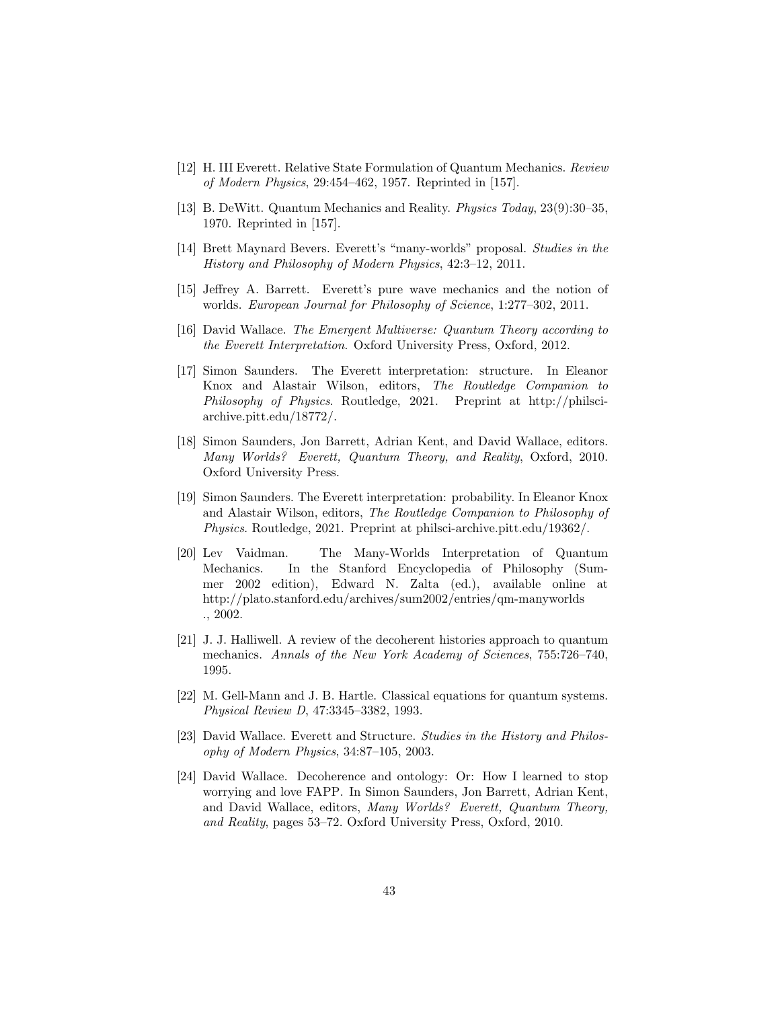- [12] H. III Everett. Relative State Formulation of Quantum Mechanics. Review of Modern Physics, 29:454–462, 1957. Reprinted in [157].
- [13] B. DeWitt. Quantum Mechanics and Reality. Physics Today, 23(9):30–35, 1970. Reprinted in [157].
- [14] Brett Maynard Bevers. Everett's "many-worlds" proposal. Studies in the History and Philosophy of Modern Physics, 42:3–12, 2011.
- [15] Jeffrey A. Barrett. Everett's pure wave mechanics and the notion of worlds. European Journal for Philosophy of Science, 1:277–302, 2011.
- [16] David Wallace. The Emergent Multiverse: Quantum Theory according to the Everett Interpretation. Oxford University Press, Oxford, 2012.
- [17] Simon Saunders. The Everett interpretation: structure. In Eleanor Knox and Alastair Wilson, editors, The Routledge Companion to Philosophy of Physics. Routledge, 2021. Preprint at http://philsciarchive.pitt.edu/18772/.
- [18] Simon Saunders, Jon Barrett, Adrian Kent, and David Wallace, editors. Many Worlds? Everett, Quantum Theory, and Reality, Oxford, 2010. Oxford University Press.
- [19] Simon Saunders. The Everett interpretation: probability. In Eleanor Knox and Alastair Wilson, editors, The Routledge Companion to Philosophy of Physics. Routledge, 2021. Preprint at philsci-archive.pitt.edu/19362/.
- [20] Lev Vaidman. The Many-Worlds Interpretation of Quantum Mechanics. In the Stanford Encyclopedia of Philosophy (Summer 2002 edition), Edward N. Zalta (ed.), available online at http://plato.stanford.edu/archives/sum2002/entries/qm-manyworlds ., 2002.
- [21] J. J. Halliwell. A review of the decoherent histories approach to quantum mechanics. Annals of the New York Academy of Sciences, 755:726–740, 1995.
- [22] M. Gell-Mann and J. B. Hartle. Classical equations for quantum systems. Physical Review D, 47:3345–3382, 1993.
- [23] David Wallace. Everett and Structure. Studies in the History and Philosophy of Modern Physics, 34:87–105, 2003.
- [24] David Wallace. Decoherence and ontology: Or: How I learned to stop worrying and love FAPP. In Simon Saunders, Jon Barrett, Adrian Kent, and David Wallace, editors, Many Worlds? Everett, Quantum Theory, and Reality, pages 53–72. Oxford University Press, Oxford, 2010.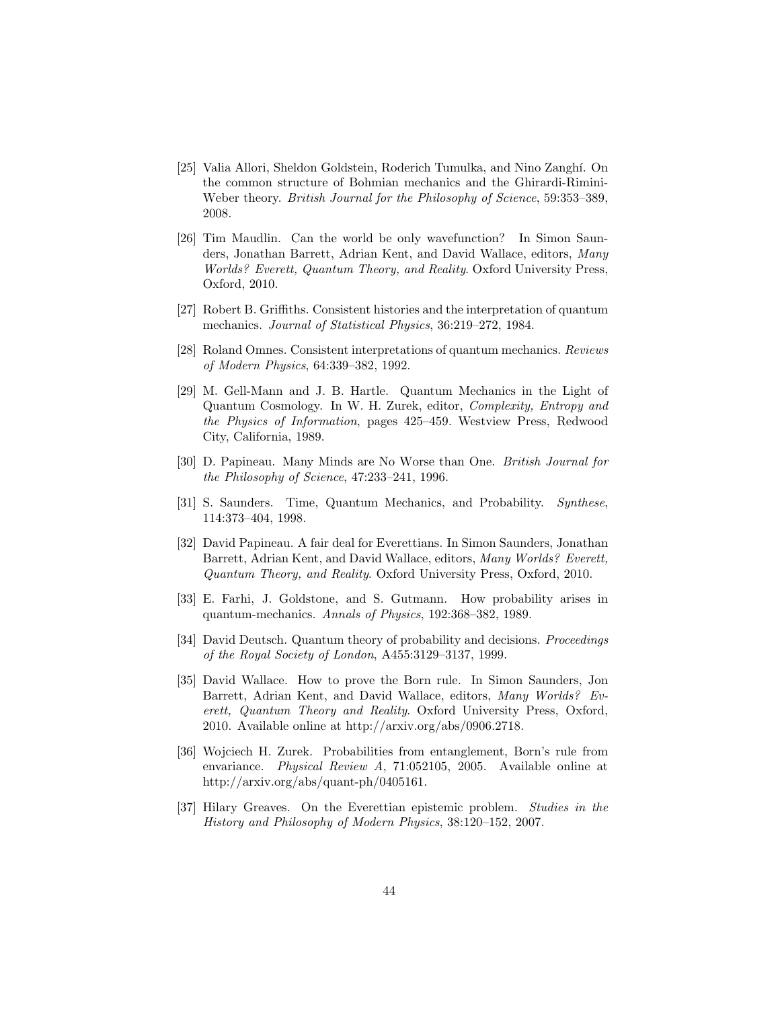- [25] Valia Allori, Sheldon Goldstein, Roderich Tumulka, and Nino Zangh´ı. On the common structure of Bohmian mechanics and the Ghirardi-Rimini-Weber theory. British Journal for the Philosophy of Science, 59:353–389, 2008.
- [26] Tim Maudlin. Can the world be only wavefunction? In Simon Saunders, Jonathan Barrett, Adrian Kent, and David Wallace, editors, Many Worlds? Everett, Quantum Theory, and Reality. Oxford University Press, Oxford, 2010.
- [27] Robert B. Griffiths. Consistent histories and the interpretation of quantum mechanics. Journal of Statistical Physics, 36:219–272, 1984.
- [28] Roland Omnes. Consistent interpretations of quantum mechanics. Reviews of Modern Physics, 64:339–382, 1992.
- [29] M. Gell-Mann and J. B. Hartle. Quantum Mechanics in the Light of Quantum Cosmology. In W. H. Zurek, editor, Complexity, Entropy and the Physics of Information, pages 425–459. Westview Press, Redwood City, California, 1989.
- [30] D. Papineau. Many Minds are No Worse than One. British Journal for the Philosophy of Science, 47:233–241, 1996.
- [31] S. Saunders. Time, Quantum Mechanics, and Probability. Synthese, 114:373–404, 1998.
- [32] David Papineau. A fair deal for Everettians. In Simon Saunders, Jonathan Barrett, Adrian Kent, and David Wallace, editors, Many Worlds? Everett, Quantum Theory, and Reality. Oxford University Press, Oxford, 2010.
- [33] E. Farhi, J. Goldstone, and S. Gutmann. How probability arises in quantum-mechanics. Annals of Physics, 192:368–382, 1989.
- [34] David Deutsch. Quantum theory of probability and decisions. Proceedings of the Royal Society of London, A455:3129–3137, 1999.
- [35] David Wallace. How to prove the Born rule. In Simon Saunders, Jon Barrett, Adrian Kent, and David Wallace, editors, Many Worlds? Everett, Quantum Theory and Reality. Oxford University Press, Oxford, 2010. Available online at http://arxiv.org/abs/0906.2718.
- [36] Wojciech H. Zurek. Probabilities from entanglement, Born's rule from envariance. Physical Review A, 71:052105, 2005. Available online at http://arxiv.org/abs/quant-ph/0405161.
- [37] Hilary Greaves. On the Everettian epistemic problem. Studies in the History and Philosophy of Modern Physics, 38:120–152, 2007.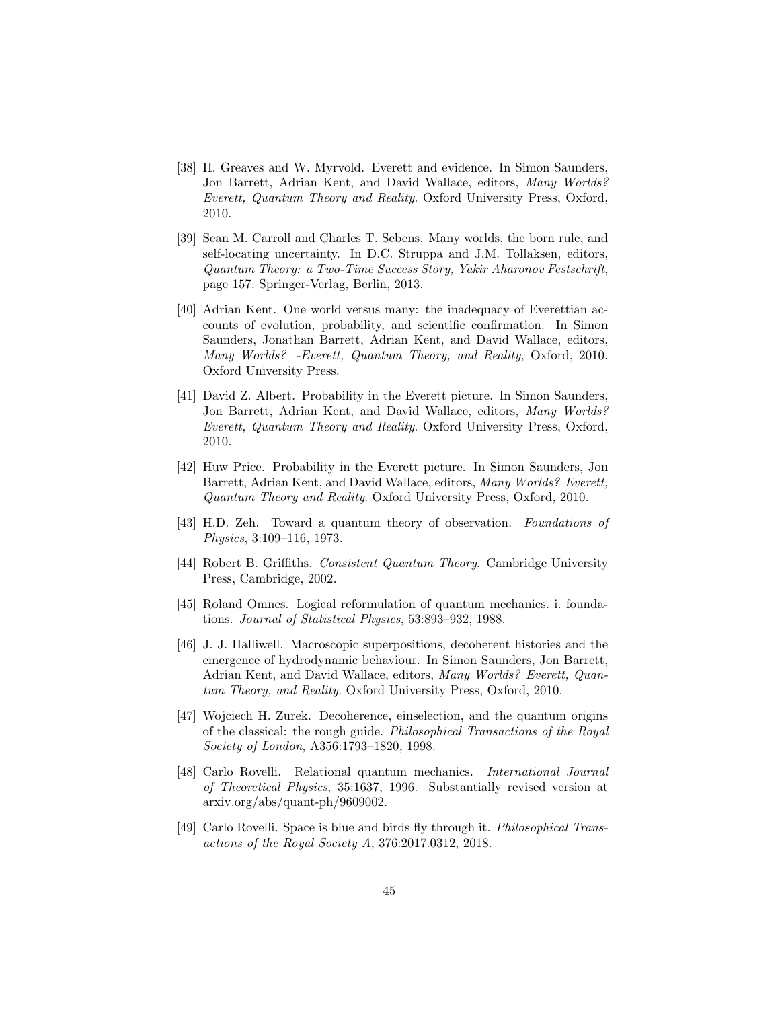- [38] H. Greaves and W. Myrvold. Everett and evidence. In Simon Saunders, Jon Barrett, Adrian Kent, and David Wallace, editors, Many Worlds? Everett, Quantum Theory and Reality. Oxford University Press, Oxford, 2010.
- [39] Sean M. Carroll and Charles T. Sebens. Many worlds, the born rule, and self-locating uncertainty. In D.C. Struppa and J.M. Tollaksen, editors, Quantum Theory: a Two-Time Success Story, Yakir Aharonov Festschrift, page 157. Springer-Verlag, Berlin, 2013.
- [40] Adrian Kent. One world versus many: the inadequacy of Everettian accounts of evolution, probability, and scientific confirmation. In Simon Saunders, Jonathan Barrett, Adrian Kent, and David Wallace, editors, Many Worlds? -Everett, Quantum Theory, and Reality, Oxford, 2010. Oxford University Press.
- [41] David Z. Albert. Probability in the Everett picture. In Simon Saunders, Jon Barrett, Adrian Kent, and David Wallace, editors, Many Worlds? Everett, Quantum Theory and Reality. Oxford University Press, Oxford, 2010.
- [42] Huw Price. Probability in the Everett picture. In Simon Saunders, Jon Barrett, Adrian Kent, and David Wallace, editors, Many Worlds? Everett, Quantum Theory and Reality. Oxford University Press, Oxford, 2010.
- [43] H.D. Zeh. Toward a quantum theory of observation. Foundations of Physics, 3:109–116, 1973.
- [44] Robert B. Griffiths. Consistent Quantum Theory. Cambridge University Press, Cambridge, 2002.
- [45] Roland Omnes. Logical reformulation of quantum mechanics. i. foundations. Journal of Statistical Physics, 53:893–932, 1988.
- [46] J. J. Halliwell. Macroscopic superpositions, decoherent histories and the emergence of hydrodynamic behaviour. In Simon Saunders, Jon Barrett, Adrian Kent, and David Wallace, editors, *Many Worlds? Everett, Quan*tum Theory, and Reality. Oxford University Press, Oxford, 2010.
- [47] Wojciech H. Zurek. Decoherence, einselection, and the quantum origins of the classical: the rough guide. Philosophical Transactions of the Royal Society of London, A356:1793–1820, 1998.
- [48] Carlo Rovelli. Relational quantum mechanics. International Journal of Theoretical Physics, 35:1637, 1996. Substantially revised version at arxiv.org/abs/quant-ph/9609002.
- [49] Carlo Rovelli. Space is blue and birds fly through it. Philosophical Transactions of the Royal Society A, 376:2017.0312, 2018.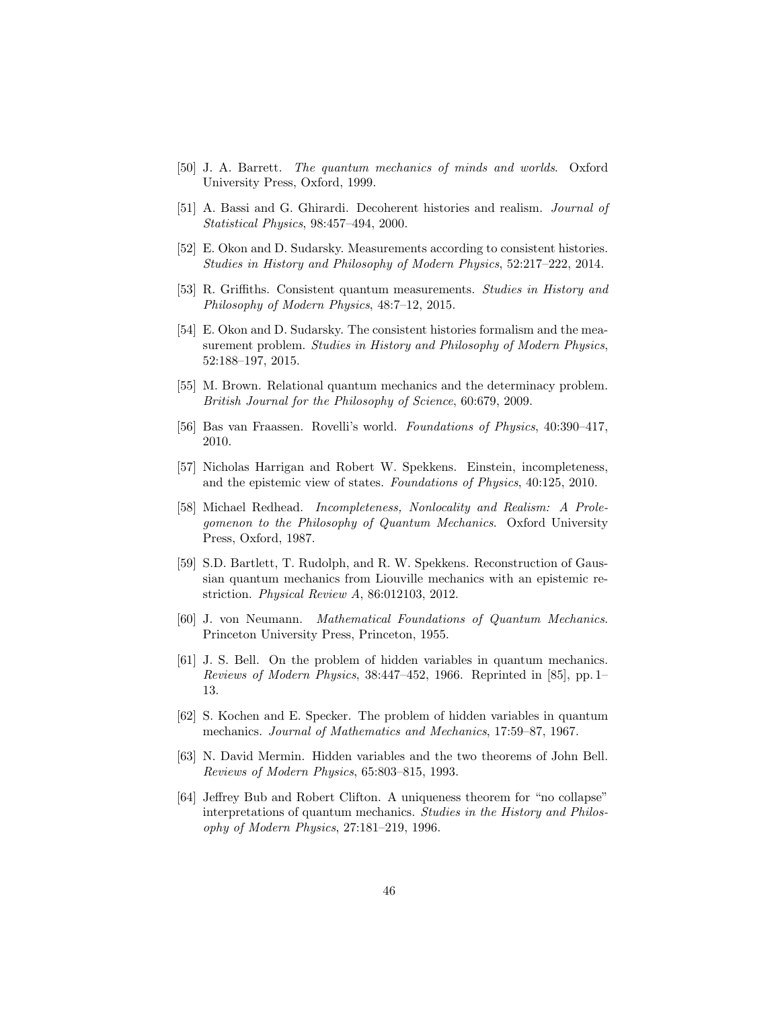- [50] J. A. Barrett. The quantum mechanics of minds and worlds. Oxford University Press, Oxford, 1999.
- [51] A. Bassi and G. Ghirardi. Decoherent histories and realism. Journal of Statistical Physics, 98:457–494, 2000.
- [52] E. Okon and D. Sudarsky. Measurements according to consistent histories. Studies in History and Philosophy of Modern Physics, 52:217–222, 2014.
- [53] R. Griffiths. Consistent quantum measurements. Studies in History and Philosophy of Modern Physics, 48:7–12, 2015.
- [54] E. Okon and D. Sudarsky. The consistent histories formalism and the measurement problem. Studies in History and Philosophy of Modern Physics, 52:188–197, 2015.
- [55] M. Brown. Relational quantum mechanics and the determinacy problem. British Journal for the Philosophy of Science, 60:679, 2009.
- [56] Bas van Fraassen. Rovelli's world. Foundations of Physics, 40:390–417, 2010.
- [57] Nicholas Harrigan and Robert W. Spekkens. Einstein, incompleteness, and the epistemic view of states. Foundations of Physics, 40:125, 2010.
- [58] Michael Redhead. Incompleteness, Nonlocality and Realism: A Prolegomenon to the Philosophy of Quantum Mechanics. Oxford University Press, Oxford, 1987.
- [59] S.D. Bartlett, T. Rudolph, and R. W. Spekkens. Reconstruction of Gaussian quantum mechanics from Liouville mechanics with an epistemic restriction. Physical Review A, 86:012103, 2012.
- [60] J. von Neumann. Mathematical Foundations of Quantum Mechanics. Princeton University Press, Princeton, 1955.
- [61] J. S. Bell. On the problem of hidden variables in quantum mechanics. Reviews of Modern Physics, 38:447–452, 1966. Reprinted in [85], pp. 1– 13.
- [62] S. Kochen and E. Specker. The problem of hidden variables in quantum mechanics. Journal of Mathematics and Mechanics, 17:59–87, 1967.
- [63] N. David Mermin. Hidden variables and the two theorems of John Bell. Reviews of Modern Physics, 65:803–815, 1993.
- [64] Jeffrey Bub and Robert Clifton. A uniqueness theorem for "no collapse" interpretations of quantum mechanics. Studies in the History and Philosophy of Modern Physics, 27:181–219, 1996.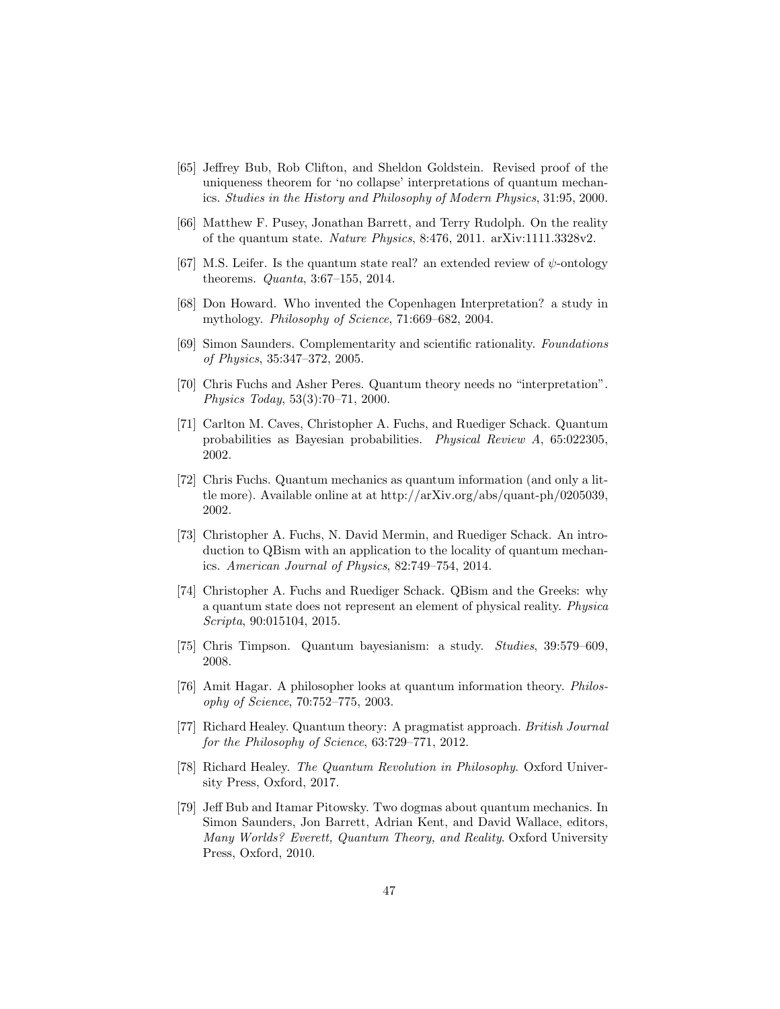- [65] Jeffrey Bub, Rob Clifton, and Sheldon Goldstein. Revised proof of the uniqueness theorem for 'no collapse' interpretations of quantum mechanics. Studies in the History and Philosophy of Modern Physics, 31:95, 2000.
- [66] Matthew F. Pusey, Jonathan Barrett, and Terry Rudolph. On the reality of the quantum state. Nature Physics, 8:476, 2011. arXiv:1111.3328v2.
- [67] M.S. Leifer. Is the quantum state real? an extended review of  $\psi$ -ontology theorems. Quanta, 3:67–155, 2014.
- [68] Don Howard. Who invented the Copenhagen Interpretation? a study in mythology. Philosophy of Science, 71:669–682, 2004.
- [69] Simon Saunders. Complementarity and scientific rationality. Foundations of Physics, 35:347–372, 2005.
- [70] Chris Fuchs and Asher Peres. Quantum theory needs no "interpretation". Physics Today, 53(3):70–71, 2000.
- [71] Carlton M. Caves, Christopher A. Fuchs, and Ruediger Schack. Quantum probabilities as Bayesian probabilities. Physical Review A, 65:022305, 2002.
- [72] Chris Fuchs. Quantum mechanics as quantum information (and only a little more). Available online at at http://arXiv.org/abs/quant-ph/0205039, 2002.
- [73] Christopher A. Fuchs, N. David Mermin, and Ruediger Schack. An introduction to QBism with an application to the locality of quantum mechanics. American Journal of Physics, 82:749–754, 2014.
- [74] Christopher A. Fuchs and Ruediger Schack. QBism and the Greeks: why a quantum state does not represent an element of physical reality. Physica Scripta, 90:015104, 2015.
- [75] Chris Timpson. Quantum bayesianism: a study. Studies, 39:579–609, 2008.
- [76] Amit Hagar. A philosopher looks at quantum information theory. Philosophy of Science, 70:752–775, 2003.
- [77] Richard Healey. Quantum theory: A pragmatist approach. British Journal for the Philosophy of Science, 63:729–771, 2012.
- [78] Richard Healey. The Quantum Revolution in Philosophy. Oxford University Press, Oxford, 2017.
- [79] Jeff Bub and Itamar Pitowsky. Two dogmas about quantum mechanics. In Simon Saunders, Jon Barrett, Adrian Kent, and David Wallace, editors, Many Worlds? Everett, Quantum Theory, and Reality. Oxford University Press, Oxford, 2010.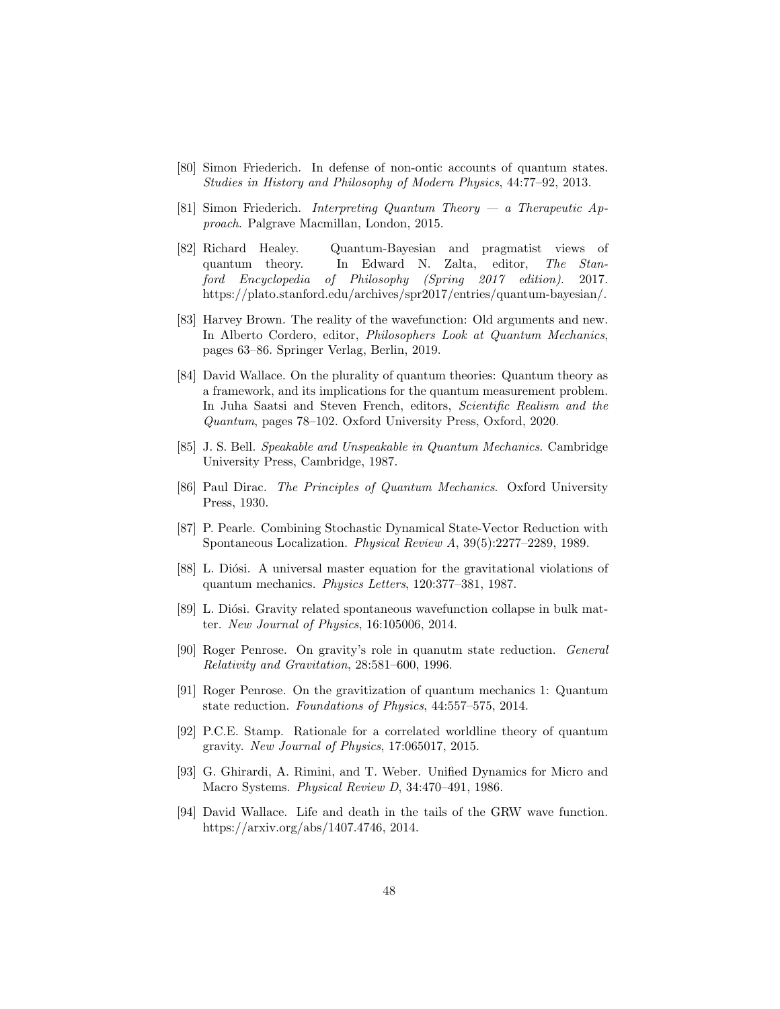- [80] Simon Friederich. In defense of non-ontic accounts of quantum states. Studies in History and Philosophy of Modern Physics, 44:77–92, 2013.
- [81] Simon Friederich. Interpreting Quantum Theory a Therapeutic Approach. Palgrave Macmillan, London, 2015.
- [82] Richard Healey. Quantum-Bayesian and pragmatist views of quantum theory. In Edward N. Zalta, editor, The Stanford Encyclopedia of Philosophy (Spring 2017 edition). 2017. https://plato.stanford.edu/archives/spr2017/entries/quantum-bayesian/.
- [83] Harvey Brown. The reality of the wavefunction: Old arguments and new. In Alberto Cordero, editor, Philosophers Look at Quantum Mechanics, pages 63–86. Springer Verlag, Berlin, 2019.
- [84] David Wallace. On the plurality of quantum theories: Quantum theory as a framework, and its implications for the quantum measurement problem. In Juha Saatsi and Steven French, editors, Scientific Realism and the Quantum, pages 78–102. Oxford University Press, Oxford, 2020.
- [85] J. S. Bell. Speakable and Unspeakable in Quantum Mechanics. Cambridge University Press, Cambridge, 1987.
- [86] Paul Dirac. The Principles of Quantum Mechanics. Oxford University Press, 1930.
- [87] P. Pearle. Combining Stochastic Dynamical State-Vector Reduction with Spontaneous Localization. Physical Review A, 39(5):2277–2289, 1989.
- [88] L. Diósi. A universal master equation for the gravitational violations of quantum mechanics. Physics Letters, 120:377–381, 1987.
- [89] L. Diósi. Gravity related spontaneous wavefunction collapse in bulk matter. New Journal of Physics, 16:105006, 2014.
- [90] Roger Penrose. On gravity's role in quanutm state reduction. General Relativity and Gravitation, 28:581–600, 1996.
- [91] Roger Penrose. On the gravitization of quantum mechanics 1: Quantum state reduction. Foundations of Physics, 44:557–575, 2014.
- [92] P.C.E. Stamp. Rationale for a correlated worldline theory of quantum gravity. New Journal of Physics, 17:065017, 2015.
- [93] G. Ghirardi, A. Rimini, and T. Weber. Unified Dynamics for Micro and Macro Systems. Physical Review D, 34:470–491, 1986.
- [94] David Wallace. Life and death in the tails of the GRW wave function. https://arxiv.org/abs/1407.4746, 2014.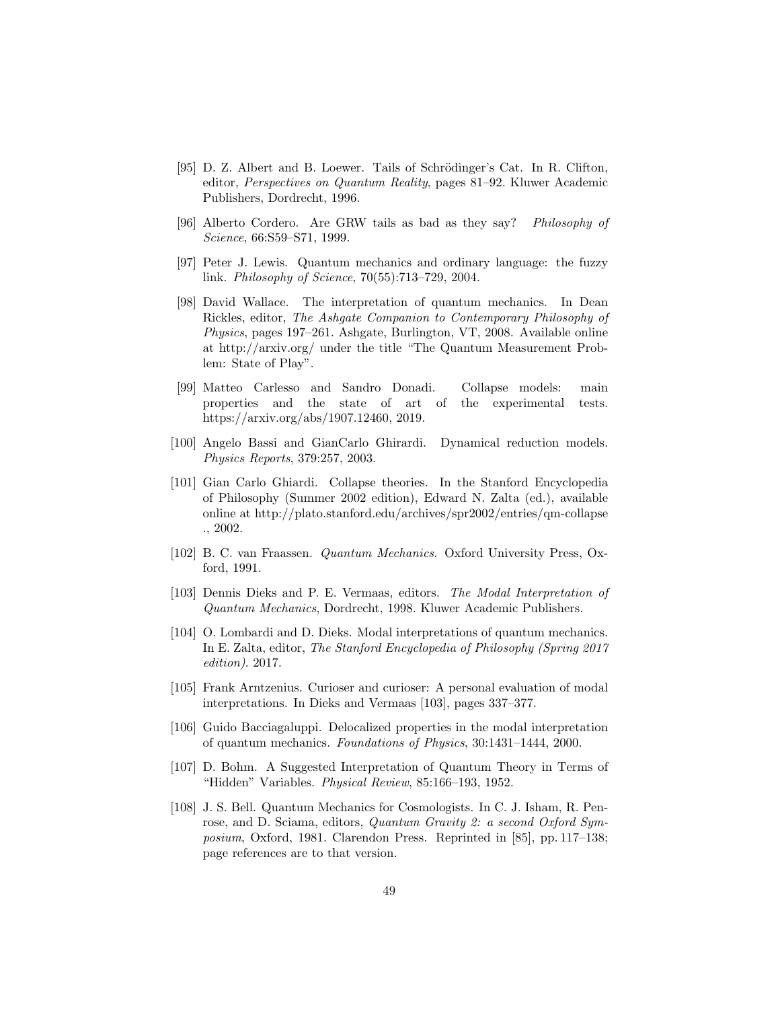- [95] D. Z. Albert and B. Loewer. Tails of Schrödinger's Cat. In R. Clifton, editor, Perspectives on Quantum Reality, pages 81–92. Kluwer Academic Publishers, Dordrecht, 1996.
- [96] Alberto Cordero. Are GRW tails as bad as they say? Philosophy of Science, 66:S59–S71, 1999.
- [97] Peter J. Lewis. Quantum mechanics and ordinary language: the fuzzy link. Philosophy of Science, 70(55):713–729, 2004.
- [98] David Wallace. The interpretation of quantum mechanics. In Dean Rickles, editor, The Ashgate Companion to Contemporary Philosophy of Physics, pages 197–261. Ashgate, Burlington, VT, 2008. Available online at http://arxiv.org/ under the title "The Quantum Measurement Problem: State of Play".
- [99] Matteo Carlesso and Sandro Donadi. Collapse models: main properties and the state of art of the experimental tests. https://arxiv.org/abs/1907.12460, 2019.
- [100] Angelo Bassi and GianCarlo Ghirardi. Dynamical reduction models. Physics Reports, 379:257, 2003.
- [101] Gian Carlo Ghiardi. Collapse theories. In the Stanford Encyclopedia of Philosophy (Summer 2002 edition), Edward N. Zalta (ed.), available online at http://plato.stanford.edu/archives/spr2002/entries/qm-collapse ., 2002.
- [102] B. C. van Fraassen. Quantum Mechanics. Oxford University Press, Oxford, 1991.
- [103] Dennis Dieks and P. E. Vermaas, editors. The Modal Interpretation of Quantum Mechanics, Dordrecht, 1998. Kluwer Academic Publishers.
- [104] O. Lombardi and D. Dieks. Modal interpretations of quantum mechanics. In E. Zalta, editor, The Stanford Encyclopedia of Philosophy (Spring 2017 edition). 2017.
- [105] Frank Arntzenius. Curioser and curioser: A personal evaluation of modal interpretations. In Dieks and Vermaas [103], pages 337–377.
- [106] Guido Bacciagaluppi. Delocalized properties in the modal interpretation of quantum mechanics. Foundations of Physics, 30:1431–1444, 2000.
- [107] D. Bohm. A Suggested Interpretation of Quantum Theory in Terms of "Hidden" Variables. Physical Review, 85:166–193, 1952.
- [108] J. S. Bell. Quantum Mechanics for Cosmologists. In C. J. Isham, R. Penrose, and D. Sciama, editors, Quantum Gravity 2: a second Oxford Symposium, Oxford, 1981. Clarendon Press. Reprinted in [85], pp. 117–138; page references are to that version.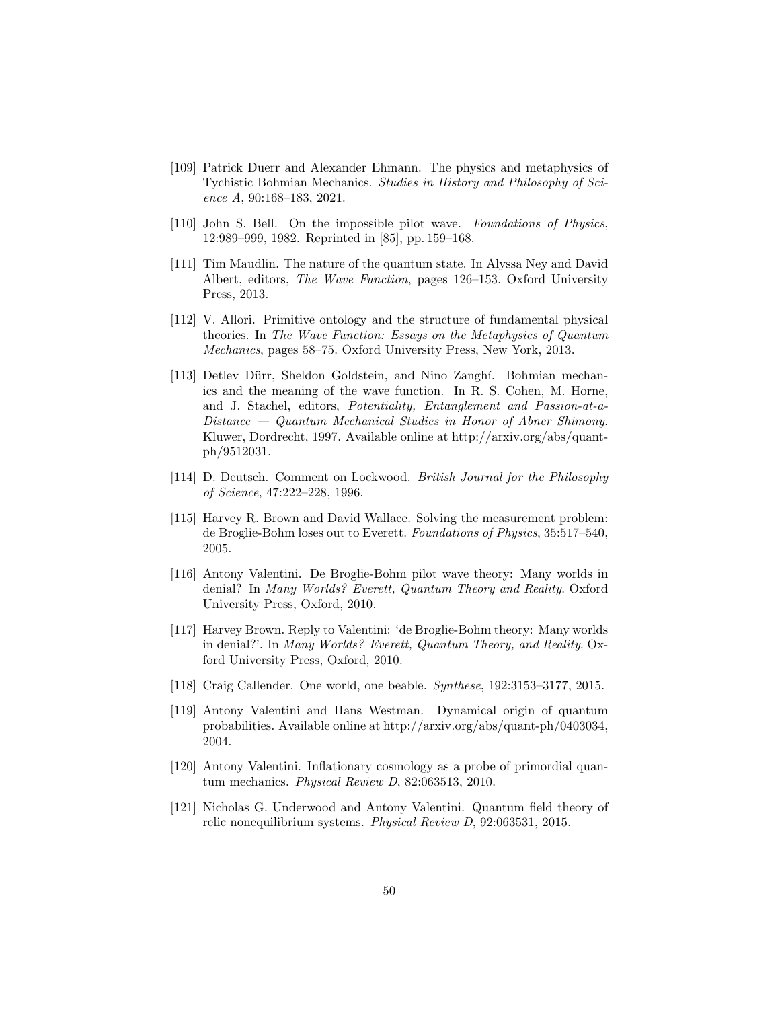- [109] Patrick Duerr and Alexander Ehmann. The physics and metaphysics of Tychistic Bohmian Mechanics. Studies in History and Philosophy of Science A, 90:168–183, 2021.
- [110] John S. Bell. On the impossible pilot wave. Foundations of Physics, 12:989–999, 1982. Reprinted in [85], pp. 159–168.
- [111] Tim Maudlin. The nature of the quantum state. In Alyssa Ney and David Albert, editors, The Wave Function, pages 126–153. Oxford University Press, 2013.
- [112] V. Allori. Primitive ontology and the structure of fundamental physical theories. In The Wave Function: Essays on the Metaphysics of Quantum Mechanics, pages 58–75. Oxford University Press, New York, 2013.
- [113] Detlev Dürr, Sheldon Goldstein, and Nino Zanghí. Bohmian mechanics and the meaning of the wave function. In R. S. Cohen, M. Horne, and J. Stachel, editors, Potentiality, Entanglement and Passion-at-a-Distance — Quantum Mechanical Studies in Honor of Abner Shimony. Kluwer, Dordrecht, 1997. Available online at http://arxiv.org/abs/quantph/9512031.
- [114] D. Deutsch. Comment on Lockwood. British Journal for the Philosophy of Science, 47:222–228, 1996.
- [115] Harvey R. Brown and David Wallace. Solving the measurement problem: de Broglie-Bohm loses out to Everett. Foundations of Physics, 35:517–540, 2005.
- [116] Antony Valentini. De Broglie-Bohm pilot wave theory: Many worlds in denial? In Many Worlds? Everett, Quantum Theory and Reality. Oxford University Press, Oxford, 2010.
- [117] Harvey Brown. Reply to Valentini: 'de Broglie-Bohm theory: Many worlds in denial?'. In Many Worlds? Everett, Quantum Theory, and Reality. Oxford University Press, Oxford, 2010.
- [118] Craig Callender. One world, one beable. Synthese, 192:3153–3177, 2015.
- [119] Antony Valentini and Hans Westman. Dynamical origin of quantum probabilities. Available online at http://arxiv.org/abs/quant-ph/0403034, 2004.
- [120] Antony Valentini. Inflationary cosmology as a probe of primordial quantum mechanics. Physical Review D, 82:063513, 2010.
- [121] Nicholas G. Underwood and Antony Valentini. Quantum field theory of relic nonequilibrium systems. Physical Review D, 92:063531, 2015.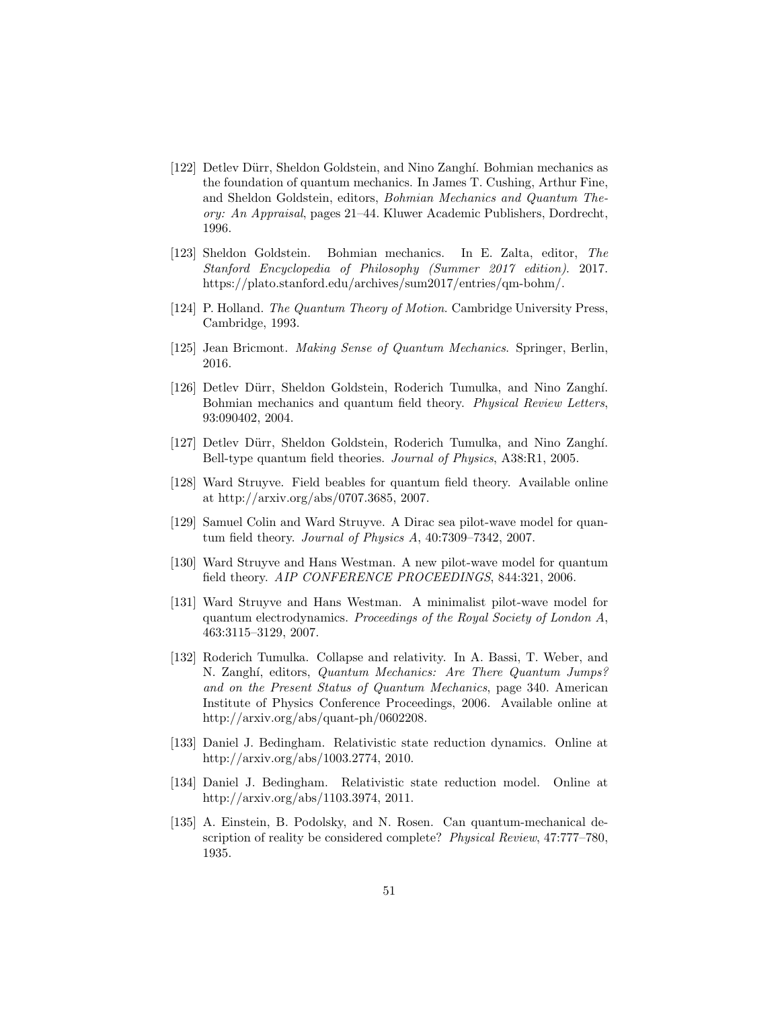- [122] Detlev Dürr, Sheldon Goldstein, and Nino Zanghí. Bohmian mechanics as the foundation of quantum mechanics. In James T. Cushing, Arthur Fine, and Sheldon Goldstein, editors, Bohmian Mechanics and Quantum Theory: An Appraisal, pages 21–44. Kluwer Academic Publishers, Dordrecht, 1996.
- [123] Sheldon Goldstein. Bohmian mechanics. In E. Zalta, editor, The Stanford Encyclopedia of Philosophy (Summer 2017 edition). 2017. https://plato.stanford.edu/archives/sum2017/entries/qm-bohm/.
- [124] P. Holland. The Quantum Theory of Motion. Cambridge University Press, Cambridge, 1993.
- [125] Jean Bricmont. Making Sense of Quantum Mechanics. Springer, Berlin, 2016.
- [126] Detlev Dürr, Sheldon Goldstein, Roderich Tumulka, and Nino Zanghí. Bohmian mechanics and quantum field theory. Physical Review Letters, 93:090402, 2004.
- [127] Detlev Dürr, Sheldon Goldstein, Roderich Tumulka, and Nino Zanghí. Bell-type quantum field theories. Journal of Physics, A38:R1, 2005.
- [128] Ward Struyve. Field beables for quantum field theory. Available online at http://arxiv.org/abs/0707.3685, 2007.
- [129] Samuel Colin and Ward Struyve. A Dirac sea pilot-wave model for quantum field theory. Journal of Physics A, 40:7309–7342, 2007.
- [130] Ward Struyve and Hans Westman. A new pilot-wave model for quantum field theory. AIP CONFERENCE PROCEEDINGS, 844:321, 2006.
- [131] Ward Struyve and Hans Westman. A minimalist pilot-wave model for quantum electrodynamics. Proceedings of the Royal Society of London A, 463:3115–3129, 2007.
- [132] Roderich Tumulka. Collapse and relativity. In A. Bassi, T. Weber, and N. Zanghí, editors, Quantum Mechanics: Are There Quantum Jumps? and on the Present Status of Quantum Mechanics, page 340. American Institute of Physics Conference Proceedings, 2006. Available online at http://arxiv.org/abs/quant-ph/0602208.
- [133] Daniel J. Bedingham. Relativistic state reduction dynamics. Online at http://arxiv.org/abs/1003.2774, 2010.
- [134] Daniel J. Bedingham. Relativistic state reduction model. Online at http://arxiv.org/abs/1103.3974, 2011.
- [135] A. Einstein, B. Podolsky, and N. Rosen. Can quantum-mechanical description of reality be considered complete? Physical Review, 47:777–780, 1935.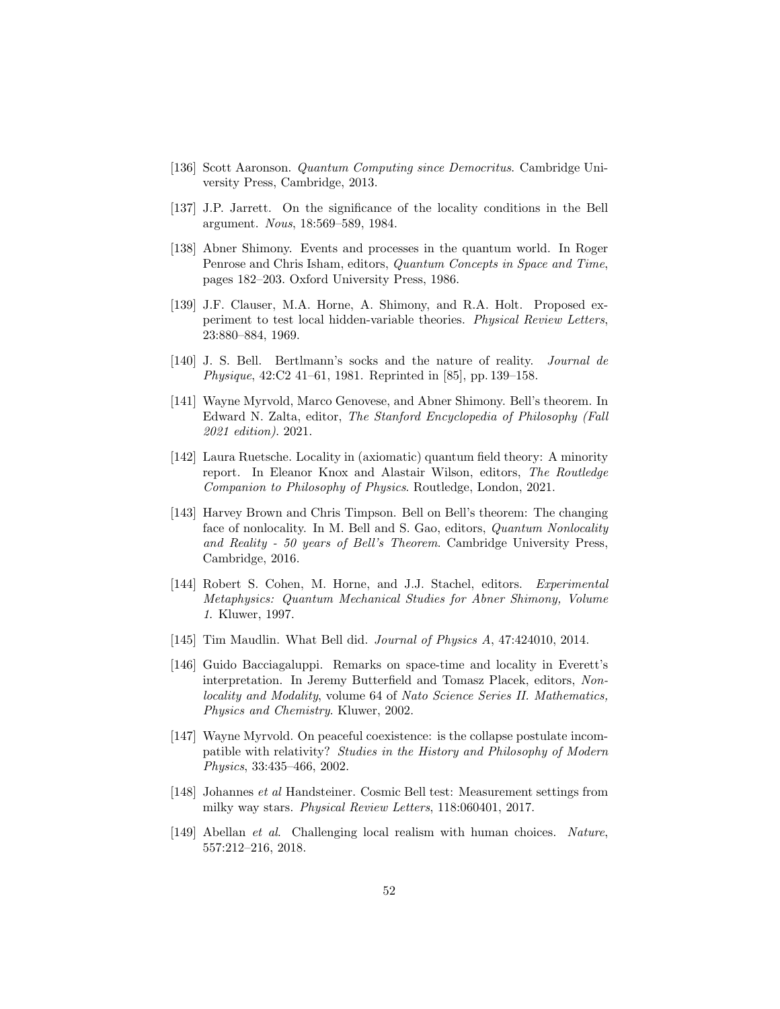- [136] Scott Aaronson. Quantum Computing since Democritus. Cambridge University Press, Cambridge, 2013.
- [137] J.P. Jarrett. On the significance of the locality conditions in the Bell argument. Nous, 18:569–589, 1984.
- [138] Abner Shimony. Events and processes in the quantum world. In Roger Penrose and Chris Isham, editors, Quantum Concepts in Space and Time, pages 182–203. Oxford University Press, 1986.
- [139] J.F. Clauser, M.A. Horne, A. Shimony, and R.A. Holt. Proposed experiment to test local hidden-variable theories. Physical Review Letters, 23:880–884, 1969.
- [140] J. S. Bell. Bertlmann's socks and the nature of reality. Journal de Physique, 42:C2 41–61, 1981. Reprinted in [85], pp. 139–158.
- [141] Wayne Myrvold, Marco Genovese, and Abner Shimony. Bell's theorem. In Edward N. Zalta, editor, The Stanford Encyclopedia of Philosophy (Fall 2021 edition). 2021.
- [142] Laura Ruetsche. Locality in (axiomatic) quantum field theory: A minority report. In Eleanor Knox and Alastair Wilson, editors, The Routledge Companion to Philosophy of Physics. Routledge, London, 2021.
- [143] Harvey Brown and Chris Timpson. Bell on Bell's theorem: The changing face of nonlocality. In M. Bell and S. Gao, editors, *Quantum Nonlocality* and Reality - 50 years of Bell's Theorem. Cambridge University Press, Cambridge, 2016.
- [144] Robert S. Cohen, M. Horne, and J.J. Stachel, editors. Experimental Metaphysics: Quantum Mechanical Studies for Abner Shimony, Volume 1. Kluwer, 1997.
- [145] Tim Maudlin. What Bell did. Journal of Physics A, 47:424010, 2014.
- [146] Guido Bacciagaluppi. Remarks on space-time and locality in Everett's interpretation. In Jeremy Butterfield and Tomasz Placek, editors, Nonlocality and Modality, volume 64 of Nato Science Series II. Mathematics, Physics and Chemistry. Kluwer, 2002.
- [147] Wayne Myrvold. On peaceful coexistence: is the collapse postulate incompatible with relativity? Studies in the History and Philosophy of Modern Physics, 33:435–466, 2002.
- [148] Johannes et al Handsteiner. Cosmic Bell test: Measurement settings from milky way stars. Physical Review Letters, 118:060401, 2017.
- [149] Abellan et al. Challenging local realism with human choices. Nature, 557:212–216, 2018.